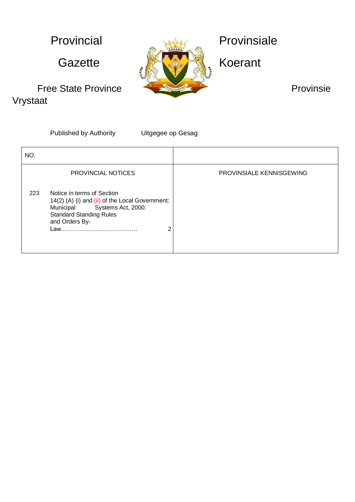Vrystaat



Published by Authority Uitgegee op Gesag

| NO. |                                                                                                                                                                                           |                          |
|-----|-------------------------------------------------------------------------------------------------------------------------------------------------------------------------------------------|--------------------------|
|     | <b>PROVINCIAL NOTICES</b>                                                                                                                                                                 | PROVINSIALE KENNISGEWING |
| 223 | Notice in terms of Section<br>14(2) (A) (i) and (ii) of the Local Government:<br>Municipal Systems Act, 2000:<br><b>Standard Standing Rules</b><br>and Orders By-<br>ົ<br>Law……………………………… |                          |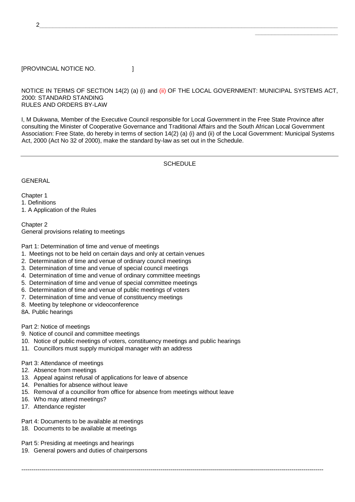2\_\_\_\_\_\_\_\_\_\_\_\_\_\_\_\_\_\_\_\_\_\_\_\_\_\_\_\_\_\_\_\_\_\_\_\_\_\_\_\_\_\_\_\_\_\_\_\_\_\_\_\_\_\_\_\_\_\_\_\_\_\_\_\_\_\_\_\_\_\_\_\_\_\_\_\_\_\_\_\_\_\_\_\_\_\_\_\_\_\_

## [PROVINCIAL NOTICE NO. ]

#### NOTICE IN TERMS OF SECTION 14(2) (a) (i) and (ii) OF THE LOCAL GOVERNMENT: MUNICIPAL SYSTEMS ACT, 2000: STANDARD STANDING RULES AND ORDERS BY-LAW

\_\_\_\_\_\_\_\_\_\_\_\_\_\_\_\_\_\_\_\_\_\_\_\_\_

I, M Dukwana, Member of the Executive Council responsible for Local Government in the Free State Province after consulting the Minister of Cooperative Governance and Traditional Affairs and the South African Local Government Association: Free State, do hereby in terms of section 14(2) (a) (i) and (ii) of the Local Government: Municipal Systems Act, 2000 (Act No 32 of 2000), make the standard by-law as set out in the Schedule.

#### **SCHEDULE**

**GENERAL** 

Chapter 1 1. Definitions 1. A Application of the Rules

Chapter 2 General provisions relating to meetings

Part 1: Determination of time and venue of meetings

- 1. Meetings not to be held on certain days and only at certain venues
- 2. Determination of time and venue of ordinary council meetings
- 3. Determination of time and venue of special council meetings
- 4. Determination of time and venue of ordinary committee meetings
- 5. Determination of time and venue of special committee meetings
- 6. Determination of time and venue of public meetings of voters
- 7. Determination of time and venue of constituency meetings
- 8. Meeting by telephone or videoconference
- 8A. Public hearings

Part 2: Notice of meetings

9. Notice of council and committee meetings

- 10. Notice of public meetings of voters, constituency meetings and public hearings
- 11. Councillors must supply municipal manager with an address

#### Part 3: Attendance of meetings

- 12. Absence from meetings
- 13. Appeal against refusal of applications for leave of absence
- 14. Penalties for absence without leave
- 15. Removal of a councillor from office for absence from meetings without leave

--------------------------------------------------------------------------------------------------------------------------------------------------------

- 16. Who may attend meetings?
- 17. Attendance register

## Part 4: Documents to be available at meetings

18. Documents to be available at meetings

Part 5: Presiding at meetings and hearings

19. General powers and duties of chairpersons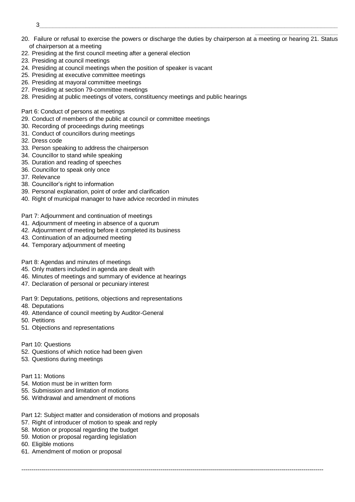- $3$  ) and the set of the set of the set of the set of the set of the set of the set of the set of the set of the set of the set of the set of the set of the set of the set of the set of the set of the set of the set of th
- \_\_\_\_\_\_\_\_\_\_\_\_\_\_\_\_\_\_\_\_\_\_\_\_\_ 20. Failure or refusal to exercise the powers or discharge the duties by chairperson at a meeting or hearing 21. Status of chairperson at a meeting
- 22. Presiding at the first council meeting after a general election
- 23. Presiding at council meetings
- 24. Presiding at council meetings when the position of speaker is vacant
- 25. Presiding at executive committee meetings
- 26. Presiding at mayoral committee meetings
- 27. Presiding at section 79-committee meetings
- 28. Presiding at public meetings of voters, constituency meetings and public hearings

Part 6: Conduct of persons at meetings

- 29. Conduct of members of the public at council or committee meetings
- 30. Recording of proceedings during meetings
- 31. Conduct of councillors during meetings
- 32. Dress code
- 33. Person speaking to address the chairperson
- 34. Councillor to stand while speaking
- 35. Duration and reading of speeches
- 36. Councillor to speak only once
- 37. Relevance
- 38. Councillor's right to information
- 39. Personal explanation, point of order and clarification
- 40. Right of municipal manager to have advice recorded in minutes

#### Part 7: Adjournment and continuation of meetings

- 41. Adjournment of meeting in absence of a quorum
- 42. Adjournment of meeting before it completed its business
- 43. Continuation of an adjourned meeting
- 44. Temporary adjournment of meeting

Part 8: Agendas and minutes of meetings

- 45. Only matters included in agenda are dealt with
- 46. Minutes of meetings and summary of evidence at hearings
- 47. Declaration of personal or pecuniary interest
- Part 9: Deputations, petitions, objections and representations
- 48. Deputations
- 49. Attendance of council meeting by Auditor-General
- 50. Petitions
- 51. Objections and representations
- Part 10: Questions
- 52. Questions of which notice had been given
- 53. Questions during meetings

#### Part 11: Motions

- 54. Motion must be in written form
- 55. Submission and limitation of motions
- 56. Withdrawal and amendment of motions
- Part 12: Subject matter and consideration of motions and proposals

- 57. Right of introducer of motion to speak and reply
- 58. Motion or proposal regarding the budget
- 59. Motion or proposal regarding legislation
- 60. Eligible motions
- 61. Amendment of motion or proposal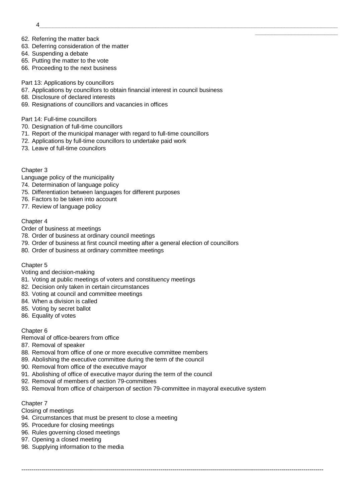- 4\_\_\_\_\_\_\_\_\_\_\_\_\_\_\_\_\_\_\_\_\_\_\_\_\_\_\_\_\_\_\_\_\_\_\_\_\_\_\_\_\_\_\_\_\_\_\_\_\_\_\_\_\_\_\_\_\_\_\_\_\_\_\_\_\_\_\_\_\_\_\_\_\_\_\_\_\_\_\_\_\_\_\_\_\_\_\_\_\_\_
- 62. Referring the matter back
- 63. Deferring consideration of the matter
- 64. Suspending a debate
- 65. Putting the matter to the vote
- 66. Proceeding to the next business
- Part 13: Applications by councillors
- 67. Applications by councillors to obtain financial interest in council business

\_\_\_\_\_\_\_\_\_\_\_\_\_\_\_\_\_\_\_\_\_\_\_\_\_

- 68. Disclosure of declared interests
- 69. Resignations of councillors and vacancies in offices

#### Part 14: Full-time councillors

- 70. Designation of full-time councillors
- 71. Report of the municipal manager with regard to full-time councillors
- 72. Applications by full-time councillors to undertake paid work
- 73. Leave of full-time councilors

## Chapter 3

- Language policy of the municipality
- 74. Determination of language policy
- 75. Differentiation between languages for different purposes
- 76. Factors to be taken into account
- 77. Review of language policy

## Chapter 4

- Order of business at meetings
- 78. Order of business at ordinary council meetings
- 79. Order of business at first council meeting after a general election of councillors
- 80. Order of business at ordinary committee meetings

## Chapter 5

## Voting and decision-making

- 81. Voting at public meetings of voters and constituency meetings
- 82. Decision only taken in certain circumstances
- 83. Voting at council and committee meetings
- 84. When a division is called
- 85. Voting by secret ballot
- 86. Equality of votes

## Chapter 6

Removal of office-bearers from office

- 87. Removal of speaker
- 88. Removal from office of one or more executive committee members
- 89. Abolishing the executive committee during the term of the council
- 90. Removal from office of the executive mayor
- 91. Abolishing of office of executive mayor during the term of the council
- 92. Removal of members of section 79-committees
- 93. Removal from office of chairperson of section 79-committee in mayoral executive system

--------------------------------------------------------------------------------------------------------------------------------------------------------

#### Chapter 7

Closing of meetings

- 94. Circumstances that must be present to close a meeting
- 95. Procedure for closing meetings
- 96. Rules governing closed meetings
- 97. Opening a closed meeting
- 98. Supplying information to the media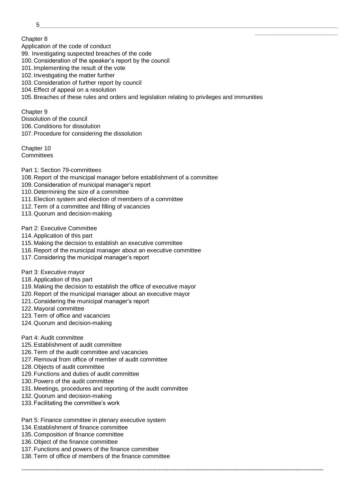$5$  , and the set of the set of the set of the set of the set of the set of the set of the set of the set of the set of the set of the set of the set of the set of the set of the set of the set of the set of the set of th

Chapter 8

Application of the code of conduct

99. Investigating suspected breaches of the code

- 100. Consideration of the speaker's report by the council
- 101. Implementing the result of the vote
- 102. Investigating the matter further
- 103. Consideration of further report by council
- 104.Effect of appeal on a resolution

105.Breaches of these rules and orders and legislation relating to privileges and immunities

\_\_\_\_\_\_\_\_\_\_\_\_\_\_\_\_\_\_\_\_\_\_\_\_\_

Chapter 9 Dissolution of the council 106. Conditions for dissolution 107.Procedure for considering the dissolution

Chapter 10 **Committees** 

- Part 1: Section 79-committees
- 108. Report of the municipal manager before establishment of a committee
- 109. Consideration of municipal manager's report
- 110. Determining the size of a committee
- 111.Election system and election of members of a committee
- 112.Term of a committee and filling of vacancies
- 113.Quorum and decision-making

#### Part 2: Executive Committee

- 114.Application of this part
- 115. Making the decision to establish an executive committee
- 116. Report of the municipal manager about an executive committee
- 117. Considering the municipal manager's report
- Part 3: Executive mayor
- 118.Application of this part
- 119. Making the decision to establish the office of executive mayor
- 120. Report of the municipal manager about an executive mayor
- 121. Considering the municipal manager's report
- 122. Mayoral committee
- 123.Term of office and vacancies
- 124.Quorum and decision-making
- Part 4: Audit committee
- 125.Establishment of audit committee
- 126.Term of the audit committee and vacancies
- 127. Removal from office of member of audit committee
- 128.Objects of audit committee
- 129.Functions and duties of audit committee
- 130.Powers of the audit committee
- 131. Meetings, procedures and reporting of the audit committee
- 132.Quorum and decision-making
- 133.Facilitating the committee's work
- Part 5: Finance committee in plenary executive system
- 134.Establishment of finance committee
- 135. Composition of finance committee
- 136.Object of the finance committee
- 137.Functions and powers of the finance committee
- 138.Term of office of members of the finance committee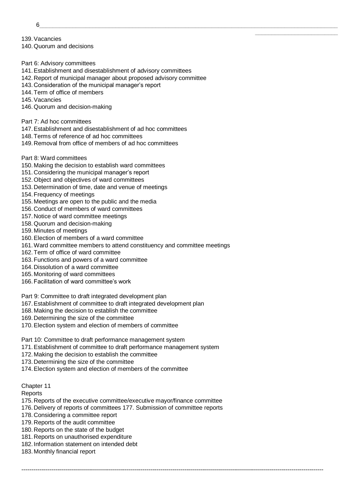6\_\_\_\_\_\_\_\_\_\_\_\_\_\_\_\_\_\_\_\_\_\_\_\_\_\_\_\_\_\_\_\_\_\_\_\_\_\_\_\_\_\_\_\_\_\_\_\_\_\_\_\_\_\_\_\_\_\_\_\_\_\_\_\_\_\_\_\_\_\_\_\_\_\_\_\_\_\_\_\_\_\_\_\_\_\_\_\_\_\_

139.Vacancies 140. Quorum and decisions

- Part 6: Advisory committees
- 141.Establishment and disestablishment of advisory committees
- 142. Report of municipal manager about proposed advisory committee

\_\_\_\_\_\_\_\_\_\_\_\_\_\_\_\_\_\_\_\_\_\_\_\_\_

- 143. Consideration of the municipal manager's report
- 144.Term of office of members
- 145.Vacancies
- 146.Quorum and decision-making
- Part 7: Ad hoc committees
- 147.Establishment and disestablishment of ad hoc committees
- 148.Terms of reference of ad hoc committees
- 149. Removal from office of members of ad hoc committees

# Part 8: Ward committees

- 150. Making the decision to establish ward committees
- 151. Considering the municipal manager's report
- 152.Object and objectives of ward committees
- 153. Determination of time, date and venue of meetings
- 154.Frequency of meetings
- 155. Meetings are open to the public and the media
- 156. Conduct of members of ward committees
- 157. Notice of ward committee meetings
- 158.Quorum and decision-making
- 159. Minutes of meetings
- 160.Election of members of a ward committee
- 161.Ward committee members to attend constituency and committee meetings
- 162.Term of office of ward committee
- 163.Functions and powers of a ward committee
- 164. Dissolution of a ward committee
- 165. Monitoring of ward committees
- 166.Facilitation of ward committee's work
- Part 9: Committee to draft integrated development plan
- 167.Establishment of committee to draft integrated development plan
- 168. Making the decision to establish the committee
- 169. Determining the size of the committee
- 170.Election system and election of members of committee
- Part 10: Committee to draft performance management system
- 171.Establishment of committee to draft performance management system
- 172. Making the decision to establish the committee
- 173. Determining the size of the committee
- 174.Election system and election of members of the committee
- Chapter 11
- Reports
- 175. Reports of the executive committee/executive mayor/finance committee
- 176. Delivery of reports of committees 177. Submission of committee reports

- 178. Considering a committee report
- 179. Reports of the audit committee
- 180. Reports on the state of the budget
- 181. Reports on unauthorised expenditure
- 182. Information statement on intended debt
- 183. Monthly financial report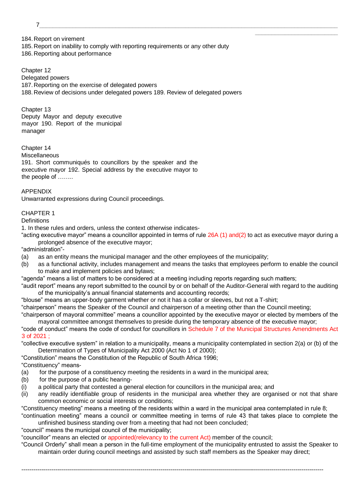7\_\_\_\_\_\_\_\_\_\_\_\_\_\_\_\_\_\_\_\_\_\_\_\_\_\_\_\_\_\_\_\_\_\_\_\_\_\_\_\_\_\_\_\_\_\_\_\_\_\_\_\_\_\_\_\_\_\_\_\_\_\_\_\_\_\_\_\_\_\_\_\_\_\_\_\_\_\_\_\_\_\_\_\_\_\_\_\_\_\_

184. Report on virement 185. Report on inability to comply with reporting requirements or any other duty 186. Reporting about performance

Chapter 12 Delegated powers 187. Reporting on the exercise of delegated powers 188. Review of decisions under delegated powers 189. Review of delegated powers

Chapter 13 Deputy Mayor and deputy executive mayor 190. Report of the municipal manager

Chapter 14 Miscellaneous

191. Short communiqués to councillors by the speaker and the executive mayor 192. Special address by the executive mayor to the people of ……..

APPENDIX

Unwarranted expressions during Council proceedings.

## CHAPTER 1

**Definitions** 

1. In these rules and orders, unless the context otherwise indicates-

"acting executive mayor" means a councillor appointed in terms of rule 26A (1) and(2) to act as executive mayor during a prolonged absence of the executive mayor;

\_\_\_\_\_\_\_\_\_\_\_\_\_\_\_\_\_\_\_\_\_\_\_\_\_

"administration"-

- (a) as an entity means the municipal manager and the other employees of the municipality;
- (b) as a functional activity, includes management and means the tasks that employees perform to enable the council to make and implement policies and bylaws;

"agenda" means a list of matters to be considered at a meeting including reports regarding such matters;

"audit report" means any report submitted to the council by or on behalf of the Auditor-General with regard to the auditing of the municipality's annual financial statements and accounting records;

"blouse" means an upper-body garment whether or not it has a collar or sleeves, but not a T-shirt;

"chairperson" means the Speaker of the Council and chairperson of a meeting other than the Council meeting;

"chairperson of mayoral committee" means a councillor appointed by the executive mayor or elected by members of the mayoral committee amongst themselves to preside during the temporary absence of the executive mayor;

"code of conduct" means the code of conduct for councillors in Schedule 7 of the Municipal Structures Amendments Act 3 of 2021 ;

"collective executive system" in relation to a municipality, means a municipality contemplated in section 2(a) or (b) of the Determination of Types of Municipality Act 2000 (Act No 1 of 2000);

"Constitution" means the Constitution of the Republic of South Africa 1996;

"Constituency" means-

- (a) for the purpose of a constituency meeting the residents in a ward in the municipal area;
- (b) for the purpose of a public hearing-
- (i) a political party that contested a general election for councillors in the municipal area; and
- (ii) any readily identifiable group of residents in the municipal area whether they are organised or not that share common economic or social interests or conditions;

"Constituency meeting" means a meeting of the residents within a ward in the municipal area contemplated in rule 8; "continuation meeting" means a council or committee meeting in terms of rule 43 that takes place to complete the

unfinished business standing over from a meeting that had not been concluded;

"council" means the municipal council of the municipality;

"councillor" means an elected or appointed(relevancy to the current Act) member of the council;

"Council Orderly" shall mean a person in the full-time employment of the municipality entrusted to assist the Speaker to maintain order during council meetings and assisted by such staff members as the Speaker may direct;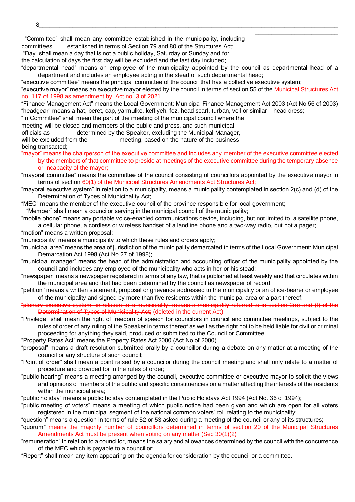"Committee" shall mean any committee established in the municipality, including

committees established in terms of Section 79 and 80 of the Structures Act;

"Day" shall mean a day that is not a public holiday, Saturday or Sunday and for

the calculation of days the first day will be excluded and the last day included;

"departmental head" means an employee of the municipality appointed by the council as departmental head of a department and includes an employee acting in the stead of such departmental head;

\_\_\_\_\_\_\_\_\_\_\_\_\_\_\_\_\_\_\_\_\_\_\_\_\_

"executive committee" means the principal committee of the council that has a collective executive system;

"executive mayor" means an executive mayor elected by the council in terms of section 55 of the Municipal Structures Act no. 117 of 1998 as amendment by Act no. 3 of 2021.

"Finance Management Act" means the Local Government: Municipal Finance Management Act 2003 (Act No 56 of 2003) "headgear" means a hat, beret, cap, yarmulke, keffiyeh, fez, head scarf, turban, veil or similar head dress;

"In Committee" shall mean the part of the meeting of the municipal council where the

meeting will be closed and members of the public and press, and such municipal

officials as determined by the Speaker, excluding the Municipal Manager, will be excluded from the meeting, based on the nature of the business

being transacted;

- "mayor" means the chairperson of the executive committee and includes any member of the executive committee elected
	- by the members of that committee to preside at meetings of the executive committee during the temporary absence or incapacity of the mayor;

"mayoral committee" means the committee of the council consisting of councillors appointed by the executive mayor in terms of section 60(1) of the Municipal Structures Amendments Act Structures Act;

- "mayoral executive system" in relation to a municipality, means a municipality contemplated in section 2(c) and (d) of the Determination of Types of Municipality Act;
- "MEC" means the member of the executive council of the province responsible for local government;
- "Member" shall mean a councilor serving in the municipal council of the municipality;
- "mobile phone" means any portable voice-enabled communications device, including, but not limited to, a satellite phone, a cellular phone, a cordless or wireless handset of a landline phone and a two-way radio, but not a pager;
- "motion" means a written proposal;
- "municipality" means a municipality to which these rules and orders apply;
- "municipal area" means the area of jurisdiction of the municipality demarcated in terms of the Local Government: Municipal Demarcation Act 1998 (Act No 27 of 1998);
- "municipal manager" means the head of the administration and accounting officer of the municipality appointed by the council and includes any employee of the municipality who acts in her or his stead;
- "newspaper" means a newspaper registered in terms of any law, that is published at least weekly and that circulates within the municipal area and that had been determined by the council as newspaper of record;
- "petition" means a written statement, proposal or grievance addressed to the municipality or an office-bearer or employee of the municipality and signed by more than five residents within the municipal area or a part thereof;
- "plenary executive system" in relation to a municipality, means a municipality referred to in section 2(e) and (f) of the Determination of Types of Municipality Act; (deleted in the current Act)
- "Privilege" shall mean the right of freedom of speech for councilors in council and committee meetings, subject to the rules of order of any ruling of the Speaker in terms thereof as well as the right not to be held liable for civil or criminal proceeding for anything they said, produced or submitted to the Council or Committee.
- "Property Rates Act" means the Property Rates Act 2000 (Act No of 2000)
- "proposal" means a draft resolution submitted orally by a councillor during a debate on any matter at a meeting of the council or any structure of such council;
- "Point of order" shall mean a point raised by a councilor during the council meeting and shall only relate to a matter of procedure and provided for in the rules of order;
- "public hearing" means a meeting arranged by the council, executive committee or executive mayor to solicit the views and opinions of members of the public and specific constituencies on a matter affecting the interests of the residents within the municipal area;
- "public holiday" means a public holiday contemplated in the Public Holidays Act 1994 (Act No. 36 of 1994);
- "public meeting of voters" means a meeting of which public notice had been given and which are open for all voters registered in the municipal segment of the national common voters' roll relating to the municipality;

"question" means a question in terms of rule 52 or 53 asked during a meeting of the council or any of its structures;

--------------------------------------------------------------------------------------------------------------------------------------------------------

- "quorum" means the majority number of councillors determined in terms of section 20 of the Municipal Structures Amendments Act must be present when voting on any matter (Sec 30(1)(2)
- "remuneration" in relation to a councillor, means the salary and allowances determined by the council with the concurrence of the MEC which is payable to a councillor;

"Report" shall mean any item appearing on the agenda for consideration by the council or a committee.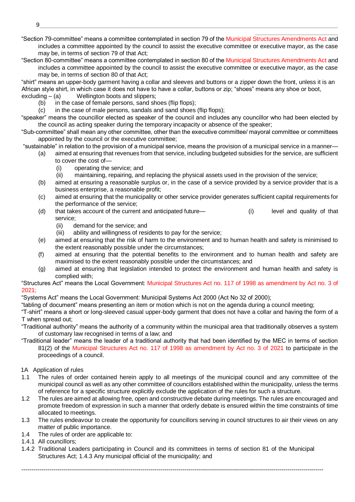\_\_\_\_\_\_\_\_\_\_\_\_\_\_\_\_\_\_\_\_\_\_\_\_\_ "Section 79-committee" means a committee contemplated in section 79 of the Municipal Structures Amendments Act and includes a committee appointed by the council to assist the executive committee or executive mayor, as the case may be, in terms of section 79 of that Act;

"Section 80-committee" means a committee contemplated in section 80 of the Municipal Structures Amendments Act and includes a committee appointed by the council to assist the executive committee or executive mayor, as the case may be, in terms of section 80 of that Act;

"shirt" means an upper-body garment having a collar and sleeves and buttons or a zipper down the front, unless it is an African style shirt, in which case it does not have to have a collar, buttons or zip; "shoes" means any shoe or boot, excluding – (a) Wellington boots and slippers;

- (b) in the case of female persons, sand shoes (flip flops);
- (c) in the case of male persons, sandals and sand shoes (flip flops);

"speaker" means the councillor elected as speaker of the council and includes any councillor who had been elected by the council as acting speaker during the temporary incapacity or absence of the speaker;

"Sub-committee" shall mean any other committee, other than the executive committee/ mayoral committee or committees appointed by the council or the executive committee;

- "sustainable" in relation to the provision of a municipal service, means the provision of a municipal service in a manner—
	- (a) aimed at ensuring that revenues from that service, including budgeted subsidies for the service, are sufficient to cover the cost of—
		- (i) operating the service; and
		- (ii) maintaining, repairing, and replacing the physical assets used in the provision of the service;
	- (b) aimed at ensuring a reasonable surplus or, in the case of a service provided by a service provider that is a business enterprise, a reasonable profit;
	- (c) aimed at ensuring that the municipality or other service provider generates sufficient capital requirements for the performance of the service;
	- (d) that takes account of the current and anticipated future— (i) level and quality of that service;
		- (ii) demand for the service; and
		- (iii) ability and willingness of residents to pay for the service;
	- (e) aimed at ensuring that the risk of harm to the environment and to human health and safety is minimised to the extent reasonably possible under the circumstances;
	- (f) aimed at ensuring that the potential benefits to the environment and to human health and safety are maximised to the extent reasonably possible under the circumstances; and
	- (g) aimed at ensuring that legislation intended to protect the environment and human health and safety is complied with;

"Structures Act" means the Local Government: Municipal Structures Act no. 117 of 1998 as amendment by Act no. 3 of 2021;

"Systems Act" means the Local Government: Municipal Systems Act 2000 (Act No 32 of 2000);

"tabling of document" means presenting an item or motion which is not on the agenda during a council meeting;

"T-shirt" means a short or long-sleeved casual upper-body garment that does not have a collar and having the form of a T when spread out;

"Traditional authority" means the authority of a community within the municipal area that traditionally observes a system of customary law recognised in terms of a law; and

"Traditional leader" means the leader of a traditional authority that had been identified by the MEC in terms of section 81(2) of the Municipal Structures Act no. 117 of 1998 as amendment by Act no. 3 of 2021 to participate in the proceedings of a council.

## 1A Application of rules

- 1.1 The rules of order contained herein apply to all meetings of the municipal council and any committee of the municipal council as well as any other committee of councillors established within the municipality, unless the terms of reference for a specific structure explicitly exclude the application of the rules for such a structure.
- 1.2 The rules are aimed at allowing free, open and constructive debate during meetings. The rules are encouraged and promote freedom of expression in such a manner that orderly debate is ensured within the time constraints of time allocated to meetings.
- 1.3 The rules endeavour to create the opportunity for councillors serving in council structures to air their views on any matter of public importance.
- 1.4 The rules of order are applicable to:
- 1.4.1 All councillors;
- 1.4.2 Traditional Leaders participating in Council and its committees in terms of section 81 of the Municipal Structures Act; 1.4.3 Any municipal official of the municipality; and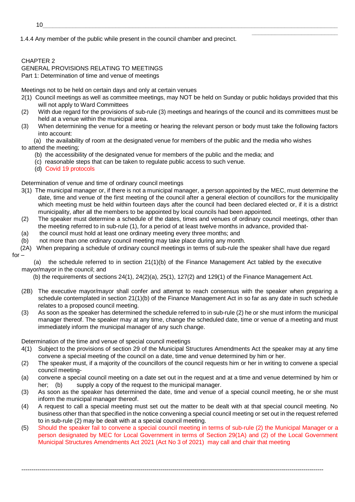1.4.4 Any member of the public while present in the council chamber and precinct.

# CHAPTER 2

GENERAL PROVISIONS RELATING TO MEETINGS Part 1: Determination of time and venue of meetings

Meetings not to be held on certain days and only at certain venues

2(1) Council meetings as well as committee meetings, may NOT be held on Sunday or public holidays provided that this will not apply to Ward Committees

\_\_\_\_\_\_\_\_\_\_\_\_\_\_\_\_\_\_\_\_\_\_\_\_\_\_

- (2) With due regard for the provisions of sub-rule (3) meetings and hearings of the council and its committees must be held at a venue within the municipal area.
- (3) When determining the venue for a meeting or hearing the relevant person or body must take the following factors into account:

(a) the availability of room at the designated venue for members of the public and the media who wishes to attend the meeting;

- (b) the accessibility of the designated venue for members of the public and the media; and
- (c) reasonable steps that can be taken to regulate public access to such venue.
- (d) Covid 19 protocols

Determination of venue and time of ordinary council meetings

- 3(1) The municipal manager or, if there is not a municipal manager, a person appointed by the MEC, must determine the date, time and venue of the first meeting of the council after a general election of councillors for the municipality which meeting must be held within fourteen days after the council had been declared elected or, if it is a district municipality, after all the members to be appointed by local councils had been appointed.
- (2) The speaker must determine a schedule of the dates, times and venues of ordinary council meetings, other than the meeting referred to in sub-rule (1), for a period of at least twelve months in advance, provided that-
- (a) the council must hold at least one ordinary meeting every three months; and
- (b) not more than one ordinary council meeting may take place during any month.
- (2A) When preparing a schedule of ordinary council meetings in terms of sub-rule the speaker shall have due regard for –

(a) the schedule referred to in section 21(1)(b) of the Finance Management Act tabled by the executive mayor/mayor in the council; and

(b) the requirements of sections 24(1), 24(2)(a), 25(1), 127(2) and 129(1) of the Finance Management Act.

- (2B) The executive mayor/mayor shall confer and attempt to reach consensus with the speaker when preparing a schedule contemplated in section 21(1)(b) of the Finance Management Act in so far as any date in such schedule relates to a proposed council meeting.
- (3) As soon as the speaker has determined the schedule referred to in sub-rule (2) he or she must inform the municipal manager thereof. The speaker may at any time, change the scheduled date, time or venue of a meeting and must immediately inform the municipal manager of any such change.

Determination of the time and venue of special council meetings

- 4(1) Subject to the provisions of section 29 of the Municipal Structures Amendments Act the speaker may at any time convene a special meeting of the council on a date, time and venue determined by him or her.
- (2) The speaker must, if a majority of the councillors of the council requests him or her in writing to convene a special council meeting-
- (a) convene a special council meeting on a date set out in the request and at a time and venue determined by him or her; (b) supply a copy of the request to the municipal manager.
- (3) As soon as the speaker has determined the date, time and venue of a special council meeting, he or she must inform the municipal manager thereof.
- (4) A request to call a special meeting must set out the matter to be dealt with at that special council meeting. No business other than that specified in the notice convening a special council meeting or set out in the request referred to in sub-rule (2) may be dealt with at a special council meeting.
- (5) Should the speaker fail to convene a special council meeting in terms of sub-rule (2) the Municipal Manager or a person designated by MEC for Local Government in terms of Section 29(1A) and (2) of the Local Government Municipal Structures Amendments Act 2021 (Act No 3 of 2021) may call and chair that meeting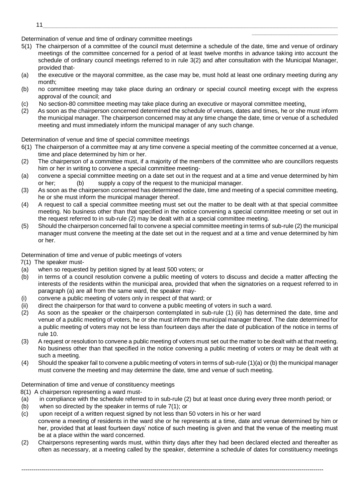- Determination of venue and time of ordinary committee meetings
- 5(1) The chairperson of a committee of the council must determine a schedule of the date, time and venue of ordinary meetings of the committee concerned for a period of at least twelve months in advance taking into account the schedule of ordinary council meetings referred to in rule 3(2) and after consultation with the Municipal Manager, provided that-

\_\_\_\_\_\_\_\_\_\_\_\_\_\_\_\_\_\_\_\_\_\_\_\_\_\_

- (a) the executive or the mayoral committee, as the case may be, must hold at least one ordinary meeting during any month;
- (b) no committee meeting may take place during an ordinary or special council meeting except with the express approval of the council; and
- (c) No section-80 committee meeting may take place during an executive or mayoral committee meeting.
- (2) As soon as the chairperson concerned determined the schedule of venues, dates and times, he or she must inform the municipal manager. The chairperson concerned may at any time change the date, time or venue of a scheduled meeting and must immediately inform the municipal manager of any such change.

## Determination of venue and time of special committee meetings

- 6(1) The chairperson of a committee may at any time convene a special meeting of the committee concerned at a venue, time and place determined by him or her.
- (2) The chairperson of a committee must, if a majority of the members of the committee who are councillors requests him or her in writing to convene a special committee meeting-
- (a) convene a special committee meeting on a date set out in the request and at a time and venue determined by him or her; (b) supply a copy of the request to the municipal manager.
- (3) As soon as the chairperson concerned has determined the date, time and meeting of a special committee meeting, he or she must inform the municipal manager thereof.
- (4) A request to call a special committee meeting must set out the matter to be dealt with at that special committee meeting. No business other than that specified in the notice convening a special committee meeting or set out in the request referred to in sub-rule (2) may be dealt with at a special committee meeting.
- (5) Should the chairperson concerned fail to convene a special committee meeting in terms of sub-rule (2) the municipal manager must convene the meeting at the date set out in the request and at a time and venue determined by him or her.

Determination of time and venue of public meetings of voters

- 7(1) The speaker must-
- (a) when so requested by petition signed by at least 500 voters; or
- (b) in terms of a council resolution convene a public meeting of voters to discuss and decide a matter affecting the interests of the residents within the municipal area, provided that when the signatories on a request referred to in paragraph (a) are all from the same ward, the speaker may-
- (i) convene a public meeting of voters only in respect of that ward; or
- (ii) direct the chairperson for that ward to convene a public meeting of voters in such a ward.
- (2) As soon as the speaker or the chairperson contemplated in sub-rule (1) (ii) has determined the date, time and venue of a public meeting of voters, he or she must inform the municipal manager thereof. The date determined for a public meeting of voters may not be less than fourteen days after the date of publication of the notice in terms of rule 10.
- (3) A request or resolution to convene a public meeting of voters must set out the matter to be dealt with at that meeting. No business other than that specified in the notice convening a public meeting of voters or may be dealt with at such a meeting.
- (4) Should the speaker fail to convene a public meeting of voters in terms of sub-rule (1)(a) or (b) the municipal manager must convene the meeting and may determine the date, time and venue of such meeting.

Determination of time and venue of constituency meetings

8(1) A chairperson representing a ward must-

- (a) in compliance with the schedule referred to in sub-rule (2) but at least once during every three month period; or
- (b) when so directed by the speaker in terms of rule 7(1); or
- (c) upon receipt of a written request signed by not less than 50 voters in his or her ward convene a meeting of residents in the ward she or he represents at a time, date and venue determined by him or her, provided that at least fourteen days' notice of such meeting is given and that the venue of the meeting must be at a place within the ward concerned.
- (2) Chairpersons representing wards must, within thirty days after they had been declared elected and thereafter as often as necessary, at a meeting called by the speaker, determine a schedule of dates for constituency meetings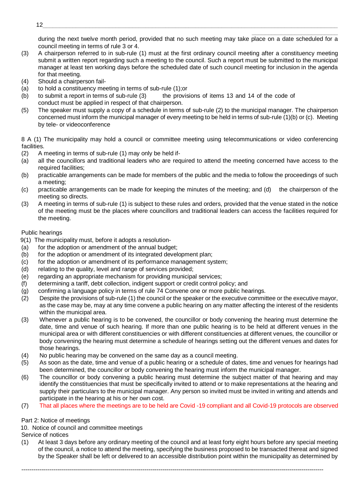\_\_\_\_\_\_\_\_\_\_\_\_\_\_\_\_\_\_\_\_\_\_\_\_\_\_ during the next twelve month period, provided that no such meeting may take place on a date scheduled for a council meeting in terms of rule 3 or 4.

- (3) A chairperson referred to in sub-rule (1) must at the first ordinary council meeting after a constituency meeting submit a written report regarding such a meeting to the council. Such a report must be submitted to the municipal manager at least ten working days before the scheduled date of such council meeting for inclusion in the agenda for that meeting.
- (4) Should a chairperson fail-
- (a) to hold a constituency meeting in terms of sub-rule (1);or
- (b) to submit a report in terms of sub-rule  $(3)$  the provisions of items 13 and 14 of the code of conduct must be applied in respect of that chairperson.
- (5) The speaker must supply a copy of a schedule in terms of sub-rule (2) to the municipal manager. The chairperson concerned must inform the municipal manager of every meeting to be held in terms of sub-rule (1)(b) or (c). Meeting by tele- or videoconference

8 A (1) The municipality may hold a council or committee meeting using telecommunications or video conferencing facilities.

- (2) A meeting in terms of sub-rule (1) may only be held if-
- (a) all the councillors and traditional leaders who are required to attend the meeting concerned have access to the required facilities:
- (b) practicable arrangements can be made for members of the public and the media to follow the proceedings of such a meeting;
- (c) practicable arrangements can be made for keeping the minutes of the meeting; and (d) the chairperson of the meeting so directs.
- (3) A meeting in terms of sub-rule (1) is subject to these rules and orders, provided that the venue stated in the notice of the meeting must be the places where councillors and traditional leaders can access the facilities required for the meeting.

## Public hearings

- 9(1) The municipality must, before it adopts a resolution-
- (a) for the adoption or amendment of the annual budget;
- (b) for the adoption or amendment of its integrated development plan;
- (c) for the adoption or amendment of its performance management system;
- (d) relating to the quality, level and range of services provided;
- (e) regarding an appropriate mechanism for providing municipal services;
- (f) determining a tariff, debt collection, indigent support or credit control policy; and
- (g) confirming a language policy in terms of rule 74 Convene one or more public hearings.
- (2) Despite the provisions of sub-rule (1) the council or the speaker or the executive committee or the executive mayor, as the case may be, may at any time convene a public hearing on any matter affecting the interest of the residents within the municipal area.
- (3) Whenever a public hearing is to be convened, the councillor or body convening the hearing must determine the date, time and venue of such hearing. If more than one public hearing is to be held at different venues in the municipal area or with different constituencies or with different constituencies at different venues, the councillor or body convening the hearing must determine a schedule of hearings setting out the different venues and dates for those hearings.
- (4) No public hearing may be convened on the same day as a council meeting.
- (5) As soon as the date, time and venue of a public hearing or a schedule of dates, time and venues for hearings had been determined, the councillor or body convening the hearing must inform the municipal manager.
- (6) The councillor or body convening a public hearing must determine the subject matter of that hearing and may identify the constituencies that must be specifically invited to attend or to make representations at the hearing and supply their particulars to the municipal manager. Any person so invited must be invited in writing and attends and participate in the hearing at his or her own cost.
- (7) That all places where the meetings are to be held are Covid -19 compliant and all Covid-19 protocols are observed

Part 2: Notice of meetings

10. Notice of council and committee meetings

Service of notices

(1) At least 3 days before any ordinary meeting of the council and at least forty eight hours before any special meeting of the council, a notice to attend the meeting, specifying the business proposed to be transacted thereat and signed by the Speaker shall be left or delivered to an accessible distribution point within the municipality as determined by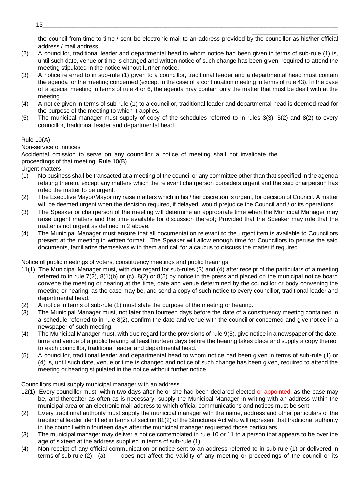\_\_\_\_\_\_\_\_\_\_\_\_\_\_\_\_\_\_\_\_\_\_\_\_\_\_ the council from time to time / sent be electronic mail to an address provided by the councillor as his/her official address / mail address.

- (2) A councillor, traditional leader and departmental head to whom notice had been given in terms of sub-rule (1) is, until such date, venue or time is changed and written notice of such change has been given, required to attend the meeting stipulated in the notice without further notice.
- (3) A notice referred to in sub-rule (1) given to a councillor, traditional leader and a departmental head must contain the agenda for the meeting concerned (except in the case of a continuation meeting in terms of rule 43). In the case of a special meeting in terms of rule 4 or 6, the agenda may contain only the matter that must be dealt with at the meeting.
- (4) A notice given in terms of sub-rule (1) to a councillor, traditional leader and departmental head is deemed read for the purpose of the meeting to which it applies.
- (5) The municipal manager must supply of copy of the schedules referred to in rules 3(3), 5(2) and 8(2) to every councillor, traditional leader and departmental head.

## Rule 10(A)

Non-service of notices

Accidental omission to serve on any councillor a notice of meeting shall not invalidate the proceedings of that meeting. Rule 10(B)

Urgent matters

- (1) No business shall be transacted at a meeting of the council or any committee other than that specified in the agenda relating thereto, except any matters which the relevant chairperson considers urgent and the said chairperson has ruled the matter to be urgent.
- (2) The Executive Mayor/Mayor my raise matters which in his / her discretion is urgent, for decision of Council. A matter will be deemed urgent when the decision required, if delayed, would prejudice the Council and / or its operations.
- (3) The Speaker or chairperson of the meeting will determine an appropriate time when the Municipal Manager may raise urgent matters and the time available for discussion thereof; Provided that the Speaker may rule that the matter is not urgent as defined in 2 above.
- (4) The Municipal Manager must ensure that all documentation relevant to the urgent item is available to Councillors present at the meeting in written format. The Speaker will allow enough time for Councillors to peruse the said documents, familiarize themselves with them and call for a caucus to discuss the matter if required.

Notice of public meetings of voters, constituency meetings and public hearings

- 11(1) The Municipal Manager must, with due regard for sub-rules (3) and (4) after receipt of the particulars of a meeting referred to in rule 7(2), 8(1)(b) or (c), 8(2) or 8(5) by notice in the press and placed on the municipal notice board convene the meeting or hearing at the time, date and venue determined by the councillor or body convening the meeting or hearing, as the case may be, and send a copy of such notice to every councillor, traditional leader and departmental head.
- (2) A notice in terms of sub-rule (1) must state the purpose of the meeting or hearing.
- (3) The Municipal Manager must, not later than fourteen days before the date of a constituency meeting contained in a schedule referred to in rule 8(2), confirm the date and venue with the councillor concerned and give notice in a newspaper of such meeting.
- (4) The Municipal Manager must, with due regard for the provisions of rule 9(5), give notice in a newspaper of the date, time and venue of a public hearing at least fourteen days before the hearing takes place and supply a copy thereof to each councillor, traditional leader and departmental head.
- (5) A councillor, traditional leader and departmental head to whom notice had been given in terms of sub-rule (1) or (4) is, until such date, venue or time is changed and notice of such change has been given, required to attend the meeting or hearing stipulated in the notice without further notice.

Councillors must supply municipal manager with an address

- 12(1) Every councillor must, within two days after he or she had been declared elected or appointed, as the case may be, and thereafter as often as is necessary, supply the Municipal Manager in writing with an address within the municipal area or an electronic mail address to which official communications and notices must be sent.
- (2) Every traditional authority must supply the municipal manager with the name, address and other particulars of the traditional leader identified in terms of section 81(2) of the Structures Act who will represent that traditional authority in the council within fourteen days after the municipal manager requested those particulars.
- (3) The municipal manager may deliver a notice contemplated in rule 10 or 11 to a person that appears to be over the age of sixteen at the address supplied in terms of sub-rule (1).
- (4) Non-receipt of any official communication or notice sent to an address referred to in sub-rule (1) or delivered in terms of sub-rule (2)- (a) does not affect the validity of any meeting or proceedings of the council or its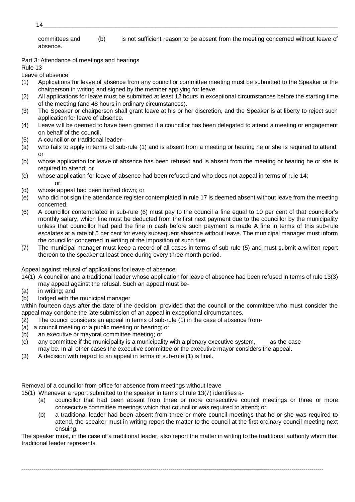\_\_\_\_\_\_\_\_\_\_\_\_\_\_\_\_\_\_\_\_\_\_\_\_\_\_ committees and (b) is not sufficient reason to be absent from the meeting concerned without leave of absence.

## Part 3: Attendance of meetings and hearings

Rule 13

Leave of absence

- (1) Applications for leave of absence from any council or committee meeting must be submitted to the Speaker or the chairperson in writing and signed by the member applying for leave.
- (2) All applications for leave must be submitted at least 12 hours in exceptional circumstances before the starting time of the meeting (and 48 hours in ordinary circumstances).
- (3) The Speaker or chairperson shall grant leave at his or her discretion, and the Speaker is at liberty to reject such application for leave of absence.
- (4) Leave will be deemed to have been granted if a councillor has been delegated to attend a meeting or engagement on behalf of the council.
- (5) A councillor or traditional leader-
- (a) who fails to apply in terms of sub-rule (1) and is absent from a meeting or hearing he or she is required to attend; or
- (b) whose application for leave of absence has been refused and is absent from the meeting or hearing he or she is required to attend; or
- (c) whose application for leave of absence had been refused and who does not appeal in terms of rule 14; or
- (d) whose appeal had been turned down; or
- (e) who did not sign the attendance register contemplated in rule 17 is deemed absent without leave from the meeting concerned.
- (6) A councillor contemplated in sub-rule (6) must pay to the council a fine equal to 10 per cent of that councillor's monthly salary, which fine must be deducted from the first next payment due to the councillor by the municipality unless that councillor had paid the fine in cash before such payment is made A fine in terms of this sub-rule escalates at a rate of 5 per cent for every subsequent absence without leave. The municipal manager must inform the councillor concerned in writing of the imposition of such fine.
- (7) The municipal manager must keep a record of all cases in terms of sub-rule (5) and must submit a written report thereon to the speaker at least once during every three month period.

Appeal against refusal of applications for leave of absence

- 14(1) A councillor and a traditional leader whose application for leave of absence had been refused in terms of rule 13(3) may appeal against the refusal. Such an appeal must be-
- (a) in writing; and
- (b) lodged with the municipal manager

within fourteen days after the date of the decision, provided that the council or the committee who must consider the appeal may condone the late submission of an appeal in exceptional circumstances.

- (2) The council considers an appeal in terms of sub-rule (1) in the case of absence from-
- (a) a council meeting or a public meeting or hearing; or
- (b) an executive or mayoral committee meeting; or
- (c) any committee if the municipality is a municipality with a plenary executive system, as the case may be. In all other cases the executive committee or the executive mayor considers the appeal.
- (3) A decision with regard to an appeal in terms of sub-rule (1) is final.

Removal of a councillor from office for absence from meetings without leave

15(1) Whenever a report submitted to the speaker in terms of rule 13(7) identifies a-

- (a) councillor that had been absent from three or more consecutive council meetings or three or more consecutive committee meetings which that councillor was required to attend; or
- (b) a traditional leader had been absent from three or more council meetings that he or she was required to attend, the speaker must in writing report the matter to the council at the first ordinary council meeting next ensuing.

The speaker must, in the case of a traditional leader, also report the matter in writing to the traditional authority whom that traditional leader represents.

--------------------------------------------------------------------------------------------------------------------------------------------------------

14\_\_\_\_\_\_\_\_\_\_\_\_\_\_\_\_\_\_\_\_\_\_\_\_\_\_\_\_\_\_\_\_\_\_\_\_\_\_\_\_\_\_\_\_\_\_\_\_\_\_\_\_\_\_\_\_\_\_\_\_\_\_\_\_\_\_\_\_\_\_\_\_\_\_\_\_\_\_\_\_\_\_\_\_\_\_\_\_\_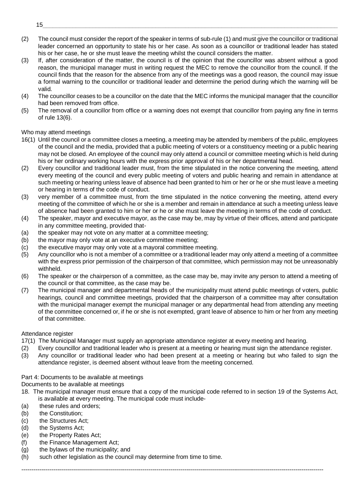- \_\_\_\_\_\_\_\_\_\_\_\_\_\_\_\_\_\_\_\_\_\_\_\_\_\_ (2) The council must consider the report of the speaker in terms of sub-rule (1) and must give the councillor or traditional leader concerned an opportunity to state his or her case. As soon as a councillor or traditional leader has stated his or her case, he or she must leave the meeting whilst the council considers the matter.
- (3) If, after consideration of the matter, the council is of the opinion that the councillor was absent without a good reason, the municipal manager must in writing request the MEC to remove the councillor from the council. If the council finds that the reason for the absence from any of the meetings was a good reason, the council may issue a formal warning to the councillor or traditional leader and determine the period during which the warning will be valid.
- (4) The councillor ceases to be a councillor on the date that the MEC informs the municipal manager that the councillor had been removed from office.
- (5) The removal of a councillor from office or a warning does not exempt that councillor from paying any fine in terms of rule 13(6).

#### Who may attend meetings

- 16(1) Until the council or a committee closes a meeting, a meeting may be attended by members of the public, employees of the council and the media, provided that a public meeting of voters or a constituency meeting or a public hearing may not be closed. An employee of the council may only attend a council or committee meeting which is held during his or her ordinary working hours with the express prior approval of his or her departmental head.
- (2) Every councillor and traditional leader must, from the time stipulated in the notice convening the meeting, attend every meeting of the council and every public meeting of voters and public hearing and remain in attendance at such meeting or hearing unless leave of absence had been granted to him or her or he or she must leave a meeting or hearing in terms of the code of conduct.
- (3) very member of a committee must, from the time stipulated in the notice convening the meeting, attend every meeting of the committee of which he or she is a member and remain in attendance at such a meeting unless leave of absence had been granted to him or her or he or she must leave the meeting in terms of the code of conduct.
- (4) The speaker, mayor and executive mayor, as the case may be, may by virtue of their offices, attend and participate in any committee meeting, provided that-
- (a) the speaker may not vote on any matter at a committee meeting;
- (b) the mayor may only vote at an executive committee meeting;
- (c) the executive mayor may only vote at a mayoral committee meeting.
- (5) Any councillor who is not a member of a committee or a traditional leader may only attend a meeting of a committee with the express prior permission of the chairperson of that committee, which permission may not be unreasonably withheld.
- (6) The speaker or the chairperson of a committee, as the case may be, may invite any person to attend a meeting of the council or that committee, as the case may be.
- (7) The municipal manager and departmental heads of the municipality must attend public meetings of voters, public hearings, council and committee meetings, provided that the chairperson of a committee may after consultation with the municipal manager exempt the municipal manager or any departmental head from attending any meeting of the committee concerned or, if he or she is not exempted, grant leave of absence to him or her from any meeting of that committee.

#### Attendance register

- 17(1) The Municipal Manager must supply an appropriate attendance register at every meeting and hearing.
- (2) Every councillor and traditional leader who is present at a meeting or hearing must sign the attendance register.
- (3) Any councillor or traditional leader who had been present at a meeting or hearing but who failed to sign the attendance register, is deemed absent without leave from the meeting concerned.

## Part 4: Documents to be available at meetings

Documents to be available at meetings

18. The municipal manager must ensure that a copy of the municipal code referred to in section 19 of the Systems Act, is available at every meeting. The municipal code must include-

- (a) these rules and orders;
- (b) the Constitution;
- (c) the Structures Act;
- (d) the Systems Act;
- (e) the Property Rates Act;
- (f) the Finance Management Act;
- (g) the bylaws of the municipality; and
- (h) such other legislation as the council may determine from time to time.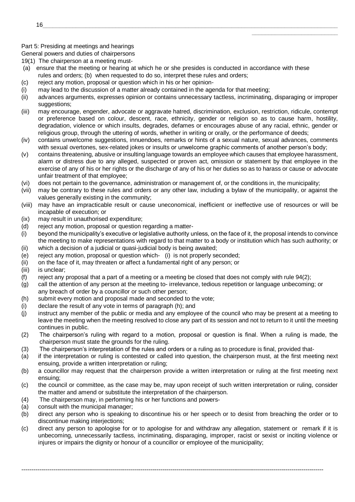#### Part 5: Presiding at meetings and hearings

General powers and duties of chairpersons

- 19(1) The chairperson at a meeting must-
- (a) ensure that the meeting or hearing at which he or she presides is conducted in accordance with these rules and orders; (b) when requested to do so, interpret these rules and orders;
- (c) reject any motion, proposal or question which in his or her opinion-
- (i) may lead to the discussion of a matter already contained in the agenda for that meeting;
- (ii) advances arguments, expresses opinion or contains unnecessary tactless, incriminating, disparaging or improper suggestions;

\_\_\_\_\_\_\_\_\_\_\_\_\_\_\_\_\_\_\_\_\_\_\_\_\_\_

- (iii) may encourage, engender, advocate or aggravate hatred, discrimination, exclusion, restriction, ridicule, contempt or preference based on colour, descent, race, ethnicity, gender or religion so as to cause harm, hostility, degradation, violence or which insults, degrades, defames or encourages abuse of any racial, ethnic, gender or religious group, through the uttering of words, whether in writing or orally, or the performance of deeds;
- (iv) contains unwelcome suggestions, innuendoes, remarks or hints of a sexual nature, sexual advances, comments with sexual overtones, sex-related jokes or insults or unwelcome graphic comments of another person's body;
- (v) contains threatening, abusive or insulting language towards an employee which causes that employee harassment, alarm or distress due to any alleged, suspected or proven act, omission or statement by that employee in the exercise of any of his or her rights or the discharge of any of his or her duties so as to harass or cause or advocate unfair treatment of that employee;
- (vi) does not pertain to the governance, administration or management of, or the conditions in, the municipality;
- (vii) may be contrary to these rules and orders or any other law, including a bylaw of the municipality, or against the values generally existing in the community;
- (viii) may have an impracticable result or cause uneconomical, inefficient or ineffective use of resources or will be incapable of execution; or
- (ix) may result in unauthorised expenditure;
- (d) reject any motion, proposal or question regarding a matter-
- (i) beyond the municipality's executive or legislative authority unless, on the face of it, the proposal intends to convince the meeting to make representations with regard to that matter to a body or institution which has such authority; or (ii) which a decision of a judicial or quasi-judicial body is being awaited;
- (e) reject any motion, proposal or question which- (i) is not properly seconded;
- (ii) on the face of it, may threaten or affect a fundamental right of any person; or
- (iii) is unclear;
- (f) reject any proposal that a part of a meeting or a meeting be closed that does not comply with rule 94(2);
- (g) call the attention of any person at the meeting to- irrelevance, tedious repetition or language unbecoming; or any breach of order by a councillor or such other person;
- (h) submit every motion and proposal made and seconded to the vote;
- (i) declare the result of any vote in terms of paragraph (h); and
- (j) instruct any member of the public or media and any employee of the council who may be present at a meeting to leave the meeting when the meeting resolved to close any part of its session and not to return to it until the meeting continues in public.
- (2) The chairperson's ruling with regard to a motion, proposal or question is final. When a ruling is made, the chairperson must state the grounds for the ruling.
- (3) The chairperson's interpretation of the rules and orders or a ruling as to procedure is final, provided that-
- (a) if the interpretation or ruling is contested or called into question, the chairperson must, at the first meeting next ensuing, provide a written interpretation or ruling;
- (b) a councillor may request that the chairperson provide a written interpretation or ruling at the first meeting next ensuing;
- (c) the council or committee, as the case may be, may upon receipt of such written interpretation or ruling, consider the matter and amend or substitute the interpretation of the chairperson.
- (4) The chairperson may, in performing his or her functions and powers-
- (a) consult with the municipal manager;
- (b) direct any person who is speaking to discontinue his or her speech or to desist from breaching the order or to discontinue making interjections;
- (c) direct any person to apologise for or to apologise for and withdraw any allegation, statement or remark if it is unbecoming, unnecessarily tactless, incriminating, disparaging, improper, racist or sexist or inciting violence or injures or impairs the dignity or honour of a councillor or employee of the municipality;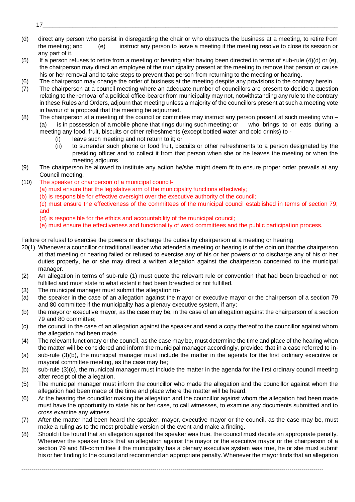(d) direct any person who persist in disregarding the chair or who obstructs the business at a meeting, to retire from the meeting; and (e) instruct any person to leave a meeting if the meeting resolve to close its session or any part of it.

\_\_\_\_\_\_\_\_\_\_\_\_\_\_\_\_\_\_\_\_\_\_\_\_\_\_

- (5) If a person refuses to retire from a meeting or hearing after having been directed in terms of sub-rule (4)(d) or (e), the chairperson may direct an employee of the municipality present at the meeting to remove that person or cause his or her removal and to take steps to prevent that person from returning to the meeting or hearing.
- (6) The chairperson may change the order of business at the meeting despite any provisions to the contrary herein.
- (7) The chairperson at a council meeting where an adequate number of councillors are present to decide a question relating to the removal of a political office-bearer from municipality may not, notwithstanding any rule to the contrary in these Rules and Orders, adjourn that meeting unless a majority of the councillors present at such a meeting vote in favour of a proposal that the meeting be adjourned.
- (8) The chairperson at a meeting of the council or committee may instruct any person present at such meeting who (a) is in possession of a mobile phone that rings during such meeting; or who brings to or eats during a meeting any food, fruit, biscuits or other refreshments (except bottled water and cold drinks) to -
	- (i) leave such meeting and not return to it; or
	- (ii) to surrender such phone or food fruit, biscuits or other refreshments to a person designated by the presiding officer and to collect it from that person when she or he leaves the meeting or when the meeting adjourns.
- (9) The chairperson be allowed to institute any action he/she might deem fit to ensure proper order prevails at any Council meeting.
- (10) The speaker or chairperson of a municipal council-
	- (a) must ensure that the legislative arm of the municipality functions effectively;
	- (b) is responsible for effective oversight over the executive authority of the council;
	- (c) must ensure the effectiveness of the committees of the municipal council established in terms of section 79; and
	- (d) is responsible for the ethics and accountability of the municipal council;
	- (e) must ensure the effectiveness and functionality of ward committees and the public participation process.

Failure or refusal to exercise the powers or discharge the duties by chairperson at a meeting or hearing

- 20(1) Whenever a councillor or traditional leader who attended a meeting or hearing is of the opinion that the chairperson at that meeting or hearing failed or refused to exercise any of his or her powers or to discharge any of his or her duties properly, he or she may direct a written allegation against the chairperson concerned to the municipal manager.
- (2) An allegation in terms of sub-rule (1) must quote the relevant rule or convention that had been breached or not fulfilled and must state to what extent it had been breached or not fulfilled.
- (3) The municipal manager must submit the allegation to-
- (a) the speaker in the case of an allegation against the mayor or executive mayor or the chairperson of a section 79 and 80 committee if the municipality has a plenary executive system, if any;
- (b) the mayor or executive mayor, as the case may be, in the case of an allegation against the chairperson of a section 79 and 80 committee;
- (c) the council in the case of an allegation against the speaker and send a copy thereof to the councillor against whom the allegation had been made.
- (4) The relevant functionary or the council, as the case may be, must determine the time and place of the hearing when the matter will be considered and inform the municipal manager accordingly, provided that in a case referred to in-
- (a) sub-rule (3)(b), the municipal manager must include the matter in the agenda for the first ordinary executive or mayoral committee meeting, as the case may be;
- (b) sub-rule (3)(c), the municipal manager must include the matter in the agenda for the first ordinary council meeting after receipt of the allegation.
- (5) The municipal manager must inform the councillor who made the allegation and the councillor against whom the allegation had been made of the time and place where the matter will be heard.
- (6) At the hearing the councillor making the allegation and the councillor against whom the allegation had been made must have the opportunity to state his or her case, to call witnesses, to examine any documents submitted and to cross examine any witness.
- (7) After the matter had been heard the speaker, mayor, executive mayor or the council, as the case may be, must make a ruling as to the most probable version of the event and make a finding.
- (8) Should it be found that an allegation against the speaker was true, the council must decide an appropriate penalty. Whenever the speaker finds that an allegation against the mayor or the executive mayor or the chairperson of a section 79 and 80-committee if the municipality has a plenary executive system was true, he or she must submit his or her finding to the council and recommend an appropriate penalty. Whenever the mayor finds that an allegation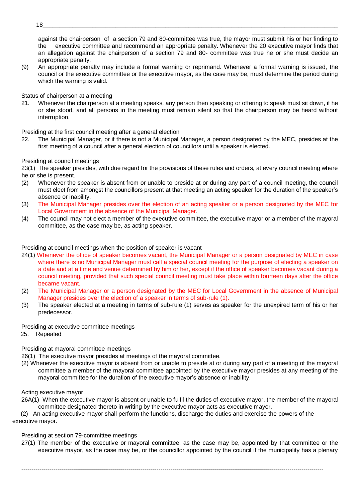against the chairperson of a section 79 and 80-committee was true, the mayor must submit his or her finding to the executive committee and recommend an appropriate penalty. Whenever the 20 executive mayor finds that an allegation against the chairperson of a section 79 and 80- committee was true he or she must decide an appropriate penalty.

\_\_\_\_\_\_\_\_\_\_\_\_\_\_\_\_\_\_\_\_\_\_\_\_\_\_

(9) An appropriate penalty may include a formal warning or reprimand. Whenever a formal warning is issued, the council or the executive committee or the executive mayor, as the case may be, must determine the period during which the warning is valid.

Status of chairperson at a meeting

21. Whenever the chairperson at a meeting speaks, any person then speaking or offering to speak must sit down, if he or she stood, and all persons in the meeting must remain silent so that the chairperson may be heard without interruption.

Presiding at the first council meeting after a general election

22. The Municipal Manager, or if there is not a Municipal Manager, a person designated by the MEC, presides at the first meeting of a council after a general election of councillors until a speaker is elected.

#### Presiding at council meetings

23(1) The speaker presides, with due regard for the provisions of these rules and orders, at every council meeting where he or she is present.

- (2) Whenever the speaker is absent from or unable to preside at or during any part of a council meeting, the council must elect from amongst the councillors present at that meeting an acting speaker for the duration of the speaker's absence or inability.
- (3) The Municipal Manager presides over the election of an acting speaker or a person designated by the MEC for Local Government in the absence of the Municipal Manager.
- (4) The council may not elect a member of the executive committee, the executive mayor or a member of the mayoral committee, as the case may be, as acting speaker.

Presiding at council meetings when the position of speaker is vacant

- 24(1) Whenever the office of speaker becomes vacant, the Municipal Manager or a person designated by MEC in case where there is no Municipal Manager must call a special council meeting for the purpose of electing a speaker on a date and at a time and venue determined by him or her, except if the office of speaker becomes vacant during a council meeting, provided that such special council meeting must take place within fourteen days after the office became vacant.
- (2) The Municipal Manager or a person designated by the MEC for Local Government in the absence of Municipal Manager presides over the election of a speaker in terms of sub-rule (1).
- (3) The speaker elected at a meeting in terms of sub-rule (1) serves as speaker for the unexpired term of his or her predecessor.

Presiding at executive committee meetings

25. Repealed

Presiding at mayoral committee meetings

26(1) The executive mayor presides at meetings of the mayoral committee.

(2) Whenever the executive mayor is absent from or unable to preside at or during any part of a meeting of the mayoral committee a member of the mayoral committee appointed by the executive mayor presides at any meeting of the mayoral committee for the duration of the executive mayor's absence or inability.

Acting executive mayor

26A(1) When the executive mayor is absent or unable to fulfil the duties of executive mayor, the member of the mayoral committee designated thereto in writing by the executive mayor acts as executive mayor.

(2) An acting executive mayor shall perform the functions, discharge the duties and exercise the powers of the executive mayor.

## Presiding at section 79-committee meetings

27(1) The member of the executive or mayoral committee, as the case may be, appointed by that committee or the executive mayor, as the case may be, or the councillor appointed by the council if the municipality has a plenary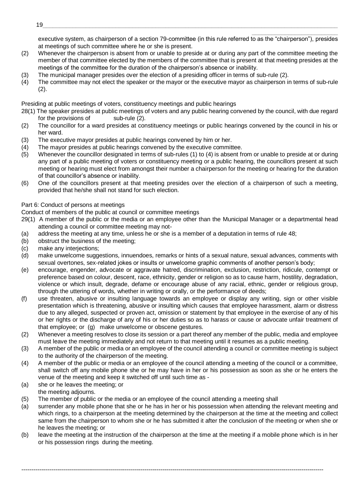executive system, as chairperson of a section 79-committee (in this rule referred to as the "chairperson"), presides at meetings of such committee where he or she is present.

\_\_\_\_\_\_\_\_\_\_\_\_\_\_\_\_\_\_\_\_\_\_\_\_\_\_

- (2) Whenever the chairperson is absent from or unable to preside at or during any part of the committee meeting the member of that committee elected by the members of the committee that is present at that meeting presides at the meetings of the committee for the duration of the chairperson's absence or inability.
- (3) The municipal manager presides over the election of a presiding officer in terms of sub-rule (2).
- (4) The committee may not elect the speaker or the mayor or the executive mayor as chairperson in terms of sub-rule (2).

Presiding at public meetings of voters, constituency meetings and public hearings

28(1) The speaker presides at public meetings of voters and any public hearing convened by the council, with due regard for the provisions of sub-rule (2).

- (2) The councillor for a ward presides at constituency meetings or public hearings convened by the council in his or her ward.
- (3) The executive mayor presides at public hearings convened by him or her.
- (4) The mayor presides at public hearings convened by the executive committee.
- (5) Whenever the councillor designated in terms of sub-rules (1) to (4) is absent from or unable to preside at or during any part of a public meeting of voters or constituency meeting or a public hearing, the councillors present at such meeting or hearing must elect from amongst their number a chairperson for the meeting or hearing for the duration of that councillor's absence or inability.
- (6) One of the councillors present at that meeting presides over the election of a chairperson of such a meeting, provided that he/she shall not stand for such election.

## Part 6: Conduct of persons at meetings

Conduct of members of the public at council or committee meetings

- 29(1) A member of the public or the media or an employee other than the Municipal Manager or a departmental head attending a council or committee meeting may not-
- (a) address the meeting at any time, unless he or she is a member of a deputation in terms of rule 48;
- (b) obstruct the business of the meeting;
- (c) make any interjections;
- (d) make unwelcome suggestions, innuendoes, remarks or hints of a sexual nature, sexual advances, comments with sexual overtones, sex-related jokes or insults or unwelcome graphic comments of another person's body;
- (e) encourage, engender, advocate or aggravate hatred, discrimination, exclusion, restriction, ridicule, contempt or preference based on colour, descent, race, ethnicity, gender or religion so as to cause harm, hostility, degradation, violence or which insult, degrade, defame or encourage abuse of any racial, ethnic, gender or religious group, through the uttering of words, whether in writing or orally, or the performance of deeds;
- (f) use threaten, abusive or insulting language towards an employee or display any writing, sign or other visible presentation which is threatening, abusive or insulting which causes that employee harassment, alarm or distress due to any alleged, suspected or proven act, omission or statement by that employee in the exercise of any of his or her rights or the discharge of any of his or her duties so as to harass or cause or advocate unfair treatment of that employee; or (g) make unwelcome or obscene gestures.
- (2) Whenever a meeting resolves to close its session or a part thereof any member of the public, media and employee must leave the meeting immediately and not return to that meeting until it resumes as a public meeting.
- (3) A member of the public or media or an employee of the council attending a council or committee meeting is subject to the authority of the chairperson of the meeting.
- (4) A member of the public or media or an employee of the council attending a meeting of the council or a committee, shall switch off any mobile phone she or he may have in her or his possession as soon as she or he enters the venue of the meeting and keep it switched off until such time as -
- (a) she or he leaves the meeting; or

the meeting adjourns.

- (5) The member of public or the media or an employee of the council attending a meeting shall
- (a) surrender any mobile phone that she or he has in her or his possession when attending the relevant meeting and which rings, to a chairperson at the meeting determined by the chairperson at the time at the meeting and collect same from the chairperson to whom she or he has submitted it after the conclusion of the meeting or when she or he leaves the meeting; or
- (b) leave the meeting at the instruction of the chairperson at the time at the meeting if a mobile phone which is in her or his possession rings during the meeting.

--------------------------------------------------------------------------------------------------------------------------------------------------------

19\_\_\_\_\_\_\_\_\_\_\_\_\_\_\_\_\_\_\_\_\_\_\_\_\_\_\_\_\_\_\_\_\_\_\_\_\_\_\_\_\_\_\_\_\_\_\_\_\_\_\_\_\_\_\_\_\_\_\_\_\_\_\_\_\_\_\_\_\_\_\_\_\_\_\_\_\_\_\_\_\_\_\_\_\_\_\_\_\_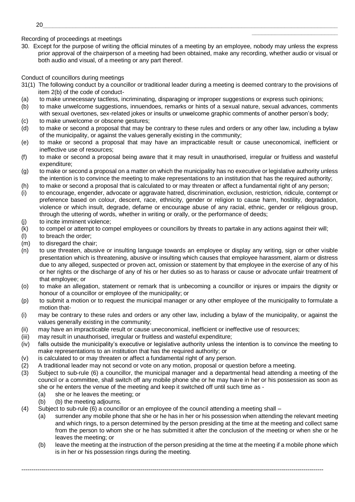Recording of proceedings at meetings

30. Except for the purpose of writing the official minutes of a meeting by an employee, nobody may unless the express prior approval of the chairperson of a meeting had been obtained, make any recording, whether audio or visual or both audio and visual, of a meeting or any part thereof.

\_\_\_\_\_\_\_\_\_\_\_\_\_\_\_\_\_\_\_\_\_\_\_\_\_\_

Conduct of councillors during meetings

- 31(1) The following conduct by a councillor or traditional leader during a meeting is deemed contrary to the provisions of item 2(b) of the code of conduct-
- (a) to make unnecessary tactless, incriminating, disparaging or improper suggestions or express such opinions;
- (b) to make unwelcome suggestions, innuendoes, remarks or hints of a sexual nature, sexual advances, comments with sexual overtones, sex-related jokes or insults or unwelcome graphic comments of another person's body;
- (c) to make unwelcome or obscene gestures;
- (d) to make or second a proposal that may be contrary to these rules and orders or any other law, including a bylaw of the municipality, or against the values generally existing in the community;
- (e) to make or second a proposal that may have an impracticable result or cause uneconomical, inefficient or ineffective use of resources;
- (f) to make or second a proposal being aware that it may result in unauthorised, irregular or fruitless and wasteful expenditure;
- (g) to make or second a proposal on a matter on which the municipality has no executive or legislative authority unless the intention is to convince the meeting to make representations to an institution that has the required authority;
- (h) to make or second a proposal that is calculated to or may threaten or affect a fundamental right of any person;
- (i) to encourage, engender, advocate or aggravate hatred, discrimination, exclusion, restriction, ridicule, contempt or preference based on colour, descent, race, ethnicity, gender or religion to cause harm, hostility, degradation, violence or which insult, degrade, defame or encourage abuse of any racial, ethnic, gender or religious group, through the uttering of words, whether in writing or orally, or the performance of deeds;
- (j) to incite imminent violence;
- (k) to compel or attempt to compel employees or councillors by threats to partake in any actions against their will;
- (l) to breach the order;
- (m) to disregard the chair;
- (n) to use threaten, abusive or insulting language towards an employee or display any writing, sign or other visible presentation which is threatening, abusive or insulting which causes that employee harassment, alarm or distress due to any alleged, suspected or proven act, omission or statement by that employee in the exercise of any of his or her rights or the discharge of any of his or her duties so as to harass or cause or advocate unfair treatment of that employee; or
- (o) to make an allegation, statement or remark that is unbecoming a councillor or injures or impairs the dignity or honour of a councillor or employee of the municipality; or
- (p) to submit a motion or to request the municipal manager or any other employee of the municipality to formulate a motion that-
- (i) may be contrary to these rules and orders or any other law, including a bylaw of the municipality, or against the values generally existing in the community;
- (ii) may have an impracticable result or cause uneconomical, inefficient or ineffective use of resources;
- (iii) may result in unauthorised, irregular or fruitless and wasteful expenditure;
- (iv) falls outside the municipality's executive or legislative authority unless the intention is to convince the meeting to make representations to an institution that has the required authority; or
- (v) is calculated to or may threaten or affect a fundamental right of any person.
- (2) A traditional leader may not second or vote on any motion, proposal or question before a meeting.
- (3) Subject to sub-rule (6) a councillor, the municipal manager and a departmental head attending a meeting of the council or a committee, shall switch off any mobile phone she or he may have in her or his possession as soon as she or he enters the venue of the meeting and keep it switched off until such time as -
	- (a) she or he leaves the meeting; or
	- (b) (b) the meeting adjourns.
- (4) Subject to sub-rule (6) a councillor or an employee of the council attending a meeting shall
	- (a) surrender any mobile phone that she or he has in her or his possession when attending the relevant meeting and which rings, to a person determined by the person presiding at the time at the meeting and collect same from the person to whom she or he has submitted it after the conclusion of the meeting or when she or he leaves the meeting; or
	- (b) leave the meeting at the instruction of the person presiding at the time at the meeting if a mobile phone which is in her or his possession rings during the meeting.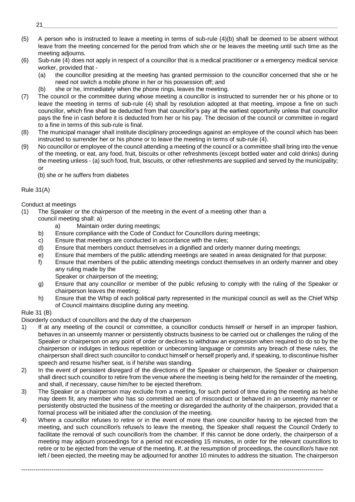- \_\_\_\_\_\_\_\_\_\_\_\_\_\_\_\_\_\_\_\_\_\_\_\_\_\_ (5) A person who is instructed to leave a meeting in terms of sub-rule (4)(b) shall be deemed to be absent without leave from the meeting concerned for the period from which she or he leaves the meeting until such time as the meeting adjourns.
- (6) Sub-rule (4) does not apply in respect of a councillor that is a medical practitioner or a emergency medical service worker, provided that -
	- (a) the councillor presiding at the meeting has granted permission to the councillor concerned that she or he need not switch a mobile phone in her or his possession off; and
	- (b) she or he, immediately when the phone rings, leaves the meeting.
- (7) The council or the committee during whose meeting a councillor is instructed to surrender her or his phone or to leave the meeting in terms of sub-rule (4) shall by resolution adopted at that meeting, impose a fine on such councillor, which fine shall be deducted from that councillor's pay at the earliest opportunity unless that councillor pays the fine in cash before it is deducted from her or his pay. The decision of the council or committee in regard to a fine in terms of this sub-rule is final.
- (8) The municipal manager shall institute disciplinary proceedings against an employee of the council which has been instructed to surrender her or his phone or to leave the meeting in terms of sub-rule (4).
- (9) No councillor or employee of the council attending a meeting of the council or a committee shall bring into the venue of the meeting, or eat, any food, fruit, biscuits or other refreshments (except bottled water and cold drinks) during the meeting unless - (a) such food, fruit, biscuits, or other refreshments are supplied and served by the municipality; or

(b) she or he suffers from diabetes

## Rule 31(A)

## Conduct at meetings

- (1) The Speaker or the chairperson of the meeting in the event of a meeting other than a
	- council meeting shall: a)
		- a) Maintain order during meetings;
	- b) Ensure compliance with the Code of Conduct for Councillors during meetings;
	- c) Ensure that meetings are conducted in accordance with the rules;
	- d) Ensure that members conduct themselves in a dignified and orderly manner during meetings;
	- e) Ensure that members of the public attending meetings are seated in areas designated for that purpose;
	- f) Ensure that members of the public attending meetings conduct themselves in an orderly manner and obey any ruling made by the
		- Speaker or chairperson of the meeting;
	- g) Ensure that any councillor or member of the public refusing to comply with the ruling of the Speaker or chairperson leaves the meeting;
	- h) Ensure that the Whip of each political party represented in the municipal council as well as the Chief Whip of Council maintains discipline during any meeting.

## Rule 31 (B)

Disorderly conduct of councillors and the duty of the chairperson

- 1) If at any meeting of the council or committee, a councillor conducts himself or herself in an improper fashion, behaves in an unseemly manner or persistently obstructs business to be carried out or challenges the ruling of the Speaker or chairperson on any point of order or declines to withdraw an expression when required to do so by the chairperson or indulges in tedious repetition or unbecoming language or commits any breach of these rules, the chairperson shall direct such councillor to conduct himself or herself properly and, if speaking, to discontinue his/her speech and resume his/her seat, is if he/she was standing.
- 2) In the event of persistent disregard of the directions of the Speaker or chairperson, the Speaker or chairperson shall direct such councillor to retire from the venue where the meeting is being held for the remainder of the meeting, and shall, if necessary, cause him/her to be ejected therefrom.
- 3) The Speaker or a chairperson may exclude from a meeting, for such period of time during the meeting as he/she may deem fit, any member who has so committed an act of misconduct or behaved in an unseemly manner or persistently obstructed the business of the meeting or disregarded the authority of the chairperson, provided that a formal process will be initiated after the conclusion of the meeting.
- 4) Where a councillor refuses to retire or in the event of more than one councillor having to be ejected from the meeting, and such councillor/s refuse/s to leave the meeting, the Speaker shall request the Council Orderly to facilitate the removal of such councillor/s from the chamber. If this cannot be done orderly, the chairperson of a meeting may adjourn proceedings for a period not exceeding 15 minutes, in order for the relevant councillors to retire or to be ejected from the venue of the meeting. If, at the resumption of proceedings, the councillor/s have not left / been ejected, the meeting may be adjourned for another 10 minutes to address the situation. The chairperson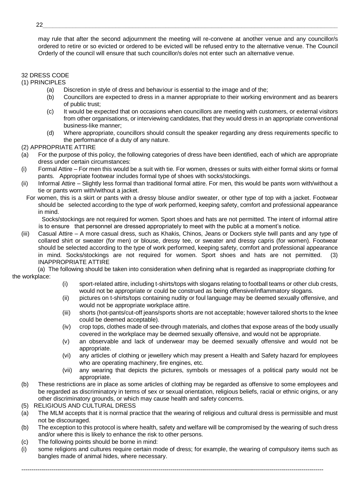may rule that after the second adjournment the meeting will re-convene at another venue and any councillor/s ordered to retire or so evicted or ordered to be evicted will be refused entry to the alternative venue. The Council Orderly of the council will ensure that such councillor/s do/es not enter such an alternative venue.

\_\_\_\_\_\_\_\_\_\_\_\_\_\_\_\_\_\_\_\_\_\_\_\_\_\_

## 32 DRESS CODE

- (1) PRINCIPLES
	- (a) Discretion in style of dress and behaviour is essential to the image and of the;
	- (b) Councillors are expected to dress in a manner appropriate to their working environment and as bearers of public trust;
	- (c) It would be expected that on occasions when councillors are meeting with customers, or external visitors from other organisations, or interviewing candidates, that they would dress in an appropriate conventional business-like manner;
	- (d) Where appropriate, councillors should consult the speaker regarding any dress requirements specific to the performance of a duty of any nature.

#### (2) APPROPRIATE ATTIRE

- (a) For the purpose of this policy, the following categories of dress have been identified, each of which are appropriate dress under certain circumstances:
- (i) Formal Attire For men this would be a suit with tie. For women, dresses or suits with either formal skirts or formal pants. Appropriate footwear includes formal type of shoes with socks/stockings.
- (ii) Informal Attire Slightly less formal than traditional formal attire. For men, this would be pants worn with/without a tie or pants worn with/without a jacket.
	- For women, this is a skirt or pants with a dressy blouse and/or sweater, or other type of top with a jacket. Footwear should be selected according to the type of work performed, keeping safety, comfort and professional appearance in mind.

 Socks/stockings are not required for women. Sport shoes and hats are not permitted. The intent of informal attire is to ensure that personnel are dressed appropriately to meet with the public at a moment's notice.

(iii) Casual Attire – A more casual dress, such as Khakis, Chinos, Jeans or Dockers style twill pants and any type of collared shirt or sweater (for men) or blouse, dressy tee, or sweater and dressy capris (for women). Footwear should be selected according to the type of work performed, keeping safety, comfort and professional appearance in mind. Socks/stockings are not required for women. Sport shoes and hats are not permitted. (3) INAPPROPRIATE ATTIRE

(a) The following should be taken into consideration when defining what is regarded as inappropriate clothing for the workplace:

- (i) sport-related attire, including t-shirts/tops with slogans relating to football teams or other club crests, would not be appropriate or could be construed as being offensive/inflammatory slogans.
- (ii) pictures on t-shirts/tops containing nudity or foul language may be deemed sexually offensive, and would not be appropriate workplace attire.
- (iii) shorts (hot-pants/cut-off jeans/sports shorts are not acceptable; however tailored shorts to the knee could be deemed acceptable).
- (iv) crop tops, clothes made of see-through materials, and clothes that expose areas of the body usually covered in the workplace may be deemed sexually offensive, and would not be appropriate.
- (v) an observable and lack of underwear may be deemed sexually offensive and would not be appropriate.
- (vi) any articles of clothing or jewellery which may present a Health and Safety hazard for employees who are operating machinery, fire engines, etc.
- (vii) any wearing that depicts the pictures, symbols or messages of a political party would not be appropriate.
- (b) These restrictions are in place as some articles of clothing may be regarded as offensive to some employees and be regarded as discriminatory in terms of sex or sexual orientation, religious beliefs, racial or ethnic origins, or any other discriminatory grounds, or which may cause health and safety concerns.
- (5) RELIGIOUS AND CULTURAL DRESS
- (a) The MLM accepts that it is normal practice that the wearing of religious and cultural dress is permissible and must not be discouraged.
- (b) The exception to this protocol is where health, safety and welfare will be compromised by the wearing of such dress and/or where this is likely to enhance the risk to other persons.
- (c) The following points should be borne in mind:
- (i) some religions and cultures require certain mode of dress; for example, the wearing of compulsory items such as bangles made of animal hides, where necessary.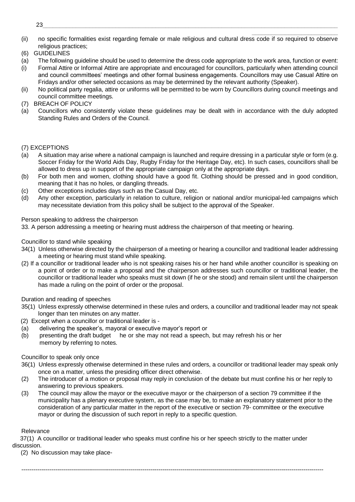- \_\_\_\_\_\_\_\_\_\_\_\_\_\_\_\_\_\_\_\_\_\_\_\_\_\_ (ii) no specific formalities exist regarding female or male religious and cultural dress code if so required to observe religious practices;
- (6) GUIDELINES
- (a) The following guideline should be used to determine the dress code appropriate to the work area, function or event:
- (i) Formal Attire or Informal Attire are appropriate and encouraged for councillors, particularly when attending council and council committees' meetings and other formal business engagements. Councillors may use Casual Attire on Fridays and/or other selected occasions as may be determined by the relevant authority (Speaker).
- (ii) No political party regalia, attire or uniforms will be permitted to be worn by Councillors during council meetings and council committee meetings.
- (7) BREACH OF POLICY
- (a) Councillors who consistently violate these guidelines may be dealt with in accordance with the duly adopted Standing Rules and Orders of the Council.

## (7) EXCEPTIONS

- (a) A situation may arise where a national campaign is launched and require dressing in a particular style or form (e.g. Soccer Friday for the World Aids Day, Rugby Friday for the Heritage Day, etc). In such cases, councillors shall be allowed to dress up in support of the appropriate campaign only at the appropriate days.
- (b) For both men and women, clothing should have a good fit. Clothing should be pressed and in good condition, meaning that it has no holes, or dangling threads.
- (c) Other exceptions includes days such as the Casual Day, etc.
- (d) Any other exception, particularly in relation to culture, religion or national and/or municipal-led campaigns which may necessitate deviation from this policy shall be subject to the approval of the Speaker.

Person speaking to address the chairperson

33. A person addressing a meeting or hearing must address the chairperson of that meeting or hearing.

#### Councillor to stand while speaking

- 34(1) Unless otherwise directed by the chairperson of a meeting or hearing a councillor and traditional leader addressing a meeting or hearing must stand while speaking.
- (2) If a councillor or traditional leader who is not speaking raises his or her hand while another councillor is speaking on a point of order or to make a proposal and the chairperson addresses such councillor or traditional leader, the councillor or traditional leader who speaks must sit down (if he or she stood) and remain silent until the chairperson has made a ruling on the point of order or the proposal.

## Duration and reading of speeches

- 35(1) Unless expressly otherwise determined in these rules and orders, a councillor and traditional leader may not speak longer than ten minutes on any matter.
- (2) Except when a councillor or traditional leader is -
- (a) delivering the speaker's, mayoral or executive mayor's report or
- (b) presenting the draft budget he or she may not read a speech, but may refresh his or her memory by referring to notes.

#### Councillor to speak only once

- 36(1) Unless expressly otherwise determined in these rules and orders, a councillor or traditional leader may speak only once on a matter, unless the presiding officer direct otherwise.
- (2) The introducer of a motion or proposal may reply in conclusion of the debate but must confine his or her reply to answering to previous speakers.
- (3) The council may allow the mayor or the executive mayor or the chairperson of a section 79 committee if the municipality has a plenary executive system, as the case may be, to make an explanatory statement prior to the consideration of any particular matter in the report of the executive or section 79- committee or the executive mayor or during the discussion of such report in reply to a specific question.

#### Relevance

37(1) A councillor or traditional leader who speaks must confine his or her speech strictly to the matter under discussion.

--------------------------------------------------------------------------------------------------------------------------------------------------------

(2) No discussion may take place-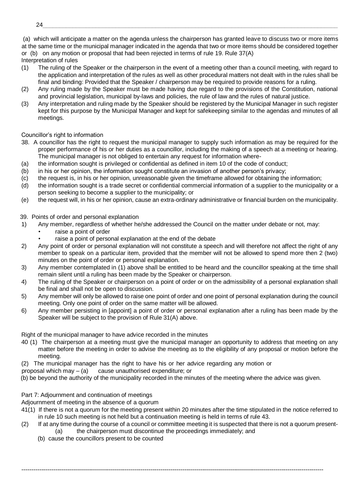\_\_\_\_\_\_\_\_\_\_\_\_\_\_\_\_\_\_\_\_\_\_\_\_\_\_ (a) which will anticipate a matter on the agenda unless the chairperson has granted leave to discuss two or more items at the same time or the municipal manager indicated in the agenda that two or more items should be considered together or (b) on any motion or proposal that had been rejected in terms of rule 19. Rule 37(A)

Interpretation of rules

- (1) The ruling of the Speaker or the chairperson in the event of a meeting other than a council meeting, with regard to the application and interpretation of the rules as well as other procedural matters not dealt with in the rules shall be final and binding: Provided that the Speaker / chairperson may be required to provide reasons for a ruling.
- (2) Any ruling made by the Speaker must be made having due regard to the provisions of the Constitution, national and provincial legislation, municipal by-laws and policies, the rule of law and the rules of natural justice.
- (3) Any interpretation and ruling made by the Speaker should be registered by the Municipal Manager in such register kept for this purpose by the Municipal Manager and kept for safekeeping similar to the agendas and minutes of all meetings.

Councillor's right to information

- 38. A councillor has the right to request the municipal manager to supply such information as may be required for the proper performance of his or her duties as a councillor, including the making of a speech at a meeting or hearing. The municipal manager is not obliged to entertain any request for information where-
- (a) the information sought is privileged or confidential as defined in item 10 of the code of conduct;
- (b) in his or her opinion, the information sought constitute an invasion of another person's privacy;
- (c) the request is, in his or her opinion, unreasonable given the timeframe allowed for obtaining the information;
- (d) the information sought is a trade secret or confidential commercial information of a supplier to the municipality or a person seeking to become a supplier to the municipality; or
- (e) the request will, in his or her opinion, cause an extra-ordinary administrative or financial burden on the municipality.

39. Points of order and personal explanation

- 1) Any member, regardless of whether he/she addressed the Council on the matter under debate or not, may:
	- raise a point of order
	- raise a point of personal explanation at the end of the debate
- 2) Any point of order or personal explanation will not constitute a speech and will therefore not affect the right of any member to speak on a particular item, provided that the member will not be allowed to spend more then 2 (two) minutes on the point of order or personal explanation.
- 3) Any member contemplated in (1) above shall be entitled to be heard and the councillor speaking at the time shall remain silent until a ruling has been made by the Speaker or chairperson.
- 4) The ruling of the Speaker or chairperson on a point of order or on the admissibility of a personal explanation shall be final and shall not be open to discussion.
- 5) Any member will only be allowed to raise one point of order and one point of personal explanation during the council meeting. Only one point of order on the same matter will be allowed.
- 6) Any member persisting in [appoint] a point of order or personal explanation after a ruling has been made by the Speaker will be subject to the provision of Rule 31(A) above.

Right of the municipal manager to have advice recorded in the minutes

- 40 (1) The chairperson at a meeting must give the municipal manager an opportunity to address that meeting on any matter before the meeting in order to advise the meeting as to the eligibility of any proposal or motion before the meeting.
- (2) The municipal manager has the right to have his or her advice regarding any motion or
- proposal which may  $-$  (a) cause unauthorised expenditure; or
- (b) be beyond the authority of the municipality recorded in the minutes of the meeting where the advice was given.

Part 7: Adjournment and continuation of meetings

Adjournment of meeting in the absence of a quorum

- 41(1) If there is not a quorum for the meeting present within 20 minutes after the time stipulated in the notice referred to in rule 10 such meeting is not held but a continuation meeting is held in terms of rule 43.
- (2) If at any time during the course of a council or committee meeting it is suspected that there is not a quorum present- (a) the chairperson must discontinue the proceedings immediately; and

--------------------------------------------------------------------------------------------------------------------------------------------------------

(b) cause the councillors present to be counted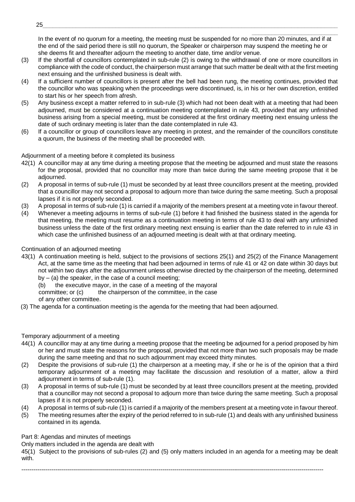\_\_\_\_\_\_\_\_\_\_\_\_\_\_\_\_\_\_\_\_\_\_\_\_\_\_ In the event of no quorum for a meeting, the meeting must be suspended for no more than 20 minutes, and if at the end of the said period there is still no quorum, the Speaker or chairperson may suspend the meeting he or she deems fit and thereafter adjourn the meeting to another date, time and/or venue.

- (3) If the shortfall of councillors contemplated in sub-rule (2) is owing to the withdrawal of one or more councillors in compliance with the code of conduct, the chairperson must arrange that such matter be dealt with at the first meeting next ensuing and the unfinished business is dealt with.
- (4) If a sufficient number of councillors is present after the bell had been rung, the meeting continues, provided that the councillor who was speaking when the proceedings were discontinued, is, in his or her own discretion, entitled to start his or her speech from afresh.
- (5) Any business except a matter referred to in sub-rule (3) which had not been dealt with at a meeting that had been adjourned, must be considered at a continuation meeting contemplated in rule 43, provided that any unfinished business arising from a special meeting, must be considered at the first ordinary meeting next ensuing unless the date of such ordinary meeting is later than the date contemplated in rule 43.
- (6) If a councillor or group of councillors leave any meeting in protest, and the remainder of the councillors constitute a quorum, the business of the meeting shall be proceeded with.

Adjournment of a meeting before it completed its business

- 42(1) A councillor may at any time during a meeting propose that the meeting be adjourned and must state the reasons for the proposal, provided that no councillor may more than twice during the same meeting propose that it be adjourned.
- (2) A proposal in terms of sub-rule (1) must be seconded by at least three councillors present at the meeting, provided that a councillor may not second a proposal to adjourn more than twice during the same meeting. Such a proposal lapses if it is not properly seconded.
- (3) A proposal in terms of sub-rule (1) is carried if a majority of the members present at a meeting vote in favour thereof.
- (4) Whenever a meeting adjourns in terms of sub-rule (1) before it had finished the business stated in the agenda for that meeting, the meeting must resume as a continuation meeting in terms of rule 43 to deal with any unfinished business unless the date of the first ordinary meeting next ensuing is earlier than the date referred to in rule 43 in which case the unfinished business of an adjourned meeting is dealt with at that ordinary meeting.

Continuation of an adjourned meeting

43(1) A continuation meeting is held, subject to the provisions of sections 25(1) and 25(2) of the Finance Management Act, at the same time as the meeting that had been adjourned in terms of rule 41 or 42 on date within 30 days but not within two days after the adjournment unless otherwise directed by the chairperson of the meeting, determined  $by - (a)$  the speaker, in the case of a council meeting;

(b) the executive mayor, in the case of a meeting of the mayoral

committee; or (c) the chairperson of the committee, in the case

of any other committee.

(3) The agenda for a continuation meeting is the agenda for the meeting that had been adjourned.

## Temporary adjournment of a meeting

- 44(1) A councillor may at any time during a meeting propose that the meeting be adjourned for a period proposed by him or her and must state the reasons for the proposal, provided that not more than two such proposals may be made during the same meeting and that no such adjournment may exceed thirty minutes.
- (2) Despite the provisions of sub-rule (1) the chairperson at a meeting may, if she or he is of the opinion that a third temporary adjournment of a meeting may facilitate the discussion and resolution of a matter, allow a third adjournment in terms of sub-rule (1).
- (3) A proposal in terms of sub-rule (1) must be seconded by at least three councillors present at the meeting, provided that a councillor may not second a proposal to adjourn more than twice during the same meeting. Such a proposal lapses if it is not properly seconded.
- (4) A proposal in terms of sub-rule (1) is carried if a majority of the members present at a meeting vote in favour thereof.
- (5) The meeting resumes after the expiry of the period referred to in sub-rule (1) and deals with any unfinished business contained in its agenda.

Part 8: Agendas and minutes of meetings

Only matters included in the agenda are dealt with

45(1) Subject to the provisions of sub-rules (2) and (5) only matters included in an agenda for a meeting may be dealt with.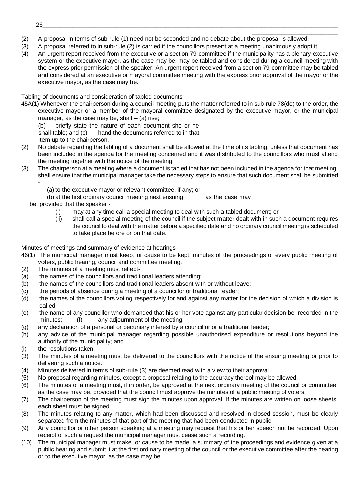- \_\_\_\_\_\_\_\_\_\_\_\_\_\_\_\_\_\_\_\_\_\_\_\_\_\_ (2) A proposal in terms of sub-rule (1) need not be seconded and no debate about the proposal is allowed.
- (3) A proposal referred to in sub-rule (2) is carried if the councillors present at a meeting unanimously adopt it.
- (4) An urgent report received from the executive or a section 79-committee if the municipality has a plenary executive system or the executive mayor, as the case may be, may be tabled and considered during a council meeting with the express prior permission of the speaker. An urgent report received from a section 79-committee may be tabled and considered at an executive or mayoral committee meeting with the express prior approval of the mayor or the executive mayor, as the case may be.

Tabling of documents and consideration of tabled documents

45A(1) Whenever the chairperson during a council meeting puts the matter referred to in sub-rule 78(de) to the order, the executive mayor or a member of the mayoral committee designated by the executive mayor, or the municipal manager, as the case may be, shall  $-$  (a) rise;

(b) briefly state the nature of each document she or he shall table; and (c) hand the documents referred to in that

- item up to the chairperson.
- (2) No debate regarding the tabling of a document shall be allowed at the time of its tabling, unless that document has been included in the agenda for the meeting concerned and it was distributed to the councillors who must attend the meeting together with the notice of the meeting.
- (3) The chairperson at a meeting where a document is tabled that has not been included in the agenda for that meeting, shall ensure that the municipal manager take the necessary steps to ensure that such document shall be submitted -
	- (a) to the executive mayor or relevant committee, if any; or

(b) at the first ordinary council meeting next ensuing, as the case may

- be, provided that the speaker
	- (i) may at any time call a special meeting to deal with such a tabled document; or
	- (ii) shall call a special meeting of the council if the subject matter dealt with in such a document requires the council to deal with the matter before a specified date and no ordinary council meeting is scheduled to take place before or on that date.

Minutes of meetings and summary of evidence at hearings

- 46(1) The municipal manager must keep, or cause to be kept, minutes of the proceedings of every public meeting of voters, public hearing, council and committee meeting.
- (2) The minutes of a meeting must reflect-
- (a) the names of the councillors and traditional leaders attending;
- (b) the names of the councillors and traditional leaders absent with or without leave;
- (c) the periods of absence during a meeting of a councillor or traditional leader;
- (d) the names of the councillors voting respectively for and against any matter for the decision of which a division is called;
- (e) the name of any councillor who demanded that his or her vote against any particular decision be recorded in the minutes; (f) any adjournment of the meeting;
- (g) any declaration of a personal or pecuniary interest by a councillor or a traditional leader;
- (h) any advice of the municipal manager regarding possible unauthorised expenditure or resolutions beyond the authority of the municipality; and
- (i) the resolutions taken.
- (3) The minutes of a meeting must be delivered to the councillors with the notice of the ensuing meeting or prior to delivering such a notice.
- (4) Minutes delivered in terms of sub-rule (3) are deemed read with a view to their approval.
- (5) No proposal regarding minutes, except a proposal relating to the accuracy thereof may be allowed.
- (6) The minutes of a meeting must, if in order, be approved at the next ordinary meeting of the council or committee, as the case may be, provided that the council must approve the minutes of a public meeting of voters.
- (7) The chairperson of the meeting must sign the minutes upon approval. If the minutes are written on loose sheets, each sheet must be signed.
- (8) The minutes relating to any matter, which had been discussed and resolved in closed session, must be clearly separated from the minutes of that part of the meeting that had been conducted in public.
- (9) Any councillor or other person speaking at a meeting may request that his or her speech not be recorded. Upon receipt of such a request the municipal manager must cease such a recording.
- (10) The municipal manager must make, or cause to be made, a summary of the proceedings and evidence given at a public hearing and submit it at the first ordinary meeting of the council or the executive committee after the hearing or to the executive mayor, as the case may be.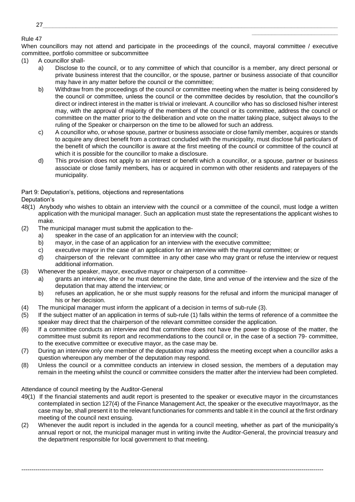## Rule 47

When councillors may not attend and participate in the proceedings of the council, mayoral committee / executive committee, portfolio committee or subcommittee

- (1) A councillor shall
	- a) Disclose to the council, or to any committee of which that councillor is a member, any direct personal or private business interest that the councillor, or the spouse, partner or business associate of that councillor may have in any matter before the council or the committee;

\_\_\_\_\_\_\_\_\_\_\_\_\_\_\_\_\_\_\_\_\_\_\_\_\_\_

- b) Withdraw from the proceedings of the council or committee meeting when the matter is being considered by the council or committee, unless the council or the committee decides by resolution, that the councillor's direct or indirect interest in the matter is trivial or irrelevant. A councillor who has so disclosed his/her interest may, with the approval of majority of the members of the council or its committee, address the council or committee on the matter prior to the deliberation and vote on the matter taking place, subject always to the ruling of the Speaker or chairperson on the time to be allowed for such an address.
- c) A councillor who, or whose spouse, partner or business associate or close family member, acquires or stands to acquire any direct benefit from a contract concluded with the municipality, must disclose full particulars of the benefit of which the councillor is aware at the first meeting of the council or committee of the council at which it is possible for the councillor to make a disclosure.
- d) This provision does not apply to an interest or benefit which a councillor, or a spouse, partner or business associate or close family members, has or acquired in common with other residents and ratepayers of the municipality.

Part 9: Deputation's, petitions, objections and representations

Deputation's

- 48(1) Anybody who wishes to obtain an interview with the council or a committee of the council, must lodge a written application with the municipal manager. Such an application must state the representations the applicant wishes to make.
- (2) The municipal manager must submit the application to the
	- a) speaker in the case of an application for an interview with the council;
	- b) mayor, in the case of an application for an interview with the executive committee;
	- c) executive mayor in the case of an application for an interview with the mayoral committee; or
	- d) chairperson of the relevant committee in any other case who may grant or refuse the interview or request additional information.
- (3) Whenever the speaker, mayor, executive mayor or chairperson of a committee
	- a) grants an interview, she or he must determine the date, time and venue of the interview and the size of the deputation that may attend the interview; or
	- b) refuses an application, he or she must supply reasons for the refusal and inform the municipal manager of his or her decision.
- (4) The municipal manager must inform the applicant of a decision in terms of sub-rule (3).
- (5) If the subject matter of an application in terms of sub-rule (1) falls within the terms of reference of a committee the speaker may direct that the chairperson of the relevant committee consider the application.
- (6) If a committee conducts an interview and that committee does not have the power to dispose of the matter, the committee must submit its report and recommendations to the council or, in the case of a section 79- committee, to the executive committee or executive mayor, as the case may be.
- (7) During an interview only one member of the deputation may address the meeting except when a councillor asks a question whereupon any member of the deputation may respond.
- (8) Unless the council or a committee conducts an interview in closed session, the members of a deputation may remain in the meeting whilst the council or committee considers the matter after the interview had been completed.

Attendance of council meeting by the Auditor-General

- 49(1) If the financial statements and audit report is presented to the speaker or executive mayor in the circumstances contemplated in section 127(4) of the Finance Management Act, the speaker or the executive mayor/mayor, as the case may be, shall present it to the relevant functionaries for comments and table it in the council at the first ordinary meeting of the council next ensuing.
- (2) Whenever the audit report is included in the agenda for a council meeting, whether as part of the municipality's annual report or not, the municipal manager must in writing invite the Auditor-General, the provincial treasury and the department responsible for local government to that meeting.

<sup>27</sup>\_\_\_\_\_\_\_\_\_\_\_\_\_\_\_\_\_\_\_\_\_\_\_\_\_\_\_\_\_\_\_\_\_\_\_\_\_\_\_\_\_\_\_\_\_\_\_\_\_\_\_\_\_\_\_\_\_\_\_\_\_\_\_\_\_\_\_\_\_\_\_\_\_\_\_\_\_\_\_\_\_\_\_\_\_\_\_\_\_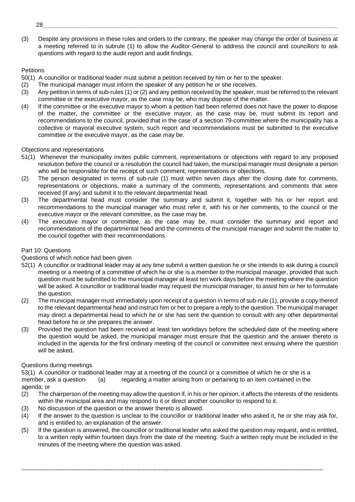(3) Despite any provisions in these rules and orders to the contrary, the speaker may change the order of business at a meeting referred to in subrule (1) to allow the Auditor-General to address the council and councillors to ask questions with regard to the audit report and audit findings.

\_\_\_\_\_\_\_\_\_\_\_\_\_\_\_\_\_\_\_\_\_\_\_\_\_\_

## **Petitions**

50(1) A councillor or traditional leader must submit a petition received by him or her to the speaker.

- (2) The municipal manager must inform the speaker of any petition he or she receives.
- (3) Any petition in terms of sub-rules (1) or (2) and any petition received by the speaker, must be referred to the relevant committee or the executive mayor, as the case may be, who may dispose of the matter.
- (4) If the committee or the executive mayor to whom a petition had been referred does not have the power to dispose of the matter, the committee or the executive mayor, as the case may be, must submit its report and recommendations to the council, provided that in the case of a section 79-committee where the municipality has a collective or mayoral executive system, such report and recommendations must be submitted to the executive committee or the executive mayor, as the case may be.

## Objections and representations

- 51(1) Whenever the municipality invites public comment, representations or objections with regard to any proposed resolution before the council or a resolution the council had taken, the municipal manager must designate a person who will be responsible for the receipt of such comment, representations or objections.
- (2) The person designated in terms of sub-rule (1) must within seven days after the closing date for comments, representations or objections, make a summary of the comments, representations and comments that were received (if any) and submit it to the relevant departmental head.
- (3) The departmental head must consider the summary and submit it, together with his or her report and recommendations to the municipal manager who must refer it, with his or her comments, to the council or the executive mayor or the relevant committee, as the case may be.
- (4) The executive mayor or committee, as the case may be, must consider the summary and report and recommendations of the departmental head and the comments of the municipal manager and submit the matter to the council together with their recommendations.

## Part 10: Questions

## Questions of which notice had been given

- 52(1) A councillor or traditional leader may at any time submit a written question he or she intends to ask during a council meeting or a meeting of a committee of which he or she is a member to the municipal manager, provided that such question must be submitted to the municipal manager at least ten work days before the meeting where the question will be asked. A councillor or traditional leader may request the municipal manager, to assist him or her to formulate the question.
- (2) The municipal manager must immediately upon receipt of a question in terms of sub-rule (1), provide a copy thereof to the relevant departmental head and instruct him or her to prepare a reply to the question. The municipal manager may direct a departmental head to which he or she has sent the question to consult with any other departmental head before he or she prepares the answer.
- (3) Provided the question had been received at least ten workdays before the scheduled date of the meeting where the question would be asked, the municipal manager must ensure that the question and the answer thereto is included in the agenda for the first ordinary meeting of the council or committee next ensuing where the question will be asked.

## Questions during meetings

53(1) A councillor or traditional leader may at a meeting of the council or a committee of which he or she is a member, ask a question- (a) regarding a matter arising from or pertaining to an item contained in the agenda; or

- (2) The chairperson of the meeting may allow the question if, in his or her opinion, it affects the interests of the residents within the municipal area and may respond to it or direct another councillor to respond to it.
- (3) No discussion of the question or the answer thereto is allowed.
- (4) If the answer to the question is unclear to the councillor or traditional leader who asked it, he or she may ask for, and is entitled to, an explanation of the answer.
- (5) If the question is answered, the councillor or traditional leader who asked the question may request, and is entitled, to a written reply within fourteen days from the date of the meeting. Such a written reply must be included in the minutes of the meeting where the question was asked.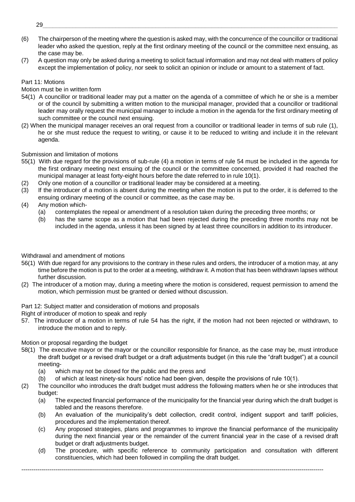- \_\_\_\_\_\_\_\_\_\_\_\_\_\_\_\_\_\_\_\_\_\_\_\_\_\_ (6) The chairperson of the meeting where the question is asked may, with the concurrence of the councillor or traditional leader who asked the question, reply at the first ordinary meeting of the council or the committee next ensuing, as the case may be.
- (7) A question may only be asked during a meeting to solicit factual information and may not deal with matters of policy except the implementation of policy, nor seek to solicit an opinion or include or amount to a statement of fact.

#### Part 11: Motions

Motion must be in written form

- 54(1) A councillor or traditional leader may put a matter on the agenda of a committee of which he or she is a member or of the council by submitting a written motion to the municipal manager, provided that a councillor or traditional leader may orally request the municipal manager to include a motion in the agenda for the first ordinary meeting of such committee or the council next ensuing.
- (2) When the municipal manager receives an oral request from a councillor or traditional leader in terms of sub rule (1), he or she must reduce the request to writing, or cause it to be reduced to writing and include it in the relevant agenda.

Submission and limitation of motions

- 55(1) With due regard for the provisions of sub-rule (4) a motion in terms of rule 54 must be included in the agenda for the first ordinary meeting next ensuing of the council or the committee concerned, provided it had reached the municipal manager at least forty-eight hours before the date referred to in rule 10(1).
- (2) Only one motion of a councillor or traditional leader may be considered at a meeting.
- (3) If the introducer of a motion is absent during the meeting when the motion is put to the order, it is deferred to the ensuing ordinary meeting of the council or committee, as the case may be.
- (4) Any motion which-
	- (a) contemplates the repeal or amendment of a resolution taken during the preceding three months; or
	- (b) has the same scope as a motion that had been rejected during the preceding three months may not be included in the agenda, unless it has been signed by at least three councillors in addition to its introducer.

## Withdrawal and amendment of motions

- 56(1) With due regard for any provisions to the contrary in these rules and orders, the introducer of a motion may, at any time before the motion is put to the order at a meeting, withdraw it. A motion that has been withdrawn lapses without further discussion.
- (2) The introducer of a motion may, during a meeting where the motion is considered, request permission to amend the motion, which permission must be granted or denied without discussion.

Part 12: Subject matter and consideration of motions and proposals

Right of introducer of motion to speak and reply

57. The introducer of a motion in terms of rule 54 has the right, if the motion had not been rejected or withdrawn, to introduce the motion and to reply.

## Motion or proposal regarding the budget

- 58(1) The executive mayor or the mayor or the councillor responsible for finance, as the case may be, must introduce the draft budget or a revised draft budget or a draft adjustments budget (in this rule the "draft budget") at a council meeting-
	- (a) which may not be closed for the public and the press and
	- (b) of which at least ninety-six hours' notice had been given, despite the provisions of rule 10(1).
- (2) The councillor who introduces the draft budget must address the following matters when he or she introduces that budget:
	- (a) The expected financial performance of the municipality for the financial year during which the draft budget is tabled and the reasons therefore.
	- (b) An evaluation of the municipality's debt collection, credit control, indigent support and tariff policies, procedures and the implementation thereof.
	- (c) Any proposed strategies, plans and programmes to improve the financial performance of the municipality during the next financial year or the remainder of the current financial year in the case of a revised draft budget or draft adjustments budget.
	- (d) The procedure, with specific reference to community participation and consultation with different constituencies, which had been followed in compiling the draft budget.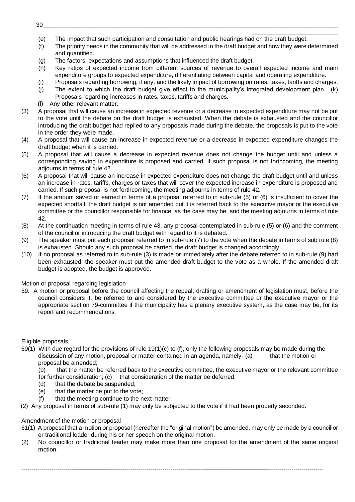- \_\_\_\_\_\_\_\_\_\_\_\_\_\_\_\_\_\_\_\_\_\_\_\_\_\_ (e) The impact that such participation and consultation and public hearings had on the draft budget.
- (f) The priority needs in the community that will be addressed in the draft budget and how they were determined and quantified.
- (g) The factors, expectations and assumptions that influenced the draft budget.
- (h) Key ratios of expected income from different sources of revenue to overall expected income and main expenditure groups to expected expenditure, differentiating between capital and operating expenditure.
- (i) Proposals regarding borrowing, if any, and the likely impact of borrowing on rates, taxes, tariffs and charges.
- (j) The extent to which the draft budget give effect to the municipality's integrated development plan. (k) Proposals regarding increases in rates, taxes, tariffs and charges.
- (l) Any other relevant matter.
- (3) A proposal that will cause an increase in expected revenue or a decrease in expected expenditure may not be put to the vote until the debate on the draft budget is exhausted. When the debate is exhausted and the councillor introducing the draft budget had replied to any proposals made during the debate, the proposals is put to the vote in the order they were made.
- (4) A proposal that will cause an increase in expected revenue or a decrease in expected expenditure changes the draft budget when it is carried.
- (5) A proposal that will cause a decrease in expected revenue does not change the budget until and unless a corresponding saving in expenditure is proposed and carried. If such proposal is not forthcoming, the meeting adjourns in terms of rule 42.
- (6) A proposal that will cause an increase in expected expenditure does not change the draft budget until and unless an increase in rates, tariffs, charges or taxes that will cover the expected increase in expenditure is proposed and carried. If such proposal is not forthcoming, the meeting adjourns in terms of rule 42.
- (7) If the amount saved or earned in terms of a proposal referred to in sub-rule (5) or (6) is insufficient to cover the expected shortfall, the draft budget is not amended but it is referred back to the executive mayor or the executive committee or the councillor responsible for finance, as the case may be, and the meeting adjourns in terms of rule 42.
- (8) At the continuation meeting in terms of rule 43, any proposal contemplated in sub-rule (5) or (6) and the comment of the councillor introducing the draft budget with regard to it is debated.
- (9) The speaker must put each proposal referred to in sub-rule (7) to the vote when the debate in terms of sub rule (8) is exhausted. Should any such proposal be carried, the draft budget is changed accordingly.
- (10) If no proposal as referred to in sub-rule (3) is made or immediately after the debate referred to in sub-rule (9) had been exhausted, the speaker must put the amended draft budget to the vote as a whole. If the amended draft budget is adopted, the budget is approved.

Motion or proposal regarding legislation

59. A motion or proposal before the council affecting the repeal, drafting or amendment of legislation must, before the council considers it, be referred to and considered by the executive committee or the executive mayor or the appropriate section 79-committee if the municipality has a plenary executive system, as the case may be, for its report and recommendations.

## Eligible proposals

- 60(1) With due regard for the provisions of rule 19(1)(c) to (f), only the following proposals may be made during the discussion of any motion, proposal or matter contained in an agenda, namely- (a) that the motion or proposal be amended;
	- (b) that the matter be referred back to the executive committee, the executive mayor or the relevant committee
	- for further consideration; (c) that consideration of the matter be deferred:
	- (d) that the debate be suspended;
	- (e) that the matter be put to the vote;
	- (f) that the meeting continue to the next matter.
- (2) Any proposal in terms of sub-rule (1) may only be subjected to the vote if it had been properly seconded.

## Amendment of the motion or proposal

- 61(1) A proposal that a motion or proposal (hereafter the "original motion") be amended, may only be made by a councillor or traditional leader during his or her speech on the original motion.
- (2) No councillor or traditional leader may make more than one proposal for the amendment of the same original motion.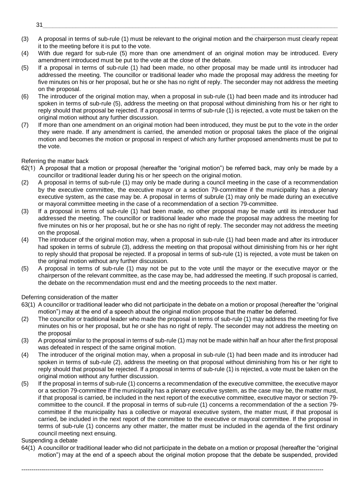- \_\_\_\_\_\_\_\_\_\_\_\_\_\_\_\_\_\_\_\_\_\_\_\_\_\_ (3) A proposal in terms of sub-rule (1) must be relevant to the original motion and the chairperson must clearly repeat it to the meeting before it is put to the vote.
- (4) With due regard for sub-rule (5) more than one amendment of an original motion may be introduced. Every amendment introduced must be put to the vote at the close of the debate.
- (5) If a proposal in terms of sub-rule (1) had been made, no other proposal may be made until its introducer had addressed the meeting. The councillor or traditional leader who made the proposal may address the meeting for five minutes on his or her proposal, but he or she has no right of reply. The seconder may not address the meeting on the proposal.
- (6) The introducer of the original motion may, when a proposal in sub-rule (1) had been made and its introducer had spoken in terms of sub-rule (5), address the meeting on that proposal without diminishing from his or her right to reply should that proposal be rejected. If a proposal in terms of sub-rule (1) is rejected, a vote must be taken on the original motion without any further discussion.
- (7) If more than one amendment on an original motion had been introduced, they must be put to the vote in the order they were made. If any amendment is carried, the amended motion or proposal takes the place of the original motion and becomes the motion or proposal in respect of which any further proposed amendments must be put to the vote.

## Referring the matter back

- 62(1) A proposal that a motion or proposal (hereafter the "original motion") be referred back, may only be made by a councillor or traditional leader during his or her speech on the original motion.
- (2) A proposal in terms of sub-rule (1) may only be made during a council meeting in the case of a recommendation by the executive committee, the executive mayor or a section 79-committee if the municipality has a plenary executive system, as the case may be. A proposal in terms of subrule (1) may only be made during an executive or mayoral committee meeting in the case of a recommendation of a section 79-committee.
- (3) If a proposal in terms of sub-rule (1) had been made, no other proposal may be made until its introducer had addressed the meeting. The councillor or traditional leader who made the proposal may address the meeting for five minutes on his or her proposal, but he or she has no right of reply. The seconder may not address the meeting on the proposal.
- (4) The introducer of the original motion may, when a proposal in sub-rule (1) had been made and after its introducer had spoken in terms of subrule (3), address the meeting on that proposal without diminishing from his or her right to reply should that proposal be rejected. If a proposal in terms of sub-rule (1) is rejected, a vote must be taken on the original motion without any further discussion.
- (5) A proposal in terms of sub-rule (1) may not be put to the vote until the mayor or the executive mayor or the chairperson of the relevant committee, as the case may be, had addressed the meeting. If such proposal is carried, the debate on the recommendation must end and the meeting proceeds to the next matter.

## Deferring consideration of the matter

- 63(1) A councillor or traditional leader who did not participate in the debate on a motion or proposal (hereafter the "original motion") may at the end of a speech about the original motion propose that the matter be deferred.
- (2) The councillor or traditional leader who made the proposal in terms of sub-rule (1) may address the meeting for five minutes on his or her proposal, but he or she has no right of reply. The seconder may not address the meeting on the proposal
- (3) A proposal similar to the proposal in terms of sub-rule (1) may not be made within half an hour after the first proposal was defeated in respect of the same original motion.
- (4) The introducer of the original motion may, when a proposal in sub-rule (1) had been made and its introducer had spoken in terms of sub-rule (2), address the meeting on that proposal without diminishing from his or her right to reply should that proposal be rejected. If a proposal in terms of sub-rule (1) is rejected, a vote must be taken on the original motion without any further discussion.
- (5) If the proposal in terms of sub-rule (1) concerns a recommendation of the executive committee, the executive mayor or a section 79-committee if the municipality has a plenary executive system, as the case may be, the matter must, if that proposal is carried, be included in the next report of the executive committee, executive mayor or section 79 committee to the council. If the proposal in terms of sub-rule (1) concerns a recommendation of the a section 79 committee if the municipality has a collective or mayoral executive system, the matter must, if that proposal is carried, be included in the next report of the committee to the executive or mayoral committee. If the proposal in terms of sub-rule (1) concerns any other matter, the matter must be included in the agenda of the first ordinary council meeting next ensuing.

## Suspending a debate

64(1) A councillor or traditional leader who did not participate in the debate on a motion or proposal (hereafter the "original motion") may at the end of a speech about the original motion propose that the debate be suspended, provided

--------------------------------------------------------------------------------------------------------------------------------------------------------

31\_\_\_\_\_\_\_\_\_\_\_\_\_\_\_\_\_\_\_\_\_\_\_\_\_\_\_\_\_\_\_\_\_\_\_\_\_\_\_\_\_\_\_\_\_\_\_\_\_\_\_\_\_\_\_\_\_\_\_\_\_\_\_\_\_\_\_\_\_\_\_\_\_\_\_\_\_\_\_\_\_\_\_\_\_\_\_\_\_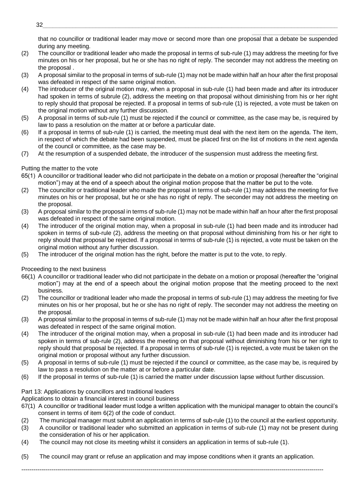\_\_\_\_\_\_\_\_\_\_\_\_\_\_\_\_\_\_\_\_\_\_\_\_\_\_ that no councillor or traditional leader may move or second more than one proposal that a debate be suspended during any meeting.

- (2) The councillor or traditional leader who made the proposal in terms of sub-rule (1) may address the meeting for five minutes on his or her proposal, but he or she has no right of reply. The seconder may not address the meeting on the proposal .
- (3) A proposal similar to the proposal in terms of sub-rule (1) may not be made within half an hour after the first proposal was defeated in respect of the same original motion.
- (4) The introducer of the original motion may, when a proposal in sub-rule (1) had been made and after its introducer had spoken in terms of subrule (2), address the meeting on that proposal without diminishing from his or her right to reply should that proposal be rejected. If a proposal in terms of sub-rule (1) is rejected, a vote must be taken on the original motion without any further discussion.
- (5) A proposal in terms of sub-rule (1) must be rejected if the council or committee, as the case may be, is required by law to pass a resolution on the matter at or before a particular date.
- (6) If a proposal in terms of sub-rule (1) is carried, the meeting must deal with the next item on the agenda. The item, in respect of which the debate had been suspended, must be placed first on the list of motions in the next agenda of the council or committee, as the case may be.
- (7) At the resumption of a suspended debate, the introducer of the suspension must address the meeting first.

## Putting the matter to the vote

- 65(1) A councillor or traditional leader who did not participate in the debate on a motion or proposal (hereafter the "original motion") may at the end of a speech about the original motion propose that the matter be put to the vote.
- (2) The councillor or traditional leader who made the proposal in terms of sub-rule (1) may address the meeting for five minutes on his or her proposal, but he or she has no right of reply. The seconder may not address the meeting on the proposal.
- (3) A proposal similar to the proposal in terms of sub-rule (1) may not be made within half an hour after the first proposal was defeated in respect of the same original motion.
- (4) The introducer of the original motion may, when a proposal in sub-rule (1) had been made and its introducer had spoken in terms of sub-rule (2), address the meeting on that proposal without diminishing from his or her right to reply should that proposal be rejected. If a proposal in terms of sub-rule (1) is rejected, a vote must be taken on the original motion without any further discussion.
- (5) The introducer of the original motion has the right, before the matter is put to the vote, to reply.

Proceeding to the next business

- 66(1) A councillor or traditional leader who did not participate in the debate on a motion or proposal (hereafter the "original motion") may at the end of a speech about the original motion propose that the meeting proceed to the next business.
- (2) The councillor or traditional leader who made the proposal in terms of sub-rule (1) may address the meeting for five minutes on his or her proposal, but he or she has no right of reply. The seconder may not address the meeting on the proposal.
- (3) A proposal similar to the proposal in terms of sub-rule (1) may not be made within half an hour after the first proposal was defeated in respect of the same original motion.
- (4) The introducer of the original motion may, when a proposal in sub-rule (1) had been made and its introducer had spoken in terms of sub-rule (2), address the meeting on that proposal without diminishing from his or her right to reply should that proposal be rejected. If a proposal in terms of sub-rule (1) is rejected, a vote must be taken on the original motion or proposal without any further discussion.
- (5) A proposal in terms of sub-rule (1) must be rejected if the council or committee, as the case may be, is required by law to pass a resolution on the matter at or before a particular date.
- (6) If the proposal in terms of sub-rule (1) is carried the matter under discussion lapse without further discussion.

## Part 13: Applications by councillors and traditional leaders

Applications to obtain a financial interest in council business

- 67(1) A councillor or traditional leader must lodge a written application with the municipal manager to obtain the council's consent in terms of item 6(2) of the code of conduct.
- (2) The municipal manager must submit an application in terms of sub-rule (1) to the council at the earliest opportunity.
- (3) A councillor or traditional leader who submitted an application in terms of sub-rule (1) may not be present during the consideration of his or her application.
- (4) The council may not close its meeting whilst it considers an application in terms of sub-rule (1).

(5) The council may grant or refuse an application and may impose conditions when it grants an application.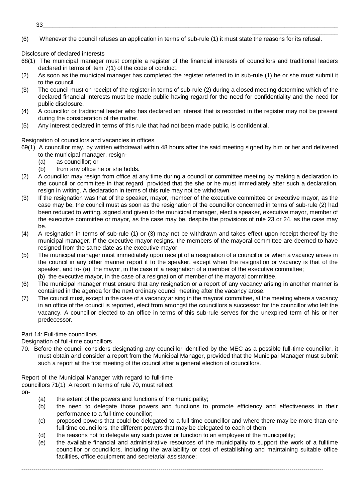\_\_\_\_\_\_\_\_\_\_\_\_\_\_\_\_\_\_\_\_\_\_\_\_\_\_ (6) Whenever the council refuses an application in terms of sub-rule (1) it must state the reasons for its refusal.

Disclosure of declared interests

- 68(1) The municipal manager must compile a register of the financial interests of councillors and traditional leaders declared in terms of item 7(1) of the code of conduct.
- (2) As soon as the municipal manager has completed the register referred to in sub-rule (1) he or she must submit it to the council.
- (3) The council must on receipt of the register in terms of sub-rule (2) during a closed meeting determine which of the declared financial interests must be made public having regard for the need for confidentiality and the need for public disclosure.
- (4) A councillor or traditional leader who has declared an interest that is recorded in the register may not be present during the consideration of the matter.
- (5) Any interest declared in terms of this rule that had not been made public, is confidential.

Resignation of councillors and vacancies in offices

- 69(1) A councillor may, by written withdrawal within 48 hours after the said meeting signed by him or her and delivered
	- to the municipal manager, resign-
	- (a) as councillor; or
	- (b) from any office he or she holds.
- (2) A councillor may resign from office at any time during a council or committee meeting by making a declaration to the council or committee in that regard, provided that the she or he must immediately after such a declaration, resign in writing. A declaration in terms of this rule may not be withdrawn.
- (3) If the resignation was that of the speaker, mayor, member of the executive committee or executive mayor, as the case may be, the council must as soon as the resignation of the councillor concerned in terms of sub-rule (2) had been reduced to writing, signed and given to the municipal manager, elect a speaker, executive mayor, member of the executive committee or mayor, as the case may be, despite the provisions of rule 23 or 24, as the case may be.
- (4) A resignation in terms of sub-rule (1) or (3) may not be withdrawn and takes effect upon receipt thereof by the municipal manager. If the executive mayor resigns, the members of the mayoral committee are deemed to have resigned from the same date as the executive mayor.
- (5) The municipal manager must immediately upon receipt of a resignation of a councillor or when a vacancy arises in the council in any other manner report it to the speaker, except when the resignation or vacancy is that of the speaker, and to- (a) the mayor, in the case of a resignation of a member of the executive committee; (b) the executive mayor, in the case of a resignation of member of the mayoral committee.
- (6) The municipal manager must ensure that any resignation or a report of any vacancy arising in another manner is contained in the agenda for the next ordinary council meeting after the vacancy arose.
- (7) The council must, except in the case of a vacancy arising in the mayoral committee, at the meeting where a vacancy in an office of the council is reported, elect from amongst the councillors a successor for the councillor who left the vacancy. A councillor elected to an office in terms of this sub-rule serves for the unexpired term of his or her predecessor.

## Part 14: Full-time councillors

Designation of full-time councillors

70. Before the council considers designating any councillor identified by the MEC as a possible full-time councillor, it must obtain and consider a report from the Municipal Manager, provided that the Municipal Manager must submit such a report at the first meeting of the council after a general election of councillors.

Report of the Municipal Manager with regard to full-time councillors 71(1) A report in terms of rule 70, must reflect on-

- (a) the extent of the powers and functions of the municipality;
- (b) the need to delegate those powers and functions to promote efficiency and effectiveness in their performance to a full-time councillor;
- (c) proposed powers that could be delegated to a full-time councillor and where there may be more than one full-time councillors, the different powers that may be delegated to each of them;
- (d) the reasons not to delegate any such power or function to an employee of the municipality;

--------------------------------------------------------------------------------------------------------------------------------------------------------

(e) the available financial and administrative resources of the municipality to support the work of a fulltime councillor or councillors, including the availability or cost of establishing and maintaining suitable office facilities, office equipment and secretarial assistance;

33\_\_\_\_\_\_\_\_\_\_\_\_\_\_\_\_\_\_\_\_\_\_\_\_\_\_\_\_\_\_\_\_\_\_\_\_\_\_\_\_\_\_\_\_\_\_\_\_\_\_\_\_\_\_\_\_\_\_\_\_\_\_\_\_\_\_\_\_\_\_\_\_\_\_\_\_\_\_\_\_\_\_\_\_\_\_\_\_\_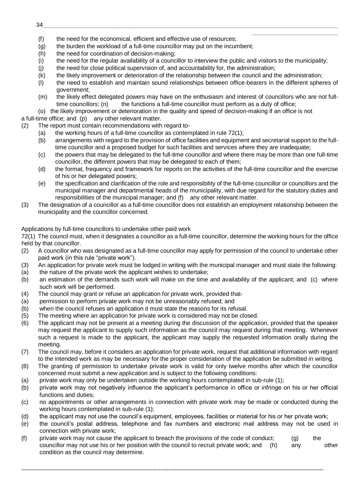- (f) the need for the economical, efficient and effective use of resources;
- (g) the burden the workload of a full-time councillor may put on the incumbent;
- (h) the need for coordination of decision-making:
- (i) the need for the regular availability of a councillor to interview the public and visitors to the municipality;

\_\_\_\_\_\_\_\_\_\_\_\_\_\_\_\_\_\_\_\_\_\_\_\_\_\_

- (j) the need for close political supervision of, and accountability for, the administration;
- (k) the likely improvement or deterioration of the relationship between the council and the administration;
- (l) the need to establish and maintain sound relationships between office-bearers in the different spheres of government;
- (m) the likely effect delegated powers may have on the enthusiasm and interest of councillors who are not fulltime councillors; (n) the functions a full-time councillor must perform as a duty of office;
- (o) the likely improvement or deterioration in the quality and speed of decision-making if an office is not

a full-time office; and (p) any other relevant matter.

- (2) The report must contain recommendations with regard to-
	- (a) the working hours of a full-time councillor as contemplated in rule 72(1);
	- (b) arrangements with regard to the provision of office facilities and equipment and secretarial support to the fulltime councillor and a proposed budget for such facilities and services where they are inadequate;
	- (c) the powers that may be delegated to the full-time councillor and where there may be more than one full-time councillor, the different powers that may be delegated to each of them;
	- (d) the format, frequency and framework for reports on the activities of the full-time councillor and the exercise of his or her delegated powers;
	- (e) the specification and clarification of the role and responsibility of the full-time councillor or councillors and the municipal manager and departmental heads of the municipality, with due regard for the statutory duties and responsibilities of the municipal manager; and (f) any other relevant matter.
- (3) The designation of a councillor as a full-time councillor does not establish an employment relationship between the municipality and the councillor concerned.

Applications by full-time councillors to undertake other paid work

72(1) The council must, when it designates a councillor as a full-time councillor, determine the working hours for the office held by that councillor.

- (2) A councillor who was designated as a full-time councillor may apply for permission of the council to undertake other paid work (in this rule "private work").
- (3) An application for private work must be lodged in writing with the municipal manager and must state the following:
- (a) the nature of the private work the applicant wishes to undertake;
- (b) an estimation of the demands such work will make on the time and availability of the applicant; and (c) where such work will be performed.
- (4) The council may grant or refuse an application for private work, provided that-
- (a) permission to perform private work may not be unreasonably refused; and
- (b) when the council refuses an application it must state the reasons for its refusal.
- (5) The meeting where an application for private work is considered may not be closed.
- (6) The applicant may not be present at a meeting during the discussion of the application, provided that the speaker may request the applicant to supply such information as the council may request during that meeting. Whenever such a request is made to the applicant, the applicant may supply the requested information orally during the meeting.
- (7) The council may, before it considers an application for private work, request that additional information with regard to the intended work as may be necessary for the proper consideration of the application be submitted in writing.
- (8) The granting of permission to undertake private work is valid for only twelve months after which the councillor concerned must submit a new application and is subject to the following conditions:
- (a) private work may only be undertaken outside the working hours contemplated in sub-rule (1);
- (b) private work may not negatively influence the applicant's performance in office or infringe on his or her official functions and duties;
- (c) no appointments or other arrangements in connection with private work may be made or conducted during the working hours contemplated in sub-rule (1);
- (d) the applicant may not use the council's equipment, employees, facilities or material for his or her private work;
- (e) the council's postal address, telephone and fax numbers and electronic mail address may not be used in connection with private work;
- (f) private work may not cause the applicant to breach the provisions of the code of conduct; (g) the councillor may not use his or her position with the council to recruit private work; and (h) any other condition as the council may determine.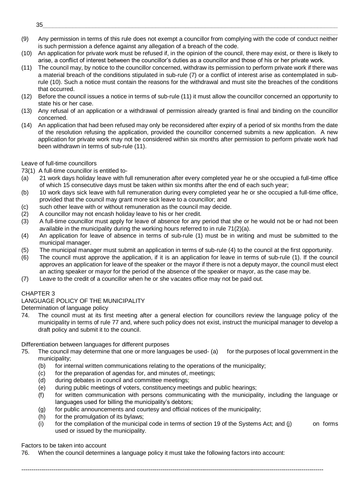(9) Any permission in terms of this rule does not exempt a councillor from complying with the code of conduct neither is such permission a defence against any allegation of a breach of the code.

\_\_\_\_\_\_\_\_\_\_\_\_\_\_\_\_\_\_\_\_\_\_\_\_\_\_

- (10) An application for private work must be refused if, in the opinion of the council, there may exist, or there is likely to arise, a conflict of interest between the councillor's duties as a councillor and those of his or her private work.
- (11) The council may, by notice to the councillor concerned, withdraw its permission to perform private work if there was a material breach of the conditions stipulated in sub-rule (7) or a conflict of interest arise as contemplated in subrule (10). Such a notice must contain the reasons for the withdrawal and must site the breaches of the conditions that occurred.
- (12) Before the council issues a notice in terms of sub-rule (11) it must allow the councillor concerned an opportunity to state his or her case.
- (13) Any refusal of an application or a withdrawal of permission already granted is final and binding on the councillor concerned.
- (14) An application that had been refused may only be reconsidered after expiry of a period of six months from the date of the resolution refusing the application, provided the councillor concerned submits a new application. A new application for private work may not be considered within six months after permission to perform private work had been withdrawn in terms of sub-rule (11).

## Leave of full-time councillors

- 73(1) A full-time councillor is entitled to-
- (a) 21 work days holiday leave with full remuneration after every completed year he or she occupied a full-time office of which 15 consecutive days must be taken within six months after the end of each such year;
- (b) 10 work days sick leave with full remuneration during every completed year he or she occupied a full-time office, provided that the council may grant more sick leave to a councillor; and
- (c) such other leave with or without remuneration as the council may decide.
- (2) A councillor may not encash holiday leave to his or her credit.
- (3) A full-time councillor must apply for leave of absence for any period that she or he would not be or had not been available in the municipality during the working hours referred to in rule 71(2)(a).
- (4) An application for leave of absence in terms of sub-rule (1) must be in writing and must be submitted to the municipal manager.
- (5) The municipal manager must submit an application in terms of sub-rule (4) to the council at the first opportunity.
- (6) The council must approve the application, if it is an application for leave in terms of sub-rule (1). If the council approves an application for leave of the speaker or the mayor if there is not a deputy mayor, the council must elect an acting speaker or mayor for the period of the absence of the speaker or mayor, as the case may be.
- (7) Leave to the credit of a councillor when he or she vacates office may not be paid out.

## CHAPTER 3

## LANGUAGE POLICY OF THE MUNICIPALITY

Determination of language policy

74. The council must at its first meeting after a general election for councillors review the language policy of the municipality in terms of rule 77 and, where such policy does not exist, instruct the municipal manager to develop a draft policy and submit it to the council.

## Differentiation between languages for different purposes

- 75. The council may determine that one or more languages be used- (a) for the purposes of local government in the municipality;
	- (b) for internal written communications relating to the operations of the municipality;
	- (c) for the preparation of agendas for, and minutes of, meetings;
	- (d) during debates in council and committee meetings;
	- (e) during public meetings of voters, constituency meetings and public hearings;
	- (f) for written communication with persons communicating with the municipality, including the language or languages used for billing the municipality's debtors;
	- (g) for public announcements and courtesy and official notices of the municipality;
	- (h) for the promulgation of its bylaws;
	- (i) for the compilation of the municipal code in terms of section 19 of the Systems Act; and (j) on forms used or issued by the municipality.

## Factors to be taken into account

76. When the council determines a language policy it must take the following factors into account: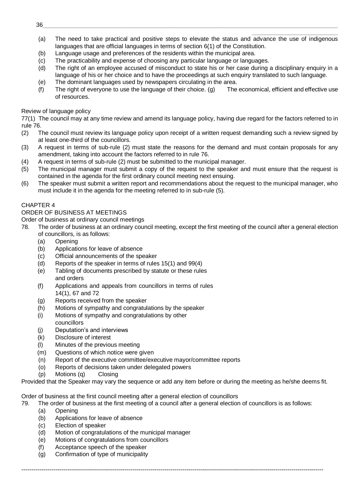- \_\_\_\_\_\_\_\_\_\_\_\_\_\_\_\_\_\_\_\_\_\_\_\_\_\_ (a) The need to take practical and positive steps to elevate the status and advance the use of indigenous languages that are official languages in terms of section 6(1) of the Constitution.
- (b) Language usage and preferences of the residents within the municipal area.
- (c) The practicability and expense of choosing any particular language or languages.
- (d) The right of an employee accused of misconduct to state his or her case during a disciplinary enquiry in a language of his or her choice and to have the proceedings at such enquiry translated to such language.
- (e) The dominant languages used by newspapers circulating in the area.
- (f) The right of everyone to use the language of their choice. (g) The economical, efficient and effective use of resources.

#### Review of language policy

77(1) The council may at any time review and amend its language policy, having due regard for the factors referred to in rule 76.

- (2) The council must review its language policy upon receipt of a written request demanding such a review signed by at least one-third of the councillors.
- (3) A request in terms of sub-rule (2) must state the reasons for the demand and must contain proposals for any amendment, taking into account the factors referred to in rule 76.
- (4) A request in terms of sub-rule (2) must be submitted to the municipal manager.
- (5) The municipal manager must submit a copy of the request to the speaker and must ensure that the request is contained in the agenda for the first ordinary council meeting next ensuing.
- (6) The speaker must submit a written report and recommendations about the request to the municipal manager, who must include it in the agenda for the meeting referred to in sub-rule (5).

## CHAPTER 4

#### ORDER OF BUSINESS AT MEETINGS

Order of business at ordinary council meetings

- 78. The order of business at an ordinary council meeting, except the first meeting of the council after a general election of councillors, is as follows:
	- (a) Opening
	- (b) Applications for leave of absence
	- (c) Official announcements of the speaker
	- (d) Reports of the speaker in terms of rules 15(1) and 99(4)
	- (e) Tabling of documents prescribed by statute or these rules and orders
	- (f) Applications and appeals from councillors in terms of rules 14(1), 67 and 72
	- (g) Reports received from the speaker
	- (h) Motions of sympathy and congratulations by the speaker
	- (i) Motions of sympathy and congratulations by other councillors
	- (j) Deputation's and interviews
	- (k) Disclosure of interest
	- (l) Minutes of the previous meeting
	- (m) Questions of which notice were given
	- (n) Report of the executive committee/executive mayor/committee reports
	- (o) Reports of decisions taken under delegated powers
	- (p) Motions (q) Closing

Provided that the Speaker may vary the sequence or add any item before or during the meeting as he/she deems fit.

Order of business at the first council meeting after a general election of councillors

79. The order of business at the first meeting of a council after a general election of councillors is as follows:

- (a) Opening
- (b) Applications for leave of absence
- (c) Election of speaker
- (d) Motion of congratulations of the municipal manager
- (e) Motions of congratulations from councillors
- (f) Acceptance speech of the speaker
- (g) Confirmation of type of municipality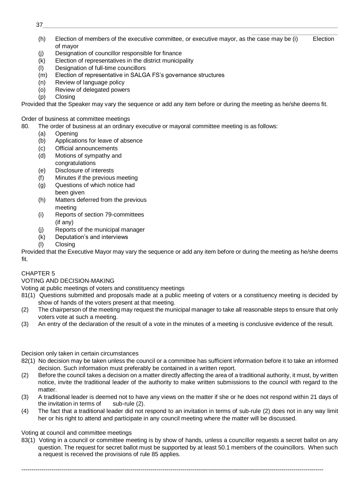- 37\_\_\_\_\_\_\_\_\_\_\_\_\_\_\_\_\_\_\_\_\_\_\_\_\_\_\_\_\_\_\_\_\_\_\_\_\_\_\_\_\_\_\_\_\_\_\_\_\_\_\_\_\_\_\_\_\_\_\_\_\_\_\_\_\_\_\_\_\_\_\_\_\_\_\_\_\_\_\_\_\_\_\_\_\_\_\_\_\_
- \_\_\_\_\_\_\_\_\_\_\_\_\_\_\_\_\_\_\_\_\_\_\_\_\_\_ (h) Election of members of the executive committee, or executive mayor, as the case may be (i) Election of mayor
- (j) Designation of councillor responsible for finance
- (k) Election of representatives in the district municipality
- (l) Designation of full-time councillors
- (m) Election of representative in SALGA FS's governance structures
- (n) Review of language policy
- (o) Review of delegated powers
- (p) Closing

Provided that the Speaker may vary the sequence or add any item before or during the meeting as he/she deems fit.

Order of business at committee meetings

- 80. The order of business at an ordinary executive or mayoral committee meeting is as follows:
	- (a) Opening
	- (b) Applications for leave of absence
	- (c) Official announcements
	- (d) Motions of sympathy and congratulations
	- (e) Disclosure of interests
	- (f) Minutes if the previous meeting
	- (g) Questions of which notice had
	- been given (h) Matters deferred from the previous
	- meeting (i) Reports of section 79-committees (if any)
	- (j) Reports of the municipal manager
	- (k) Deputation's and interviews
	- (l) Closing

Provided that the Executive Mayor may vary the sequence or add any item before or during the meeting as he/she deems fit.

# CHAPTER 5

VOTING AND DECISION-MAKING

Voting at public meetings of voters and constituency meetings

- 81(1) Questions submitted and proposals made at a public meeting of voters or a constituency meeting is decided by show of hands of the voters present at that meeting.
- (2) The chairperson of the meeting may request the municipal manager to take all reasonable steps to ensure that only voters vote at such a meeting.
- (3) An entry of the declaration of the result of a vote in the minutes of a meeting is conclusive evidence of the result.

Decision only taken in certain circumstances

- 82(1) No decision may be taken unless the council or a committee has sufficient information before it to take an informed decision. Such information must preferably be contained in a written report.
- (2) Before the council takes a decision on a matter directly affecting the area of a traditional authority, it must, by written notice, invite the traditional leader of the authority to make written submissions to the council with regard to the matter.
- (3) A traditional leader is deemed not to have any views on the matter if she or he does not respond within 21 days of the invitation in terms of  $sub$ -rule  $(2)$ .
- (4) The fact that a traditional leader did not respond to an invitation in terms of sub-rule (2) does not in any way limit her or his right to attend and participate in any council meeting where the matter will be discussed.

Voting at council and committee meetings

83(1) Voting in a council or committee meeting is by show of hands, unless a councillor requests a secret ballot on any question. The request for secret ballot must be supported by at least 50.1 members of the couincillors. When such a request is received the provisions of rule 85 applies.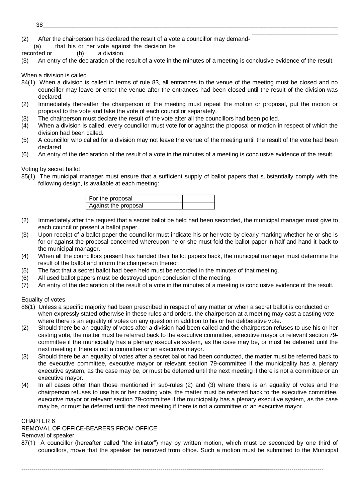- $38\_$  . The contribution of the contribution of the contribution of the contribution of the contribution of the contribution of the contribution of the contribution of the contribution of the contribution of the contribut
- (2) After the chairperson has declared the result of a vote a councillor may demand-
- (a) that his or her vote against the decision be

recorded or (b) a division.

(3) An entry of the declaration of the result of a vote in the minutes of a meeting is conclusive evidence of the result.

\_\_\_\_\_\_\_\_\_\_\_\_\_\_\_\_\_\_\_\_\_\_\_\_\_\_

When a division is called

- 84(1) When a division is called in terms of rule 83, all entrances to the venue of the meeting must be closed and no councillor may leave or enter the venue after the entrances had been closed until the result of the division was declared.
- (2) Immediately thereafter the chairperson of the meeting must repeat the motion or proposal, put the motion or proposal to the vote and take the vote of each councillor separately.
- (3) The chairperson must declare the result of the vote after all the councillors had been polled.
- (4) When a division is called, every councillor must vote for or against the proposal or motion in respect of which the division had been called.
- (5) A councillor who called for a division may not leave the venue of the meeting until the result of the vote had been declared.
- (6) An entry of the declaration of the result of a vote in the minutes of a meeting is conclusive evidence of the result.

Voting by secret ballot

85(1) The municipal manager must ensure that a sufficient supply of ballot papers that substantially comply with the following design, is available at each meeting:

| For the proposal     |  |
|----------------------|--|
| Against the proposal |  |

- (2) Immediately after the request that a secret ballot be held had been seconded, the municipal manager must give to each councillor present a ballot paper.
- (3) Upon receipt of a ballot paper the councillor must indicate his or her vote by clearly marking whether he or she is for or against the proposal concerned whereupon he or she must fold the ballot paper in half and hand it back to the municipal manager.
- (4) When all the councillors present has handed their ballot papers back, the municipal manager must determine the result of the ballot and inform the chairperson thereof.
- (5) The fact that a secret ballot had been held must be recorded in the minutes of that meeting.
- (6) All used ballot papers must be destroyed upon conclusion of the meeting.
- (7) An entry of the declaration of the result of a vote in the minutes of a meeting is conclusive evidence of the result.

Equality of votes

- 86(1) Unless a specific majority had been prescribed in respect of any matter or when a secret ballot is conducted or when expressly stated otherwise in these rules and orders, the chairperson at a meeting may cast a casting vote where there is an equality of votes on any question in addition to his or her deliberative vote.
- (2) Should there be an equality of votes after a division had been called and the chairperson refuses to use his or her casting vote, the matter must be referred back to the executive committee, executive mayor or relevant section 79 committee if the municipality has a plenary executive system, as the case may be, or must be deferred until the next meeting if there is not a committee or an executive mayor.
- (3) Should there be an equality of votes after a secret ballot had been conducted, the matter must be referred back to the executive committee, executive mayor or relevant section 79-committee if the municipality has a plenary executive system, as the case may be, or must be deferred until the next meeting if there is not a committee or an executive mayor.
- (4) In all cases other than those mentioned in sub-rules (2) and (3) where there is an equality of votes and the chairperson refuses to use his or her casting vote, the matter must be referred back to the executive committee, executive mayor or relevant section 79-committee if the municipality has a plenary executive system, as the case may be, or must be deferred until the next meeting if there is not a committee or an executive mayor.

# CHAPTER 6

REMOVAL OF OFFICE-BEARERS FROM OFFICE

Removal of speaker

87(1) A councillor (hereafter called "the initiator") may by written motion, which must be seconded by one third of councillors, move that the speaker be removed from office. Such a motion must be submitted to the Municipal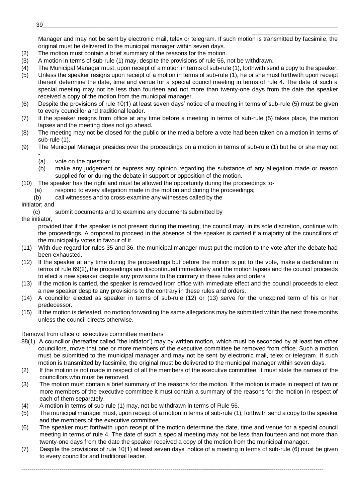\_\_\_\_\_\_\_\_\_\_\_\_\_\_\_\_\_\_\_\_\_\_\_\_\_\_ Manager and may not be sent by electronic mail, telex or telegram. If such motion is transmitted by facsimile, the original must be delivered to the municipal manager within seven days.

- (2) The motion must contain a brief summary of the reasons for the motion.
- (3) A motion in terms of sub-rule (1) may, despite the provisions of rule 56, not be withdrawn.
- (4) The Municipal Manager must, upon receipt of a motion in terms of sub-rule (1), forthwith send a copy to the speaker.
- (5) Unless the speaker resigns upon receipt of a motion in terms of sub-rule (1), he or she must forthwith upon receipt thereof determine the date, time and venue for a special council meeting in terms of rule 4. The date of such a special meeting may not be less than fourteen and not more than twenty-one days from the date the speaker received a copy of the motion from the municipal manager.
- (6) Despite the provisions of rule 10(1) at least seven days' notice of a meeting in terms of sub-rule (5) must be given to every councillor and traditional leader.
- (7) If the speaker resigns from office at any time before a meeting in terms of sub-rule (5) takes place, the motion lapses and the meeting does not go ahead.
- (8) The meeting may not be closed for the public or the media before a vote had been taken on a motion in terms of sub-rule (1).
- (9) The Municipal Manager presides over the proceedings on a motion in terms of sub-rule (1) but he or she may not -
	- (a) vote on the question;
	- (b) make any judgement or express any opinion regarding the substance of any allegation made or reason supplied for or during the debate in support or opposition of the motion.
- (10) The speaker has the right and must be allowed the opportunity during the proceedings to-
	- (a) respond to every allegation made in the motion and during the proceedings;
	- (b) call witnesses and to cross-examine any witnesses called by the
- initiator; and

(c) submit documents and to examine any documents submitted by

the initiator,

provided that if the speaker is not present during the meeting, the council may, in its sole discretion, continue with the proceedings. A proposal to proceed in the absence of the speaker is carried if a majority of the councillors of the municipality votes in favour of it.

- (11) With due regard for rules 35 and 36, the municipal manager must put the motion to the vote after the debate had been exhausted.
- (12) If the speaker at any time during the proceedings but before the motion is put to the vote, make a declaration in terms of rule 69(2), the proceedings are discontinued immediately and the motion lapses and the council proceeds to elect a new speaker despite any provisions to the contrary in these rules and orders.
- (13) If the motion is carried, the speaker is removed from office with immediate effect and the council proceeds to elect a new speaker despite any provisions to the contrary in these rules and orders.
- (14) A councillor elected as speaker in terms of sub-rule (12) or (13) serve for the unexpired term of his or her predecessor.
- (15) If the motion is defeated, no motion forwarding the same allegations may be submitted within the next three months unless the council directs otherwise.

# Removal from office of executive committee members

- 88(1) A councillor (hereafter called "the initiator") may by written motion, which must be seconded by at least ten other councillors, move that one or more members of the executive committee be removed from office. Such a motion must be submitted to the municipal manager and may not be sent by electronic mail, telex or telegram. If such motion is transmitted by facsimile, the original must be delivered to the municipal manager within seven days.
- (2) If the motion is not made in respect of all the members of the executive committee, it must state the names of the councillors who must be removed.
- (3) The motion must contain a brief summary of the reasons for the motion. If the motion is made in respect of two or more members of the executive committee it must contain a summary of the reasons for the motion in respect of each of them separately.
- (4) A motion in terms of sub-rule (1) may, not be withdrawn in terms of Rule 56.
- (5) The municipal manager must, upon receipt of a motion in terms of sub-rule (1), forthwith send a copy to the speaker and the members of the executive committee.
- (6) The speaker must forthwith upon receipt of the motion determine the date, time and venue for a special council meeting in terms of rule 4. The date of such a special meeting may not be less than fourteen and not more than twenty-one days from the date the speaker received a copy of the motion from the municipal manager.
- (7) Despite the provisions of rule 10(1) at least seven days' notice of a meeting in terms of sub-rule (6) must be given to every councillor and traditional leader.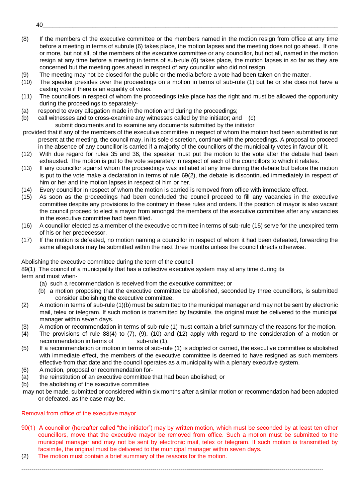(8) If the members of the executive committee or the members named in the motion resign from office at any time before a meeting in terms of subrule (6) takes place, the motion lapses and the meeting does not go ahead. If one or more, but not all, of the members of the executive committee or any councillor, but not all, named in the motion resign at any time before a meeting in terms of sub-rule (6) takes place, the motion lapses in so far as they are concerned but the meeting goes ahead in respect of any councillor who did not resign.

\_\_\_\_\_\_\_\_\_\_\_\_\_\_\_\_\_\_\_\_\_\_\_\_\_\_

- (9) The meeting may not be closed for the public or the media before a vote had been taken on the matter.
- (10) The speaker presides over the proceedings on a motion in terms of sub-rule (1) but he or she does not have a casting vote if there is an equality of votes.
- (11) The councillors in respect of whom the proceedings take place has the right and must be allowed the opportunity during the proceedings to separately-
- (a) respond to every allegation made in the motion and during the proceedings;
- (b) call witnesses and to cross-examine any witnesses called by the initiator; and (c) submit documents and to examine any documents submitted by the initiator
- provided that if any of the members of the executive committee in respect of whom the motion had been submitted is not present at the meeting, the council may, in its sole discretion, continue with the proceedings. A proposal to proceed in the absence of any councillor is carried if a majority of the councillors of the municipality votes in favour of it.
- (12) With due regard for rules 35 and 36, the speaker must put the motion to the vote after the debate had been exhausted. The motion is put to the vote separately in respect of each of the councillors to which it relates.
- (13) If any councillor against whom the proceedings was initiated at any time during the debate but before the motion is put to the vote make a declaration in terms of rule 69(2), the debate is discontinued immediately in respect of him or her and the motion lapses in respect of him or her.
- (14) Every councillor in respect of whom the motion is carried is removed from office with immediate effect.
- (15) As soon as the proceedings had been concluded the council proceed to fill any vacancies in the executive committee despite any provisions to the contrary in these rules and orders. If the position of mayor is also vacant the council proceed to elect a mayor from amongst the members of the executive committee after any vacancies in the executive committee had been filled.
- (16) A councillor elected as a member of the executive committee in terms of sub-rule (15) serve for the unexpired term of his or her predecessor.
- (17) If the motion is defeated, no motion naming a councillor in respect of whom it had been defeated, forwarding the same allegations may be submitted within the next three months unless the council directs otherwise.

#### Abolishing the executive committee during the term of the council

89(1) The council of a municipality that has a collective executive system may at any time during its

term and must when-

- (a) such a recommendation is received from the executive committee; or
- (b) a motion proposing that the executive committee be abolished, seconded by three councillors, is submitted consider abolishing the executive committee.
- (2) A motion in terms of sub-rule (1)(b) must be submitted to the municipal manager and may not be sent by electronic mail, telex or telegram. If such motion is transmitted by facsimile, the original must be delivered to the municipal manager within seven days.
- (3) A motion or recommendation in terms of sub-rule (1) must contain a brief summary of the reasons for the motion.
- (4) The provisions of rule 88(4) to (7), (9), (10) and (12) apply with regard to the consideration of a motion or recommendation in terms of sub-rule (1).
- (5) If a recommendation or motion in terms of sub-rule (1) is adopted or carried, the executive committee is abolished with immediate effect, the members of the executive committee is deemed to have resigned as such members effective from that date and the council operates as a municipality with a plenary executive system.
- (6) A motion, proposal or recommendation for-
- (a) the reinstitution of an executive committee that had been abolished; or
- (b) the abolishing of the executive committee
- may not be made, submitted or considered within six months after a similar motion or recommendation had been adopted or defeated, as the case may be.

#### Removal from office of the executive mayor

90(1) A councillor (hereafter called "the initiator") may by written motion, which must be seconded by at least ten other councillors, move that the executive mayor be removed from office. Such a motion must be submitted to the municipal manager and may not be sent by electronic mail, telex or telegram. If such motion is transmitted by facsimile, the original must be delivered to the municipal manager within seven days.

--------------------------------------------------------------------------------------------------------------------------------------------------------

(2) The motion must contain a brief summary of the reasons for the motion.

 $40\_$  . The contract of the contract of the contract of the contract of the contract of the contract of the contract of the contract of the contract of the contract of the contract of the contract of the contract of the c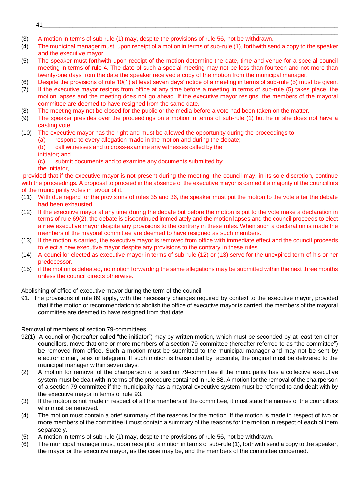- 41\_\_\_\_\_\_\_\_\_\_\_\_\_\_\_\_\_\_\_\_\_\_\_\_\_\_\_\_\_\_\_\_\_\_\_\_\_\_\_\_\_\_\_\_\_\_\_\_\_\_\_\_\_\_\_\_\_\_\_\_\_\_\_\_\_\_\_\_\_\_\_\_\_\_\_\_\_\_\_\_\_\_\_\_\_\_\_\_\_
- \_\_\_\_\_\_\_\_\_\_\_\_\_\_\_\_\_\_\_\_\_\_\_\_\_\_ (3) A motion in terms of sub-rule (1) may, despite the provisions of rule 56, not be withdrawn.
- (4) The municipal manager must, upon receipt of a motion in terms of sub-rule (1), forthwith send a copy to the speaker and the executive mayor.
- (5) The speaker must forthwith upon receipt of the motion determine the date, time and venue for a special council meeting in terms of rule 4. The date of such a special meeting may not be less than fourteen and not more than twenty-one days from the date the speaker received a copy of the motion from the municipal manager.
- (6) Despite the provisions of rule 10(1) at least seven days' notice of a meeting in terms of sub-rule (5) must be given.
- (7) If the executive mayor resigns from office at any time before a meeting in terms of sub-rule (5) takes place, the motion lapses and the meeting does not go ahead. If the executive mayor resigns, the members of the mayoral committee are deemed to have resigned from the same date.
- (8) The meeting may not be closed for the public or the media before a vote had been taken on the matter.
- (9) The speaker presides over the proceedings on a motion in terms of sub-rule (1) but he or she does not have a casting vote.
- (10) The executive mayor has the right and must be allowed the opportunity during the proceedings to-
	- (a) respond to every allegation made in the motion and during the debate;
	- (b) call witnesses and to cross-examine any witnesses called by the
	- initiator; and
	- (c) submit documents and to examine any documents submitted by the initiator,
- provided that if the executive mayor is not present during the meeting, the council may, in its sole discretion, continue with the proceedings. A proposal to proceed in the absence of the executive mayor is carried if a majority of the councillors of the municipality votes in favour of it.
- (11) With due regard for the provisions of rules 35 and 36, the speaker must put the motion to the vote after the debate had been exhausted.
- (12) If the executive mayor at any time during the debate but before the motion is put to the vote make a declaration in terms of rule 69(2), the debate is discontinued immediately and the motion lapses and the council proceeds to elect a new executive mayor despite any provisions to the contrary in these rules. When such a declaration is made the members of the mayoral committee are deemed to have resigned as such members.
- (13) If the motion is carried, the executive mayor is removed from office with immediate effect and the council proceeds to elect a new executive mayor despite any provisions to the contrary in these rules.
- (14) A councillor elected as executive mayor in terms of sub-rule (12) or (13) serve for the unexpired term of his or her predecessor.
- (15) if the motion is defeated, no motion forwarding the same allegations may be submitted within the next three months unless the council directs otherwise.

Abolishing of office of executive mayor during the term of the council

91. The provisions of rule 89 apply, with the necessary changes required by context to the executive mayor, provided that if the motion or recommendation to abolish the office of executive mayor is carried, the members of the mayoral committee are deemed to have resigned from that date.

Removal of members of section 79-committees

- 92(1) A councillor (hereafter called "the initiator") may by written motion, which must be seconded by at least ten other councillors, move that one or more members of a section 79-committee (hereafter referred to as "the committee") be removed from office. Such a motion must be submitted to the municipal manager and may not be sent by electronic mail, telex or telegram. If such motion is transmitted by facsimile, the original must be delivered to the municipal manager within seven days.
- (2) A motion for removal of the chairperson of a section 79-committee if the municipality has a collective executive system must be dealt with in terms of the procedure contained in rule 88. A motion for the removal of the chairperson of a section 79-committee if the municipality has a mayoral executive system must be referred to and dealt with by the executive mayor in terms of rule 93.
- (3) If the motion is not made in respect of all the members of the committee, it must state the names of the councillors who must be removed.
- (4) The motion must contain a brief summary of the reasons for the motion. If the motion is made in respect of two or more members of the committee it must contain a summary of the reasons for the motion in respect of each of them separately.
- (5) A motion in terms of sub-rule (1) may, despite the provisions of rule 56, not be withdrawn.
- (6) The municipal manager must, upon receipt of a motion in terms of sub-rule (1), forthwith send a copy to the speaker, the mayor or the executive mayor, as the case may be, and the members of the committee concerned.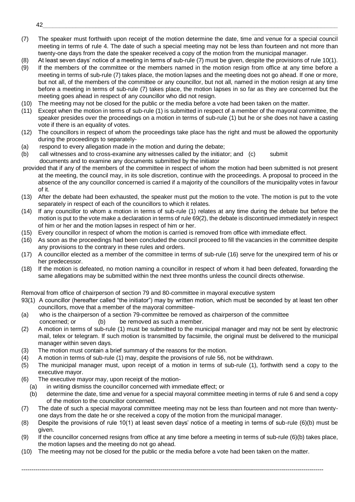- \_\_\_\_\_\_\_\_\_\_\_\_\_\_\_\_\_\_\_\_\_\_\_\_\_\_ (7) The speaker must forthwith upon receipt of the motion determine the date, time and venue for a special council meeting in terms of rule 4. The date of such a special meeting may not be less than fourteen and not more than twenty-one days from the date the speaker received a copy of the motion from the municipal manager.
- (8) At least seven days' notice of a meeting in terms of sub-rule (7) must be given, despite the provisions of rule 10(1).
- (9) If the members of the committee or the members named in the motion resign from office at any time before a meeting in terms of sub-rule (7) takes place, the motion lapses and the meeting does not go ahead. If one or more, but not all, of the members of the committee or any councillor, but not all, named in the motion resign at any time before a meeting in terms of sub-rule (7) takes place, the motion lapses in so far as they are concerned but the meeting goes ahead in respect of any councillor who did not resign.
- (10) The meeting may not be closed for the public or the media before a vote had been taken on the matter.
- (11) Except when the motion in terms of sub-rule (1) is submitted in respect of a member of the mayoral committee, the speaker presides over the proceedings on a motion in terms of sub-rule (1) but he or she does not have a casting vote if there is an equality of votes.
- (12) The councillors in respect of whom the proceedings take place has the right and must be allowed the opportunity during the proceedings to separately-
- (a) respond to every allegation made in the motion and during the debate;
- (b) call witnesses and to cross-examine any witnesses called by the initiator; and (c) submit documents and to examine any documents submitted by the initiator
- provided that if any of the members of the committee in respect of whom the motion had been submitted is not present at the meeting, the council may, in its sole discretion, continue with the proceedings. A proposal to proceed in the absence of the any councillor concerned is carried if a majority of the councillors of the municipality votes in favour of it.
- (13) After the debate had been exhausted, the speaker must put the motion to the vote. The motion is put to the vote separately in respect of each of the councillors to which it relates.
- (14) If any councillor to whom a motion in terms of sub-rule (1) relates at any time during the debate but before the motion is put to the vote make a declaration in terms of rule 69(2), the debate is discontinued immediately in respect of him or her and the motion lapses in respect of him or her.
- (15) Every councillor in respect of whom the motion is carried is removed from office with immediate effect.
- (16) As soon as the proceedings had been concluded the council proceed to fill the vacancies in the committee despite any provisions to the contrary in these rules and orders.
- (17) A councillor elected as a member of the committee in terms of sub-rule (16) serve for the unexpired term of his or her predecessor.
- (18) If the motion is defeated, no motion naming a councillor in respect of whom it had been defeated, forwarding the same allegations may be submitted within the next three months unless the council directs otherwise.

Removal from office of chairperson of section 79 and 80-committee in mayoral executive system

- 93(1) A councillor (hereafter called "the initiator") may by written motion, which must be seconded by at least ten other councillors, move that a member of the mayoral committee-
- (a) who is the chairperson of a section 79-committee be removed as chairperson of the committee concerned; or (b) be removed as such a member.
- (2) A motion in terms of sub-rule (1) must be submitted to the municipal manager and may not be sent by electronic mail, telex or telegram. If such motion is transmitted by facsimile, the original must be delivered to the municipal manager within seven days.
- (3) The motion must contain a brief summary of the reasons for the motion.
- (4) A motion in terms of sub-rule (1) may, despite the provisions of rule 56, not be withdrawn.
- (5) The municipal manager must, upon receipt of a motion in terms of sub-rule (1), forthwith send a copy to the executive mayor.
- (6) The executive mayor may, upon receipt of the motion-
	- (a) in writing dismiss the councillor concerned with immediate effect; or
	- (b) determine the date, time and venue for a special mayoral committee meeting in terms of rule 6 and send a copy of the motion to the councillor concerned.
- (7) The date of such a special mayoral committee meeting may not be less than fourteen and not more than twentyone days from the date he or she received a copy of the motion from the municipal manager.
- (8) Despite the provisions of rule 10(1) at least seven days' notice of a meeting in terms of sub-rule (6)(b) must be given.
- (9) If the councillor concerned resigns from office at any time before a meeting in terms of sub-rule (6)(b) takes place, the motion lapses and the meeting do not go ahead.
- (10) The meeting may not be closed for the public or the media before a vote had been taken on the matter.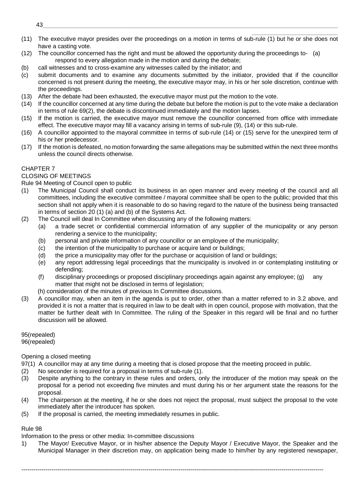- \_\_\_\_\_\_\_\_\_\_\_\_\_\_\_\_\_\_\_\_\_\_\_\_\_\_ (11) The executive mayor presides over the proceedings on a motion in terms of sub-rule (1) but he or she does not have a casting vote.
- (12) The councillor concerned has the right and must be allowed the opportunity during the proceedings to- (a) respond to every allegation made in the motion and during the debate;
- (b) call witnesses and to cross-examine any witnesses called by the initiator; and
- (c) submit documents and to examine any documents submitted by the initiator, provided that if the councillor concerned is not present during the meeting, the executive mayor may, in his or her sole discretion, continue with the proceedings.
- (13) After the debate had been exhausted, the executive mayor must put the motion to the vote.
- (14) If the councillor concerned at any time during the debate but before the motion is put to the vote make a declaration in terms of rule 69(2), the debate is discontinued immediately and the motion lapses.
- (15) If the motion is carried, the executive mayor must remove the councillor concerned from office with immediate effect. The executive mayor may fill a vacancy arising in terms of sub-rule (9), (14) or this sub-rule.
- (16) A councillor appointed to the mayoral committee in terms of sub-rule (14) or (15) serve for the unexpired term of his or her predecessor.
- (17) If the motion is defeated, no motion forwarding the same allegations may be submitted within the next three months unless the council directs otherwise.

# CHAPTER 7

# CLOSING OF MEETINGS

Rule 94 Meeting of Council open to public

- (1) The Municipal Council shall conduct its business in an open manner and every meeting of the council and all committees, including the executive committee / mayoral committee shall be open to the public; provided that this section shall not apply when it is reasonable to do so having regard to the nature of the business being transacted in terms of section 20 (1) (a) and (b) of the Systems Act.
- (2) The Council will deal In Committee when discussing any of the following matters:
	- (a) a trade secret or confidential commercial information of any supplier of the municipality or any person rendering a service to the municipality;
	- (b) personal and private information of any councillor or an employee of the municipality;
	- (c) the intention of the municipality to purchase or acquire land or buildings;
	- (d) the price a municipality may offer for the purchase or acquisition of land or buildings;
	- (e) any report addressing legal proceedings that the municipality is involved in or contemplating instituting or defending;
	- (f) disciplinary proceedings or proposed disciplinary proceedings again against any employee; (g) any matter that might not be disclosed in terms of legislation;
	- (h) consideration of the minutes of previous In Committee discussions.
- (3) A councillor may, when an item in the agenda is put to order, other than a matter referred to in 3.2 above, and provided it is not a matter that is required in law to be dealt with in open council, propose with motivation, that the matter be further dealt with In Committee. The ruling of the Speaker in this regard will be final and no further discussion will be allowed.

# 95(repealed)

96(repealed)

# Opening a closed meeting

- 97(1) A councillor may at any time during a meeting that is closed propose that the meeting proceed in public.
- (2) No seconder is required for a proposal in terms of sub-rule (1).
- (3) Despite anything to the contrary in these rules and orders, only the introducer of the motion may speak on the proposal for a period not exceeding five minutes and must during his or her argument state the reasons for the proposal.
- (4) The chairperson at the meeting, if he or she does not reject the proposal, must subject the proposal to the vote immediately after the introducer has spoken.
- (5) If the proposal is carried, the meeting immediately resumes in public.

# Rule 98

Information to the press or other media: In-committee discussions

1) The Mayor/ Executive Mayor, or in his/her absence the Deputy Mayor / Executive Mayor, the Speaker and the Municipal Manager in their discretion may, on application being made to him/her by any registered newspaper,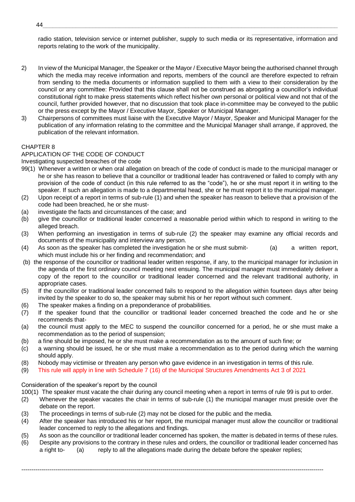\_\_\_\_\_\_\_\_\_\_\_\_\_\_\_\_\_\_\_\_\_\_\_\_\_\_ radio station, television service or internet publisher, supply to such media or its representative, information and reports relating to the work of the municipality.

- 2) In view of the Municipal Manager, the Speaker or the Mayor / Executive Mayor being the authorised channel through which the media may receive information and reports, members of the council are therefore expected to refrain from sending to the media documents or information supplied to them with a view to their consideration by the council or any committee: Provided that this clause shall not be construed as abrogating a councillor's individual constitutional right to make press statements which reflect his/her own personal or political view and not that of the council, further provided however, that no discussion that took place in-committee may be conveyed to the public or the press except by the Mayor / Executive Mayor, Speaker or Municipal Manager.
- 3) Chairpersons of committees must liaise with the Executive Mayor / Mayor, Speaker and Municipal Manager for the publication of any information relating to the committee and the Municipal Manager shall arrange, if approved, the publication of the relevant information.

# CHAPTER 8

# APPLICATION OF THE CODE OF CONDUCT

Investigating suspected breaches of the code

- 99(1) Whenever a written or when oral allegation on breach of the code of conduct is made to the municipal manager or he or she has reason to believe that a councillor or traditional leader has contravened or failed to comply with any provision of the code of conduct (in this rule referred to as the "code"), he or she must report it in writing to the speaker. If such an allegation is made to a departmental head, she or he must report it to the municipal manager.
- (2) Upon receipt of a report in terms of sub-rule (1) and when the speaker has reason to believe that a provision of the code had been breached, he or she must-
- (a) investigate the facts and circumstances of the case; and
- (b) give the councillor or traditional leader concerned a reasonable period within which to respond in writing to the alleged breach.
- (3) When performing an investigation in terms of sub-rule (2) the speaker may examine any official records and documents of the municipality and interview any person.
- (4) As soon as the speaker has completed the investigation he or she must submit- (a) a written report, which must include his or her finding and recommendation; and
- (b) the response of the councillor or traditional leader written response, if any, to the municipal manager for inclusion in the agenda of the first ordinary council meeting next ensuing. The municipal manager must immediately deliver a copy of the report to the councillor or traditional leader concerned and the relevant traditional authority, in appropriate cases.
- (5) If the councillor or traditional leader concerned fails to respond to the allegation within fourteen days after being invited by the speaker to do so, the speaker may submit his or her report without such comment.
- (6) The speaker makes a finding on a preponderance of probabilities.
- (7) If the speaker found that the councillor or traditional leader concerned breached the code and he or she recommends that-
- (a) the council must apply to the MEC to suspend the councillor concerned for a period, he or she must make a recommendation as to the period of suspension;
- (b) a fine should be imposed, he or she must make a recommendation as to the amount of such fine; or
- (c) a warning should be issued, he or she must make a recommendation as to the period during which the warning should apply.
- (8) Nobody may victimise or threaten any person who gave evidence in an investigation in terms of this rule.
- (9) This rule will apply in line with Schedule 7 (16) of the Municipal Structures Amendments Act 3 of 2021

#### Consideration of the speaker's report by the council

100(1) The speaker must vacate the chair during any council meeting when a report in terms of rule 99 is put to order.

- (2) Whenever the speaker vacates the chair in terms of sub-rule (1) the municipal manager must preside over the debate on the report.
- (3) The proceedings in terms of sub-rule (2) may not be closed for the public and the media.
- (4) After the speaker has introduced his or her report, the municipal manager must allow the councillor or traditional leader concerned to reply to the allegations and findings.
- (5) As soon as the councillor or traditional leader concerned has spoken, the matter is debated in terms of these rules.
- (6) Despite any provisions to the contrary in these rules and orders, the councillor or traditional leader concerned has a right to- (a) reply to all the allegations made during the debate before the speaker replies;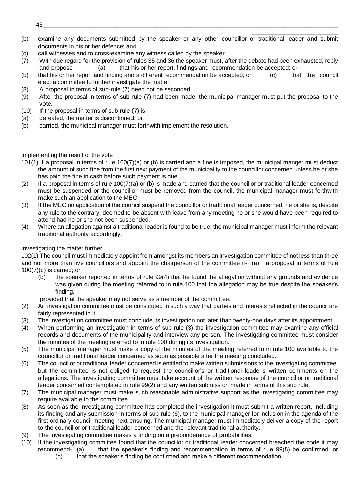- $45\_$  . The contract of the contract of the contract of the contract of the contract of the contract of the contract of the contract of the contract of the contract of the contract of the contract of the contract of the c
- (b) examine any documents submitted by the speaker or any other councillor or traditional leader and submit documents in his or her defence; and

\_\_\_\_\_\_\_\_\_\_\_\_\_\_\_\_\_\_\_\_\_\_\_\_\_\_

- (c) call witnesses and to cross-examine any witness called by the speaker.
- (7) With due regard for the provision of rules 35 and 36 the speaker must, after the debate had been exhausted, reply and propose – (a) that his or her report, findings and recommendation be accepted; or
- (b) that his or her report and finding and a different recommendation be accepted; or (c) that the council elect a committee to further investigate the matter.
- (8) A proposal in terms of sub-rule (7) need not be seconded.
- (9) After the proposal in terms of sub-rule (7) had been made, the municipal manager must put the proposal to the vote.
- (10) If the proposal in terms of sub-rule (7) is-
- (a) defeated, the matter is discontinued; or
- (b) carried, the municipal manager must forthwith implement the resolution.

# Implementing the result of the vote

- 101(1) If a proposal in terms of rule 100(7)(a) or (b) is carried and a fine is imposed, the municipal manger must deduct the amount of such fine from the first next payment of the municipality to the councillor concerned unless he or she has paid the fine in cash before such payment is due.
- $(2)$  If a proposal in terms of rule 100(7)(a) or (b) is made and carried that the councillor or traditional leader concerned must be suspended or the councillor must be removed from the council, the municipal manager must forthwith make such an application to the MEC.
- (3) If the MEC on application of the council suspend the councillor or traditional leader concerned, he or she is, despite any rule to the contrary, deemed to be absent with leave from any meeting he or she would have been required to attend had he or she not been suspended.
- (4) Where an allegation against a traditional leader is found to be true, the municipal manager must inform the relevant traditional authority accordingly.

# Investigating the matter further

102(1) The council must immediately appoint from amongst its members an investigation committee of not less than three and not more than five councillors and appoint the chairperson of the committee if- (a) a proposal in terms of rule  $100(7)(c)$  is carried; or

(b) the speaker reported in terms of rule 99(4) that he found the allegation without any grounds and evidence was given during the meeting referred to in rule 100 that the allegation may be true despite the speaker's finding,

provided that the speaker may not serve as a member of the committee.

- (2) An investigation committee must be constituted in such a way that parties and interests reflected in the council are fairly represented in it.
- (3) The investigation committee must conclude its investigation not later than twenty-one days after its appointment.
- (4) When performing an investigation in terms of sub-rule (3) the investigation committee may examine any official records and documents of the municipality and interview any person. The investigating committee must consider the minutes of the meeting referred to in rule 100 during its investigation.
- (5) The municipal manager must make a copy of the minutes of the meeting referred to in rule 100 available to the councillor or traditional leader concerned as soon as possible after the meeting concluded.
- (6) The councillor or traditional leader concerned is entitled to make written submissions to the investigating committee, but the committee is not obliged to request the councillor's or traditional leader's written comments on the allegations. The investigating committee must take account of the written response of the councillor or traditional leader concerned contemplated in rule 99(2) and any written submission made in terms of this sub rule.
- (7) The municipal manager must make such reasonable administrative support as the investigating committee may require available to the committee.
- (8) As soon as the investigating committee has completed the investigation it must submit a written report, including its finding and any submission in terms of sub-rule (6), to the municipal manager for inclusion in the agenda of the first ordinary council meeting next ensuing. The municipal manager must immediately deliver a copy of the report to the councillor or traditional leader concerned and the relevant traditional authority.
- (9) The investigating committee makes a finding on a preponderance of probabilities.
- (10) If the investigating committee found that the councillor or traditional leader concerned breached the code it may recommend- (a) that the speaker's finding and recommendation in terms of rule 99(8) be confirmed; or (b) that the speaker's finding be confirmed and make a different recommendation.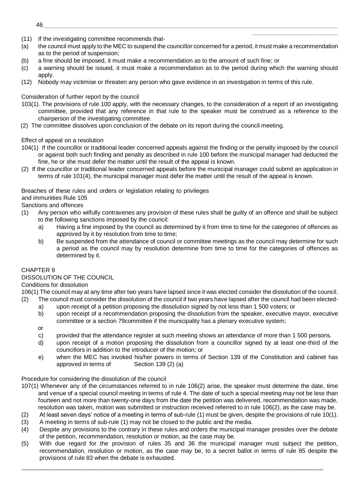- (11) If the investigating committee recommends that-
- (a) the council must apply to the MEC to suspend the councillor concerned for a period, it must make a recommendation as to the period of suspension;

\_\_\_\_\_\_\_\_\_\_\_\_\_\_\_\_\_\_\_\_\_\_\_\_\_\_

- (b) a fine should be imposed, it must make a recommendation as to the amount of such fine; or
- (c) a warning should be issued, it must make a recommendation as to the period during which the warning should apply.
- (12) Nobody may victimise or threaten any person who gave evidence in an investigation in terms of this rule.

Consideration of further report by the council

- 103(1). The provisions of rule 100 apply, with the necessary changes, to the consideration of a report of an investigating committee, provided that any reference in that rule to the speaker must be construed as a reference to the chairperson of the investigating committee.
- (2) The committee dissolves upon conclusion of the debate on its report during the council meeting.

Effect of appeal on a resolution

- 104(1) If the councillor or traditional leader concerned appeals against the finding or the penalty imposed by the council or against both such finding and penalty as described in rule 100 before the municipal manager had deducted the fine, he or she must defer the matter until the result of the appeal is known.
- (2) If the councillor or traditional leader concerned appeals before the municipal manager could submit an application in terms of rule 101(4), the municipal manager must defer the matter until the result of the appeal is known.

Breaches of these rules and orders or legislation relating to privileges

and immunities Rule 105

Sanctions and offences

- (1) Any person who wilfully contravenes any provision of these rules shall be guilty of an offence and shall be subject to the following sanctions imposed by the council:
	- a) Having a fine imposed by the council as determined by it from time to time for the categories of offences as approved by it by resolution from time to time;
	- b) Be suspended from the attendance of council or committee meetings as the council may determine for such a period as the council may by resolution determine from time to time for the categories of offences as determined by it.

# CHAPTER 9

# DISSOLUTION OF THE COUNCIL

Conditions for dissolution

106(1) The council may at any time after two years have lapsed since it was elected consider the dissolution of the council. (2) The council must consider the dissolution of the council if two years have lapsed after the council had been elected-

- a) upon receipt of a petition proposing the dissolution signed by not less than 1 500 voters; or
- b) upon receipt of a recommendation proposing the dissolution from the speaker, executive mayor, executive committee or a section 79committee if the municipality has a plenary executive system;
- or
- c) provided that the attendance register at such meeting shows an attendance of more than 1 500 persons.
- d) upon receipt of a motion proposing the dissolution from a councillor signed by at least one-third of the councillors in addition to the introducer of the motion; or
- e) when the MEC has invoked his/her powers in terms of Section 139 of the Constitution and cabinet has approved in terms of Section 139 (2) (a)

Procedure for considering the dissolution of the council

- 107(1) Whenever any of the circumstances referred to in rule 106(2) arise, the speaker must determine the date, time and venue of a special council meeting in terms of rule 4. The date of such a special meeting may not be less than fourteen and not more than twenty-one days from the date the petition was delivered, recommendation was made, resolution was taken, motion was submitted or instruction received referred to in rule 106(2), as the case may be.
- (2) At least seven days' notice of a meeting in terms of sub-rule (1) must be given, despite the provisions of rule 10(1).
- (3) A meeting in terms of sub-rule (1) may not be closed to the public and the media.
- (4) Despite any provisions to the contrary in these rules and orders the municipal manager presides over the debate of the petition, recommendation, resolution or motion, as the case may be.
- (5) With due regard for the provision of rules 35 and 36 the municipal manager must subject the petition, recommendation, resolution or motion, as the case may be, to a secret ballot in terms of rule 85 despite the provisions of rule 83 when the debate is exhausted.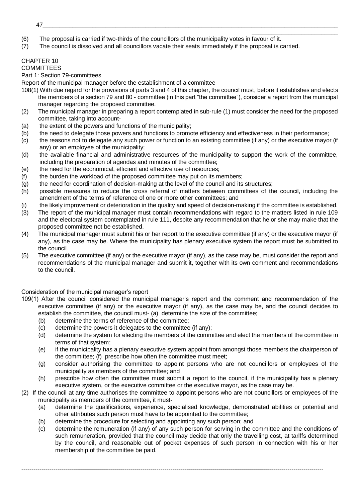- \_\_\_\_\_\_\_\_\_\_\_\_\_\_\_\_\_\_\_\_\_\_\_\_\_\_ (6) The proposal is carried if two-thirds of the councillors of the municipality votes in favour of it.
- (7) The council is dissolved and all councillors vacate their seats immediately if the proposal is carried.

# CHAPTER 10

#### **COMMITTEES**

# Part 1: Section 79-committees

Report of the municipal manager before the establishment of a committee

- 108(1) With due regard for the provisions of parts 3 and 4 of this chapter, the council must, before it establishes and elects the members of a section 79 and 80 - committee (in this part "the committee"), consider a report from the municipal manager regarding the proposed committee.
- (2) The municipal manager in preparing a report contemplated in sub-rule (1) must consider the need for the proposed committee, taking into account-
- (a) the extent of the powers and functions of the municipality;
- (b) the need to delegate those powers and functions to promote efficiency and effectiveness in their performance;
- (c) the reasons not to delegate any such power or function to an existing committee (if any) or the executive mayor (if any) or an employee of the municipality;
- (d) the available financial and administrative resources of the municipality to support the work of the committee, including the preparation of agendas and minutes of the committee;
- (e) the need for the economical, efficient and effective use of resources;
- (f) the burden the workload of the proposed committee may put on its members;
- (g) the need for coordination of decision-making at the level of the council and its structures;
- (h) possible measures to reduce the cross referral of matters between committees of the council, including the amendment of the terms of reference of one or more other committees; and
- (i) the likely improvement or deterioration in the quality and speed of decision-making if the committee is established.
- (3) The report of the municipal manager must contain recommendations with regard to the matters listed in rule 109 and the electoral system contemplated in rule 111, despite any recommendation that he or she may make that the proposed committee not be established.
- (4) The municipal manager must submit his or her report to the executive committee (if any) or the executive mayor (if any), as the case may be. Where the municipality has plenary executive system the report must be submitted to the council.
- (5) The executive committee (if any) or the executive mayor (if any), as the case may be, must consider the report and recommendations of the municipal manager and submit it, together with its own comment and recommendations to the council.

# Consideration of the municipal manager's report

- 109(1) After the council considered the municipal manager's report and the comment and recommendation of the executive committee (if any) or the executive mayor (if any), as the case may be, and the council decides to establish the committee, the council must- (a) determine the size of the committee;
	- (b) determine the terms of reference of the committee;
	- (c) determine the powers it delegates to the committee (if any);
	- (d) determine the system for electing the members of the committee and elect the members of the committee in terms of that system;
	- (e) if the municipality has a plenary executive system appoint from amongst those members the chairperson of the committee; (f) prescribe how often the committee must meet;
	- (g) consider authorising the committee to appoint persons who are not councillors or employees of the municipality as members of the committee; and
	- (h) prescribe how often the committee must submit a report to the council, if the municipality has a plenary executive system, or the executive committee or the executive mayor, as the case may be.
- (2) If the council at any time authorises the committee to appoint persons who are not councillors or employees of the municipality as members of the committee, it must-
	- (a) determine the qualifications, experience, specialised knowledge, demonstrated abilities or potential and other attributes such person must have to be appointed to the committee;
	- (b) determine the procedure for selecting and appointing any such person; and
	- (c) determine the remuneration (if any) of any such person for serving in the committee and the conditions of such remuneration, provided that the council may decide that only the travelling cost, at tariffs determined by the council, and reasonable out of pocket expenses of such person in connection with his or her membership of the committee be paid.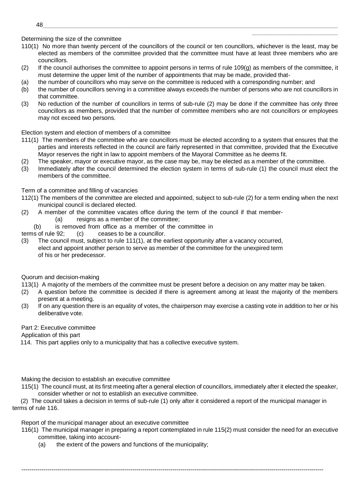Determining the size of the committee

110(1) No more than twenty percent of the councillors of the council or ten councillors, whichever is the least, may be elected as members of the committee provided that the committee must have at least three members who are councillors.

\_\_\_\_\_\_\_\_\_\_\_\_\_\_\_\_\_\_\_\_\_\_\_\_\_\_

- (2) If the council authorises the committee to appoint persons in terms of rule 109(g) as members of the committee, it must determine the upper limit of the number of appointments that may be made, provided that-
- (a) the number of councillors who may serve on the committee is reduced with a corresponding number; and
- (b) the number of councillors serving in a committee always exceeds the number of persons who are not councillors in that committee.
- (3) No reduction of the number of councillors in terms of sub-rule (2) may be done if the committee has only three councillors as members, provided that the number of committee members who are not councillors or employees may not exceed two persons.

# Election system and election of members of a committee

- 111(1) The members of the committee who are councillors must be elected according to a system that ensures that the parties and interests reflected in the council are fairly represented in that committee, provided that the Executive Mayor reserves the right in law to appoint members of the Mayoral Committee as he deems fit.
- (2) The speaker, mayor or executive mayor, as the case may be, may be elected as a member of the committee.
- (3) Immediately after the council determined the election system in terms of sub-rule (1) the council must elect the members of the committee.

# Term of a committee and filling of vacancies

- 112(1) The members of the committee are elected and appointed, subject to sub-rule (2) for a term ending when the next municipal council is declared elected.
- (2) A member of the committee vacates office during the term of the council if that member- (a) resigns as a member of the committee;
	- (b) is removed from office as a member of the committee in

terms of rule 92; (c) ceases to be a councillor.

(3) The council must, subject to rule 111(1), at the earliest opportunity after a vacancy occurred, elect and appoint another person to serve as member of the committee for the unexpired term of his or her predecessor.

# Quorum and decision-making

113(1) A majority of the members of the committee must be present before a decision on any matter may be taken.

- (2) A question before the committee is decided if there is agreement among at least the majority of the members present at a meeting.
- (3) If on any question there is an equality of votes, the chairperson may exercise a casting vote in addition to her or his deliberative vote.

# Part 2: Executive committee

Application of this part

114. This part applies only to a municipality that has a collective executive system.

Making the decision to establish an executive committee

115(1) The council must, at its first meeting after a general election of councillors, immediately after it elected the speaker, consider whether or not to establish an executive committee.

(2) The council takes a decision in terms of sub-rule (1) only after it considered a report of the municipal manager in terms of rule 116.

--------------------------------------------------------------------------------------------------------------------------------------------------------

Report of the municipal manager about an executive committee

- 116(1) The municipal manager in preparing a report contemplated in rule 115(2) must consider the need for an executive committee, taking into account-
	- (a) the extent of the powers and functions of the municipality;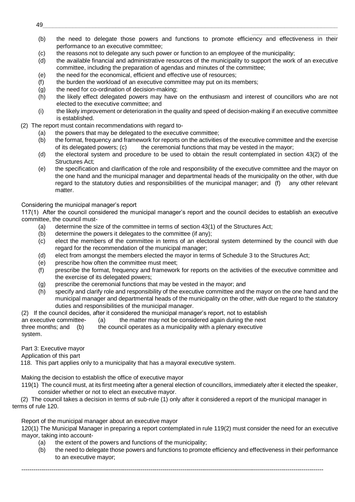- \_\_\_\_\_\_\_\_\_\_\_\_\_\_\_\_\_\_\_\_\_\_\_\_\_\_ (b) the need to delegate those powers and functions to promote efficiency and effectiveness in their performance to an executive committee;
- (c) the reasons not to delegate any such power or function to an employee of the municipality;
- (d) the available financial and administrative resources of the municipality to support the work of an executive committee, including the preparation of agendas and minutes of the committee;
- (e) the need for the economical, efficient and effective use of resources;
- (f) the burden the workload of an executive committee may put on its members;
- (g) the need for co-ordination of decision-making;
- (h) the likely effect delegated powers may have on the enthusiasm and interest of councillors who are not elected to the executive committee; and
- (i) the likely improvement or deterioration in the quality and speed of decision-making if an executive committee is established.
- (2) The report must contain recommendations with regard to-
	- (a) the powers that may be delegated to the executive committee;
	- (b) the format, frequency and framework for reports on the activities of the executive committee and the exercise of its delegated powers; (c) the ceremonial functions that may be vested in the mayor;
	- (d) the electoral system and procedure to be used to obtain the result contemplated in section 43(2) of the Structures Act;
	- (e) the specification and clarification of the role and responsibility of the executive committee and the mayor on the one hand and the municipal manager and departmental heads of the municipality on the other, with due regard to the statutory duties and responsibilities of the municipal manager; and (f) any other relevant matter.

# Considering the municipal manager's report

117(1) After the council considered the municipal manager's report and the council decides to establish an executive committee, the council must-

- (a) determine the size of the committee in terms of section 43(1) of the Structures Act;
- (b) determine the powers it delegates to the committee (if any);
- (c) elect the members of the committee in terms of an electoral system determined by the council with due regard for the recommendation of the municipal manager;
- (d) elect from amongst the members elected the mayor in terms of Schedule 3 to the Structures Act;
- (e) prescribe how often the committee must meet;
- (f) prescribe the format, frequency and framework for reports on the activities of the executive committee and the exercise of its delegated powers;
- (g) prescribe the ceremonial functions that may be vested in the mayor; and
- (h) specify and clarify role and responsibility of the executive committee and the mayor on the one hand and the municipal manager and departmental heads of the municipality on the other, with due regard to the statutory duties and responsibilities of the municipal manager.

(2) If the council decides, after it considered the municipal manager's report, not to establish an executive committee- (a) the matter may not be considered again during the next three months; and (b) the council operates as a municipality with a plenary executive system.

Part 3: Executive mayor

Application of this part

118. This part applies only to a municipality that has a mayoral executive system.

Making the decision to establish the office of executive mayor

119(1) The council must, at its first meeting after a general election of councillors, immediately after it elected the speaker, consider whether or not to elect an executive mayor.

(2) The council takes a decision in terms of sub-rule (1) only after it considered a report of the municipal manager in terms of rule 120.

--------------------------------------------------------------------------------------------------------------------------------------------------------

Report of the municipal manager about an executive mayor

120(1) The Municipal Manager in preparing a report contemplated in rule 119(2) must consider the need for an executive mayor, taking into account-

- (a) the extent of the powers and functions of the municipality;
- (b) the need to delegate those powers and functions to promote efficiency and effectiveness in their performance to an executive mayor;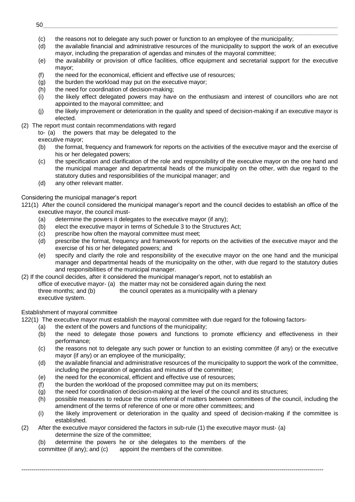- \_\_\_\_\_\_\_\_\_\_\_\_\_\_\_\_\_\_\_\_\_\_\_\_\_\_ (c) the reasons not to delegate any such power or function to an employee of the municipality;
- (d) the available financial and administrative resources of the municipality to support the work of an executive mayor, including the preparation of agendas and minutes of the mayoral committee;
- (e) the availability or provision of office facilities, office equipment and secretarial support for the executive mayor;
- (f) the need for the economical, efficient and effective use of resources;
- (g) the burden the workload may put on the executive mayor;
- (h) the need for coordination of decision-making;
- (i) the likely effect delegated powers may have on the enthusiasm and interest of councillors who are not appointed to the mayoral committee; and
- (j) the likely improvement or deterioration in the quality and speed of decision-making if an executive mayor is elected.
- (2) The report must contain recommendations with regard

to- (a) the powers that may be delegated to the executive mayor;

- (b) the format, frequency and framework for reports on the activities of the executive mayor and the exercise of his or her delegated powers;
- (c) the specification and clarification of the role and responsibility of the executive mayor on the one hand and the municipal manager and departmental heads of the municipality on the other, with due regard to the statutory duties and responsibilities of the municipal manager; and
- (d) any other relevant matter.

# Considering the municipal manager's report

121(1) After the council considered the municipal manager's report and the council decides to establish an office of the executive mayor, the council must-

- (a) determine the powers it delegates to the executive mayor (if any);
- (b) elect the executive mayor in terms of Schedule 3 to the Structures Act;
- (c) prescribe how often the mayoral committee must meet;
- (d) prescribe the format, frequency and framework for reports on the activities of the executive mayor and the exercise of his or her delegated powers; and
- (e) specify and clarify the role and responsibility of the executive mayor on the one hand and the municipal manager and departmental heads of the municipality on the other, with due regard to the statutory duties and responsibilities of the municipal manager.

(2) If the council decides, after it considered the municipal manager's report, not to establish an office of executive mayor- (a) the matter may not be considered again during the next three months; and (b) the council operates as a municipality with a plenary executive system.

# Establishment of mayoral committee

122(1) The executive mayor must establish the mayoral committee with due regard for the following factors-

- (a) the extent of the powers and functions of the municipality;
- (b) the need to delegate those powers and functions to promote efficiency and effectiveness in their performance;
- (c) the reasons not to delegate any such power or function to an existing committee (if any) or the executive mayor (if any) or an employee of the municipality;
- (d) the available financial and administrative resources of the municipality to support the work of the committee, including the preparation of agendas and minutes of the committee;
- (e) the need for the economical, efficient and effective use of resources;
- (f) the burden the workload of the proposed committee may put on its members;
- (g) the need for coordination of decision-making at the level of the council and its structures;

--------------------------------------------------------------------------------------------------------------------------------------------------------

- (h) possible measures to reduce the cross referral of matters between committees of the council, including the amendment of the terms of reference of one or more other committees; and
- (i) the likely improvement or deterioration in the quality and speed of decision-making if the committee is established.
- (2) After the executive mayor considered the factors in sub-rule (1) the executive mayor must- (a) determine the size of the committee;
	- (b) determine the powers he or she delegates to the members of the

committee (if any); and (c) appoint the members of the committee.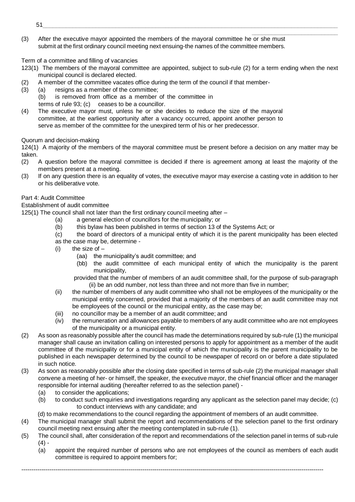- 51\_\_\_\_\_\_\_\_\_\_\_\_\_\_\_\_\_\_\_\_\_\_\_\_\_\_\_\_\_\_\_\_\_\_\_\_\_\_\_\_\_\_\_\_\_\_\_\_\_\_\_\_\_\_\_\_\_\_\_\_\_\_\_\_\_\_\_\_\_\_\_\_\_\_\_\_\_\_\_\_\_\_\_\_\_\_\_\_\_
- \_\_\_\_\_\_\_\_\_\_\_\_\_\_\_\_\_\_\_\_\_\_\_\_\_\_ (3) After the executive mayor appointed the members of the mayoral committee he or she must submit at the first ordinary council meeting next ensuing-the names of the committee members.

Term of a committee and filling of vacancies

- 123(1) The members of the mayoral committee are appointed, subject to sub-rule (2) for a term ending when the next municipal council is declared elected.
- (2) A member of the committee vacates office during the term of the council if that member-
- (3) (a) resigns as a member of the committee;
	- (b) is removed from office as a member of the committee in
	- terms of rule 93; (c) ceases to be a councillor.
- (4) The executive mayor must, unless he or she decides to reduce the size of the mayoral committee, at the earliest opportunity after a vacancy occurred, appoint another person to serve as member of the committee for the unexpired term of his or her predecessor.

Quorum and decision-making

124(1) A majority of the members of the mayoral committee must be present before a decision on any matter may be taken.

- (2) A question before the mayoral committee is decided if there is agreement among at least the majority of the members present at a meeting.
- (3) If on any question there is an equality of votes, the executive mayor may exercise a casting vote in addition to her or his deliberative vote.

# Part 4: Audit Committee

Establishment of audit committee

125(1) The council shall not later than the first ordinary council meeting after –

- (a) a general election of councillors for the municipality; or
- (b) this bylaw has been published in terms of section 13 of the Systems Act; or
- (c) the board of directors of a municipal entity of which it is the parent municipality has been elected as the case may be, determine -
- $(i)$  the size of  $-$ 
	- (aa) the municipality's audit committee; and
	- (bb) the audit committee of each municipal entity of which the municipality is the parent municipality,
	- provided that the number of members of an audit committee shall, for the purpose of sub-paragraph (ii) be an odd number, not less than three and not more than five in number;
- (ii) the number of members of any audit committee who shall not be employees of the municipality or the municipal entity concerned, provided that a majority of the members of an audit committee may not be employees of the council or the municipal entity, as the case may be;
- (iii) no councillor may be a member of an audit committee; and
- (iv) the remuneration and allowances payable to members of any audit committee who are not employees of the municipality or a municipal entity.
- (2) As soon as reasonably possible after the council has made the determinations required by sub-rule (1) the municipal manager shall cause an invitation calling on interested persons to apply for appointment as a member of the audit committee of the municipality or for a municipal entity of which the municipality is the parent municipality to be published in each newspaper determined by the council to be newspaper of record on or before a date stipulated in such notice.
- (3) As soon as reasonably possible after the closing date specified in terms of sub-rule (2) the municipal manager shall convene a meeting of her- or himself, the speaker, the executive mayor, the chief financial officer and the manager responsible for internal auditing (hereafter referred to as the selection panel) -
	- (a) to consider the applications;
	- (b) to conduct such enquiries and investigations regarding any applicant as the selection panel may decide; (c) to conduct interviews with any candidate; and
	- (d) to make recommendations to the council regarding the appointment of members of an audit committee.
- (4) The municipal manager shall submit the report and recommendations of the selection panel to the first ordinary council meeting next ensuing after the meeting contemplated in sub-rule (1).
- (5) The council shall, after consideration of the report and recommendations of the selection panel in terms of sub-rule  $(4) -$

--------------------------------------------------------------------------------------------------------------------------------------------------------

(a) appoint the required number of persons who are not employees of the council as members of each audit committee is required to appoint members for;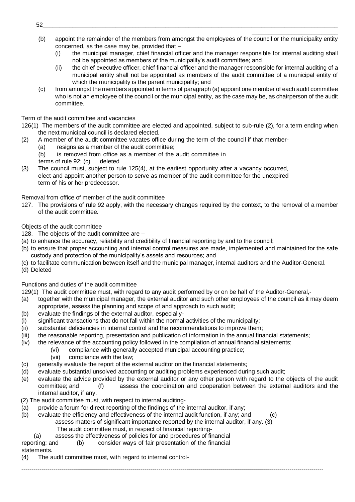- \_\_\_\_\_\_\_\_\_\_\_\_\_\_\_\_\_\_\_\_\_\_\_\_\_\_ (b) appoint the remainder of the members from amongst the employees of the council or the municipality entity concerned, as the case may be, provided that –
	- (i) the municipal manager, chief financial officer and the manager responsible for internal auditing shall not be appointed as members of the municipality's audit committee; and
	- (ii) the chief executive officer, chief financial officer and the manager responsible for internal auditing of a municipal entity shall not be appointed as members of the audit committee of a municipal entity of which the municipality is the parent municipality; and
- (c) from amongst the members appointed in terms of paragraph (a) appoint one member of each audit committee who is not an employee of the council or the municipal entity, as the case may be, as chairperson of the audit committee.

Term of the audit committee and vacancies

- 126(1) The members of the audit committee are elected and appointed, subject to sub-rule (2), for a term ending when the next municipal council is declared elected.
- (2) A member of the audit committee vacates office during the term of the council if that member-
	- (a) resigns as a member of the audit committee;
	- (b) is removed from office as a member of the audit committee in terms of rule 92; (c) deleted
- (3) The council must, subject to rule 125(4), at the earliest opportunity after a vacancy occurred, elect and appoint another person to serve as member of the audit committee for the unexpired term of his or her predecessor.

Removal from office of member of the audit committee

127. The provisions of rule 92 apply, with the necessary changes required by the context, to the removal of a member of the audit committee.

# Objects of the audit committee

128. The objects of the audit committee are –

- (a) to enhance the accuracy, reliability and credibility of financial reporting by and to the council;
- (b) to ensure that proper accounting and internal control measures are made, implemented and maintained for the safe custody and protection of the municipality's assets and resources; and
- (c) to facilitate communication between itself and the municipal manager, internal auditors and the Auditor-General.
- (d) Deleted

Functions and duties of the audit committee

- 129(1) The audit committee must, with regard to any audit performed by or on be half of the Auditor-General,-
- (a) together with the municipal manager, the external auditor and such other employees of the council as it may deem appropriate, assess the planning and scope of and approach to such audit;
- (b) evaluate the findings of the external auditor, especially-
- (i) significant transactions that do not fall within the normal activities of the municipality;
- (ii) substantial deficiencies in internal control and the recommendations to improve them;
- (iii) the reasonable reporting, presentation and publication of information in the annual financial statements;
- (iv) the relevance of the accounting policy followed in the compilation of annual financial statements;
	- (vi) compliance with generally accepted municipal accounting practice;
	- (vii) compliance with the law;
- (c) generally evaluate the report of the external auditor on the financial statements;
- (d) evaluate substantial unsolved accounting or auditing problems experienced during such audit;
- (e) evaluate the advice provided by the external auditor or any other person with regard to the objects of the audit committee; and (f) assess the coordination and cooperation between the external auditors and the internal auditor, if any.

--------------------------------------------------------------------------------------------------------------------------------------------------------

- (2) The audit committee must, with respect to internal auditing-
- $\overline{a}$  provide a forum for direct reporting of the findings of the internal auditor, if any;
- (b) evaluate the efficiency and effectiveness of the internal audit function, if any; and (c) assess matters of significant importance reported by the internal auditor, if any. (3)
	- The audit committee must, in respect of financial reporting-
	- (a) assess the effectiveness of policies for and procedures of financial
- reporting; and (b) consider ways of fair presentation of the financial

statements.

(4) The audit committee must, with regard to internal control-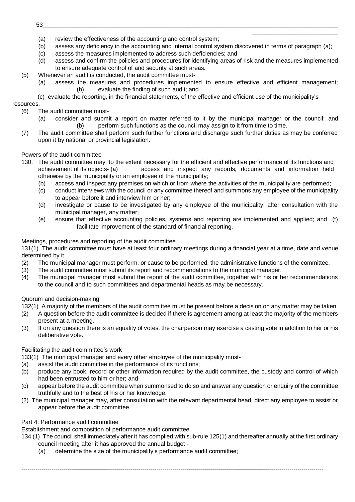- (a) review the effectiveness of the accounting and control system;
- (b) assess any deficiency in the accounting and internal control system discovered in terms of paragraph (a);
- (c) assess the measures implemented to address such deficiencies; and
- (d) assess and confirm the policies and procedures for identifying areas of risk and the measures implemented to ensure adequate control of and security at such areas.
- (5) Whenever an audit is conducted, the audit committee must-
	- (a) assess the measures and procedures implemented to ensure effective and efficient management; (b) evaluate the finding of such audit; and

\_\_\_\_\_\_\_\_\_\_\_\_\_\_\_\_\_\_\_\_\_\_\_\_\_\_

(c) evaluate the reporting, in the financial statements, of the effective and efficient use of the municipality's

# resources.

- (6) The audit committee must-
	- (a) consider and submit a report on matter referred to it by the municipal manager or the council; and (b) perform such functions as the council may assign to it from time to time.
- (7) The audit committee shall perform such further functions and discharge such further duties as may be conferred upon it by national or provincial legislation.

# Powers of the audit committee

- 130. The audit committee may, to the extent necessary for the efficient and effective performance of its functions and achievement of its objects- (a) access and inspect any records, documents and information held otherwise by the municipality or an employee of the municipality;
	- (b) access and inspect any premises on which or from where the activities of the municipality are performed;
	- (c) conduct interviews with the council or any committee thereof and summons any employee of the municipality to appear before it and interview him or her;
	- (d) investigate or cause to be investigated by any employee of the municipality, after consultation with the municipal manager, any matter;
	- (e) ensure that effective accounting policies, systems and reporting are implemented and applied; and (f) facilitate improvement of the standard of financial reporting.

# Meetings, procedures and reporting of the audit committee

131(1) The audit committee must have at least four ordinary meetings during a financial year at a time, date and venue determined by it.

- (2) The municipal manager must perform, or cause to be performed, the administrative functions of the committee.
- (3) The audit committee must submit its report and recommendations to the municipal manager.
- (4) The municipal manager must submit the report of the audit committee, together with his or her recommendations to the council and to such committees and departmental heads as may be necessary.

# Quorum and decision-making

132(1) A majority of the members of the audit committee must be present before a decision on any matter may be taken.

- (2) A question before the audit committee is decided if there is agreement among at least the majority of the members present at a meeting.
- (3) If on any question there is an equality of votes, the chairperson may exercise a casting vote in addition to her or his deliberative vote.

# Facilitating the audit committee's work

133(1) The municipal manager and every other employee of the municipality must-

- (a) assist the audit committee in the performance of its functions;
- (b) produce any book, record or other information required by the audit committee, the custody and control of which had been entrusted to him or her; and
- (c) appear before the audit committee when summonsed to do so and answer any question or enquiry of the committee truthfully and to the best of his or her knowledge.
- (2) The municipal manager may, after consultation with the relevant departmental head, direct any employee to assist or appear before the audit committee.

# Part 4: Performance audit committee

Establishment and composition of performance audit committee

134 (1) The council shall immediately after it has complied with sub-rule 125(1) and thereafter annually at the first ordinary council meeting after it has approved the annual budget -

--------------------------------------------------------------------------------------------------------------------------------------------------------

(a) determine the size of the municipality's performance audit committee;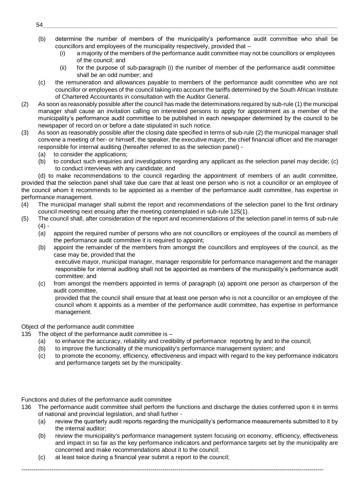- \_\_\_\_\_\_\_\_\_\_\_\_\_\_\_\_\_\_\_\_\_\_\_\_\_\_ (b) determine the number of members of the municipality's performance audit committee who shall be councillors and employees of the municipality respectively, provided that –
	- (i) a majority of the members of the performance audit committee may not be councillors or employees of the council; and
	- (ii) for the purpose of sub-paragraph (i) the number of member of the performance audit committee shall be an odd number; and
- (c) the remuneration and allowances payable to members of the performance audit committee who are not councillor or employees of the council taking into account the tariffs determined by the South African Institute of Chartered Accountants in consultation with the Auditor General.
- (2) As soon as reasonably possible after the council has made the determinations required by sub-rule (1) the municipal manager shall cause an invitation calling on interested persons to apply for appointment as a member of the municipality's performance audit committee to be published in each newspaper determined by the council to be newspaper of record on or before a date stipulated in such notice.
- (3) As soon as reasonably possible after the closing date specified in terms of sub-rule (2) the municipal manager shall convene a meeting of her- or himself, the speaker, the executive mayor, the chief financial officer and the manager responsible for internal auditing (hereafter referred to as the selection panel) -
	- (a) to consider the applications;
	- (b) to conduct such enquiries and investigations regarding any applicant as the selection panel may decide; (c) to conduct interviews with any candidate; and

(d) to make recommendations to the council regarding the appointment of members of an audit committee, provided that the selection panel shall take due care that at least one person who is not a councillor or an employee of the council whom it recommends to be appointed as a member of the performance audit committee, has expertise in performance management.

- (4) The municipal manager shall submit the report and recommendations of the selection panel to the first ordinary council meeting next ensuing after the meeting contemplated in sub-rule 125(1).
- (5) The council shall, after consideration of the report and recommendations of the selection panel in terms of sub-rule  $(4) -$ 
	- (a) appoint the required number of persons who are not councillors or employees of the council as members of the performance audit committee it is required to appoint;
	- (b) appoint the remainder of the members from amongst the councillors and employees of the council, as the case may be, provided that the executive mayor, municipal manager, manager responsible for performance management and the manager

responsible for internal auditing shall not be appointed as members of the municipality's performance audit committee; and

(c) from amongst the members appointed in terms of paragraph (a) appoint one person as chairperson of the audit committee,

provided that the council shall ensure that at least one person who is not a councillor or an employee of the council whom it appoints as a member of the performance audit committee, has expertise in performance management.

# Object of the performance audit committee

135 The object of the performance audit committee is –

- (a) to enhance the accuracy, reliability and credibility of performance reporting by and to the council;
- (b) to improve the functionality of the municipality's performance management system; and
- (c) to promote the economy, efficiency, effectiveness and impact with regard to the key performance indicators and performance targets set by the municipality.

Functions and duties of the performance audit committee

136 The performance audit committee shall perform the functions and discharge the duties conferred upon it in terms of national and provincial legislation, and shall further -

- (a) review the quarterly audit reports regarding the municipality's performance measurements submitted to it by the internal auditor;
- (b) review the municipality's performance management system focusing on economy, efficiency, effectiveness and impact in so far as the key performance indicators and performance targets set by the municipality are concerned and make recommendations about it to the council;
- (c) at least twice during a financial year submit a report to the council;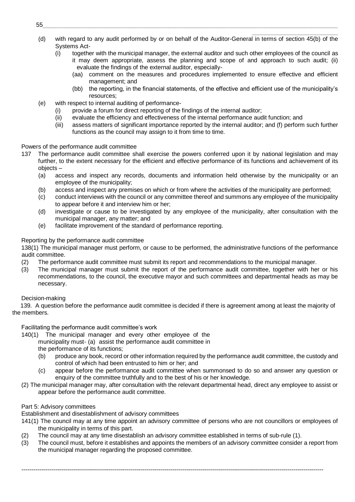- \_\_\_\_\_\_\_\_\_\_\_\_\_\_\_\_\_\_\_\_\_\_\_\_\_\_ (d) with regard to any audit performed by or on behalf of the Auditor-General in terms of section 45(b) of the Systems Act-
	- (i) together with the municipal manager, the external auditor and such other employees of the council as it may deem appropriate, assess the planning and scope of and approach to such audit; (ii) evaluate the findings of the external auditor, especially-
		- (aa) comment on the measures and procedures implemented to ensure effective and efficient management; and
		- (bb) the reporting, in the financial statements, of the effective and efficient use of the municipality's resources;
- (e) with respect to internal auditing of performance-
	- (i) provide a forum for direct reporting of the findings of the internal auditor;
	- (ii) evaluate the efficiency and effectiveness of the internal performance audit function; and
	- (iii) assess matters of significant importance reported by the internal auditor; and (f) perform such further functions as the council may assign to it from time to time.

# Powers of the performance audit committee

- 137 The performance audit committee shall exercise the powers conferred upon it by national legislation and may further, to the extent necessary for the efficient and effective performance of its functions and achievement of its objects –
	- (a) access and inspect any records, documents and information held otherwise by the municipality or an employee of the municipality;
	- (b) access and inspect any premises on which or from where the activities of the municipality are performed;
	- (c) conduct interviews with the council or any committee thereof and summons any employee of the municipality to appear before it and interview him or her;
	- (d) investigate or cause to be investigated by any employee of the municipality, after consultation with the municipal manager, any matter; and
	- (e) facilitate improvement of the standard of performance reporting.

# Reporting by the performance audit committee

138(1) The municipal manager must perform, or cause to be performed, the administrative functions of the performance audit committee.

- (2) The performance audit committee must submit its report and recommendations to the municipal manager.
- (3) The municipal manager must submit the report of the performance audit committee, together with her or his recommendations, to the council, the executive mayor and such committees and departmental heads as may be necessary.

# Decision-making

139. A question before the performance audit committee is decided if there is agreement among at least the majority of the members.

Facilitating the performance audit committee's work

140(1) The municipal manager and every other employee of the municipality must- (a) assist the performance audit committee in the performance of its functions;

- (b) produce any book, record or other information required by the performance audit committee, the custody and control of which had been entrusted to him or her; and
- (c) appear before the performance audit committee when summonsed to do so and answer any question or enquiry of the committee truthfully and to the best of his or her knowledge.
- (2) The municipal manager may, after consultation with the relevant departmental head, direct any employee to assist or appear before the performance audit committee.

# Part 5: Advisory committees

Establishment and disestablishment of advisory committees

- 141(1) The council may at any time appoint an advisory committee of persons who are not councillors or employees of the municipality in terms of this part.
- (2) The council may at any time disestablish an advisory committee established in terms of sub-rule (1).
- (3) The council must, before it establishes and appoints the members of an advisory committee consider a report from the municipal manager regarding the proposed committee.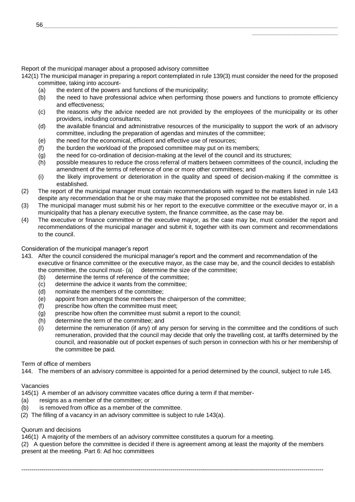Report of the municipal manager about a proposed advisory committee

142(1) The municipal manager in preparing a report contemplated in rule 139(3) must consider the need for the proposed committee, taking into account-

- (a) the extent of the powers and functions of the municipality;
- (b) the need to have professional advice when performing those powers and functions to promote efficiency and effectiveness;

\_\_\_\_\_\_\_\_\_\_\_\_\_\_\_\_\_\_\_\_\_\_\_\_\_\_

- (c) the reasons why the advice needed are not provided by the employees of the municipality or its other providers, including consultants;
- (d) the available financial and administrative resources of the municipality to support the work of an advisory committee, including the preparation of agendas and minutes of the committee;
- (e) the need for the economical, efficient and effective use of resources;
- (f) the burden the workload of the proposed committee may put on its members;
- (g) the need for co-ordination of decision-making at the level of the council and its structures;
- (h) possible measures to reduce the cross referral of matters between committees of the council, including the amendment of the terms of reference of one or more other committees; and
- (i) the likely improvement or deterioration in the quality and speed of decision-making if the committee is established.
- (2) The report of the municipal manager must contain recommendations with regard to the matters listed in rule 143 despite any recommendation that he or she may make that the proposed committee not be established.
- (3) The municipal manager must submit his or her report to the executive committee or the executive mayor or, in a municipality that has a plenary executive system, the finance committee, as the case may be.
- (4) The executive or finance committee or the executive mayor, as the case may be, must consider the report and recommendations of the municipal manager and submit it, together with its own comment and recommendations to the council.

# Consideration of the municipal manager's report

- 143. After the council considered the municipal manager's report and the comment and recommendation of the executive or finance committee or the executive mayor, as the case may be, and the council decides to establish the committee, the council must- (a) determine the size of the committee;
	- (b) determine the terms of reference of the committee;
	- (c) determine the advice it wants from the committee;
	- (d) nominate the members of the committee;
	- (e) appoint from amongst those members the chairperson of the committee;
	- (f) prescribe how often the committee must meet;
	- (g) prescribe how often the committee must submit a report to the council;
	- (h) determine the term of the committee; and
	- (i) determine the remuneration (if any) of any person for serving in the committee and the conditions of such remuneration, provided that the council may decide that only the travelling cost, at tariffs determined by the council, and reasonable out of pocket expenses of such person in connection with his or her membership of the committee be paid.

#### Term of office of members

144. The members of an advisory committee is appointed for a period determined by the council, subject to rule 145.

# Vacancies

145(1) A member of an advisory committee vacates office during a term if that member-

- (a) resigns as a member of the committee; or
- (b) is removed from office as a member of the committee.
- (2) The filling of a vacancy in an advisory committee is subject to rule 143(a).

# Quorum and decisions

146(1) A majority of the members of an advisory committee constitutes a quorum for a meeting.

(2) A question before the committee is decided if there is agreement among at least the majority of the members present at the meeting. Part 6: Ad hoc committees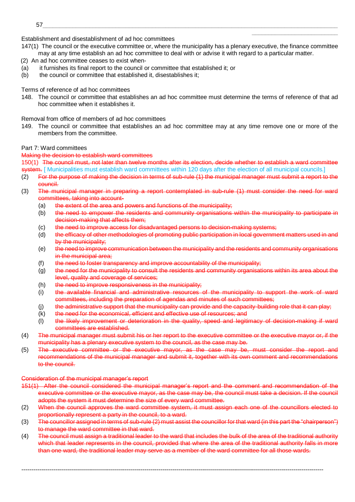- Establishment and disestablishment of ad hoc committees
- 147(1) The council or the executive committee or, where the municipality has a plenary executive, the finance committee may at any time establish an ad hoc committee to deal with or advise it with regard to a particular matter.

\_\_\_\_\_\_\_\_\_\_\_\_\_\_\_\_\_\_\_\_\_\_\_\_\_\_

- (2) An ad hoc committee ceases to exist when-
- (a) it furnishes its final report to the council or committee that established it; or
- (b) the council or committee that established it, disestablishes it;

# Terms of reference of ad hoc committees

148. The council or committee that establishes an ad hoc committee must determine the terms of reference of that ad hoc committee when it establishes it.

Removal from office of members of ad hoc committees

149. The council or committee that establishes an ad hoc committee may at any time remove one or more of the members from the committee.

# Part 7: Ward committees

# Making the decision to establish ward committees

150(1) The council must, not later than twelve months after its election, decide whether to establish a ward committee system. [ Municipalities must establish ward committees within 120 days after the election of all municipal councils.]

- (2) For the purpose of making the decision in terms of sub-rule (1) the municipal manager must submit a report to the council.
- (3) The municipal manager in preparing a report contemplated in sub-rule (1) must consider the need for ward committees, taking into account-
	- (a) the extent of the area and powers and functions of the municipality;
	- (b) the need to empower the residents and community organisations within the municipality to participate in decision-making that affects them;
	- (c) the need to improve access for disadvantaged persons to decision-making systems;
	- (d) the efficacy of other methodologies of promoting public participation in local government matters used in and by the municipality:
	- (e) the need to improve communication between the municipality and the residents and community organisations in the municipal area;
	- (f) the need to foster transparency and improve accountability of the municipality;
	- (g) the need for the municipality to consult the residents and community organisations within its area about the level, quality and coverage of services;
	- (h) the need to improve responsiveness in the municipality;
	- (i) the available financial and administrative resources of the municipality to support the work of ward committees, including the preparation of agendas and minutes of such committees;
	- (i) the administrative support that the municipality can provide and the capacity-building role that it can play;
	- (k) the need for the economical, efficient and effective use of resources; and
	- (l) the likely improvement or deterioration in the quality, speed and legitimacy of decision-making if ward committees are established.
- (4) The municipal manager must submit his or her report to the executive committee or the executive mayor or, if the municipality has a plenary executive system to the council, as the case may be.
- (5) The executive committee or the executive mayor, as the case may be, must consider the report and recommendations of the municipal manager and submit it, together with its own comment and recommendations to the council.

#### Consideration of the municipal manager's report

- 151(1) After the council considered the municipal manager's report and the comment and recommendation of the executive committee or the executive mayor, as the case may be, the council must take a decision. If the council adopts the system it must determine the size of every ward committee.
- (2) When the council approves the ward committee system, it must assign each one of the councillors elected to proportionally represent a party in the council, to a ward.
- (3) The councillor assigned in terms of sub-rule (2) must assist the councillor for that ward (in this part the "chairperson") to manage the ward committee in that ward.
- (4) The council must assign a traditional leader to the ward that includes the bulk of the area of the traditional authority which that leader represents in the council, provided that where the area of the traditional authority falls in more than one ward, the traditional leader may serve as a member of the ward committee for all those wards.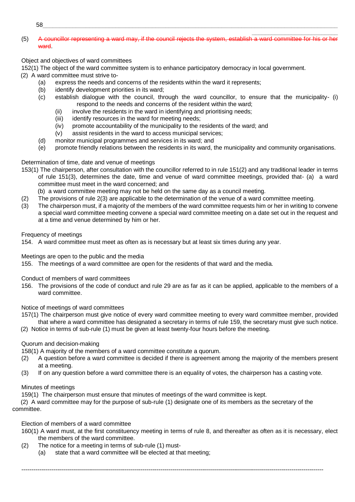$58\_$  . The contract of the contract of the contract of the contract of the contract of the contract of the contract of the contract of the contract of the contract of the contract of the contract of the contract of the c

#### (5) A councillor representing a ward may, if the council rejects the system, establish a ward committee for his or her ward.

\_\_\_\_\_\_\_\_\_\_\_\_\_\_\_\_\_\_\_\_\_\_\_\_\_\_

# Object and objectives of ward committees

152(1) The object of the ward committee system is to enhance participatory democracy in local government.

(2) A ward committee must strive to-

- (a) express the needs and concerns of the residents within the ward it represents;
- (b) identify development priorities in its ward;
- (c) establish dialogue with the council, through the ward councillor, to ensure that the municipality- (i) respond to the needs and concerns of the resident within the ward;
	- (ii) involve the residents in the ward in identifying and prioritising needs;
	- (iii) identify resources in the ward for meeting needs;
	- (iv) promote accountability of the municipality to the residents of the ward; and
	- (v) assist residents in the ward to access municipal services;
- (d) monitor municipal programmes and services in its ward; and
- (e) promote friendly relations between the residents in its ward, the municipality and community organisations.

# Determination of time, date and venue of meetings

- 153(1) The chairperson, after consultation with the councillor referred to in rule 151(2) and any traditional leader in terms of rule 151(3), determines the date, time and venue of ward committee meetings, provided that- (a) a ward committee must meet in the ward concerned; and
	- (b) a ward committee meeting may not be held on the same day as a council meeting.
- (2) The provisions of rule 2(3) are applicable to the determination of the venue of a ward committee meeting.
- (3) The chairperson must, if a majority of the members of the ward committee requests him or her in writing to convene a special ward committee meeting convene a special ward committee meeting on a date set out in the request and at a time and venue determined by him or her.

# Frequency of meetings

154. A ward committee must meet as often as is necessary but at least six times during any year.

Meetings are open to the public and the media

155. The meetings of a ward committee are open for the residents of that ward and the media.

Conduct of members of ward committees

156. The provisions of the code of conduct and rule 29 are as far as it can be applied, applicable to the members of a ward committee.

Notice of meetings of ward committees

- 157(1) The chairperson must give notice of every ward committee meeting to every ward committee member, provided that where a ward committee has designated a secretary in terms of rule 159, the secretary must give such notice.
- (2) Notice in terms of sub-rule (1) must be given at least twenty-four hours before the meeting.

# Quorum and decision-making

158(1) A majority of the members of a ward committee constitute a quorum.

- (2) A question before a ward committee is decided if there is agreement among the majority of the members present at a meeting.
- (3) If on any question before a ward committee there is an equality of votes, the chairperson has a casting vote.

# Minutes of meetings

159(1) The chairperson must ensure that minutes of meetings of the ward committee is kept.

(2) A ward committee may for the purpose of sub-rule (1) designate one of its members as the secretary of the committee.

# Election of members of a ward committee

160(1) A ward must, at the first constituency meeting in terms of rule 8, and thereafter as often as it is necessary, elect the members of the ward committee.

- (2) The notice for a meeting in terms of sub-rule (1) must-
	- (a) state that a ward committee will be elected at that meeting;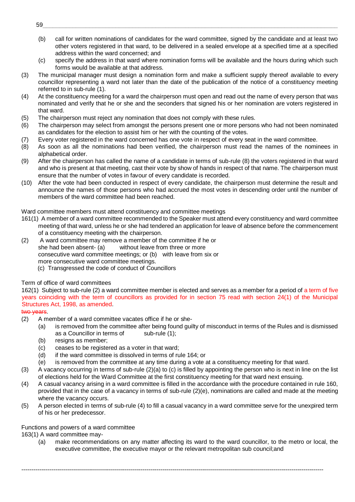(b) call for written nominations of candidates for the ward committee, signed by the candidate and at least two other voters registered in that ward, to be delivered in a sealed envelope at a specified time at a specified address within the ward concerned; and

\_\_\_\_\_\_\_\_\_\_\_\_\_\_\_\_\_\_\_\_\_\_\_\_\_\_

- (c) specify the address in that ward where nomination forms will be available and the hours during which such forms would be available at that address.
- (3) The municipal manager must design a nomination form and make a sufficient supply thereof available to every councillor representing a ward not later than the date of the publication of the notice of a constituency meeting referred to in sub-rule (1).
- (4) At the constituency meeting for a ward the chairperson must open and read out the name of every person that was nominated and verify that he or she and the seconders that signed his or her nomination are voters registered in that ward.
- (5) The chairperson must reject any nomination that does not comply with these rules.
- (6) The chairperson may select from amongst the persons present one or more persons who had not been nominated as candidates for the election to assist him or her with the counting of the votes.
- (7) Every voter registered in the ward concerned has one vote in respect of every seat in the ward committee.
- (8) As soon as all the nominations had been verified, the chairperson must read the names of the nominees in alphabetical order.
- (9) After the chairperson has called the name of a candidate in terms of sub-rule (8) the voters registered in that ward and who is present at that meeting, cast their vote by show of hands in respect of that name. The chairperson must ensure that the number of votes in favour of every candidate is recorded.
- (10) After the vote had been conducted in respect of every candidate, the chairperson must determine the result and announce the names of those persons who had accrued the most votes in descending order until the number of members of the ward committee had been reached.

# Ward committee members must attend constituency and committee meetings

- 161(1) A member of a ward committee recommended to the Speaker must attend every constituency and ward committee meeting of that ward, unless he or she had tendered an application for leave of absence before the commencement of a constituency meeting with the chairperson.
- (2) A ward committee may remove a member of the committee if he or she had been absent- (a) without leave from three or more consecutive ward committee meetings; or (b) with leave from six or more consecutive ward committee meetings.
	- (c) Transgressed the code of conduct of Councillors

# Term of office of ward committees

162(1) Subject to sub-rule (2) a ward committee member is elected and serves as a member for a period of a term of five years coinciding with the term of councillors as provided for in section 75 read with section 24(1) of the Municipal Structures Act, 1998, as amended.

# two years.

- (2) A member of a ward committee vacates office if he or she-
	- (a) is removed from the committee after being found guilty of misconduct in terms of the Rules and is dismissed as a Councillor in terms of sub-rule (1);
	- (b) resigns as member;
	- (c) ceases to be registered as a voter in that ward;
	- (d) if the ward committee is dissolved in terms of rule 164; or
	- (e) is removed from the committee at any time during a vote at a constituency meeting for that ward.
- (3) A vacancy occurring in terms of sub-rule (2)(a) to (c) is filled by appointing the person who is next in line on the list of elections held for the Ward Committee at the first constituency meeting for that ward next ensuing.
- (4) A casual vacancy arising in a ward committee is filled in the accordance with the procedure contained in rule 160, provided that in the case of a vacancy in terms of sub-rule (2)(e), nominations are called and made at the meeting where the vacancy occurs.
- (5) A person elected in terms of sub-rule (4) to fill a casual vacancy in a ward committee serve for the unexpired term of his or her predecessor.

--------------------------------------------------------------------------------------------------------------------------------------------------------

# Functions and powers of a ward committee

163(1) A ward committee may-

(a) make recommendations on any matter affecting its ward to the ward councillor, to the metro or local, the executive committee, the executive mayor or the relevant metropolitan sub council;and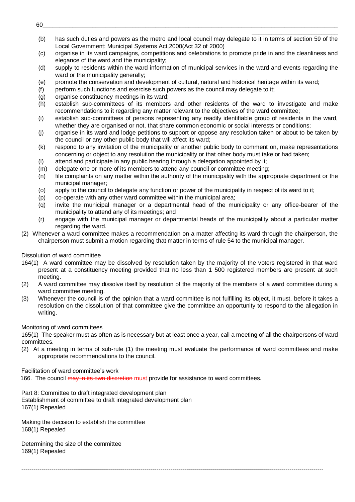(b) has such duties and powers as the metro and local council may delegate to it in terms of section 59 of the Local Government: Municipal Systems Act,2000(Act 32 of 2000)

\_\_\_\_\_\_\_\_\_\_\_\_\_\_\_\_\_\_\_\_\_\_\_\_\_\_

- (c) organise in its ward campaigns, competitions and celebrations to promote pride in and the cleanliness and elegance of the ward and the municipality;
- (d) supply to residents within the ward information of municipal services in the ward and events regarding the ward or the municipality generally;
- (e) promote the conservation and development of cultural, natural and historical heritage within its ward;
- (f) perform such functions and exercise such powers as the council may delegate to it;
- (g) organise constituency meetings in its ward;
- (h) establish sub-committees of its members and other residents of the ward to investigate and make recommendations to it regarding any matter relevant to the objectives of the ward committee;
- (i) establish sub-committees of persons representing any readily identifiable group of residents in the ward, whether they are organised or not, that share common economic or social interests or conditions;
- (j) organise in its ward and lodge petitions to support or oppose any resolution taken or about to be taken by the council or any other public body that will affect its ward;
- (k) respond to any invitation of the municipality or another public body to comment on, make representations concerning or object to any resolution the municipality or that other body must take or had taken;
- (l) attend and participate in any public hearing through a delegation appointed by it;
- (m) delegate one or more of its members to attend any council or committee meeting;
- (n) file complaints on any matter within the authority of the municipality with the appropriate department or the municipal manager;
- (o) apply to the council to delegate any function or power of the municipality in respect of its ward to it;
- (p) co-operate with any other ward committee within the municipal area;
- (q) invite the municipal manager or a departmental head of the municipality or any office-bearer of the municipality to attend any of its meetings; and
- (r) engage with the municipal manager or departmental heads of the municipality about a particular matter regarding the ward.
- (2) Whenever a ward committee makes a recommendation on a matter affecting its ward through the chairperson, the chairperson must submit a motion regarding that matter in terms of rule 54 to the municipal manager.

# Dissolution of ward committee

- 164(1) A ward committee may be dissolved by resolution taken by the majority of the voters registered in that ward present at a constituency meeting provided that no less than 1 500 registered members are present at such meeting.
- (2) A ward committee may dissolve itself by resolution of the majority of the members of a ward committee during a ward committee meeting.
- (3) Whenever the council is of the opinion that a ward committee is not fulfilling its object, it must, before it takes a resolution on the dissolution of that committee give the committee an opportunity to respond to the allegation in writing.

Monitoring of ward committees

165(1) The speaker must as often as is necessary but at least once a year, call a meeting of all the chairpersons of ward committees.

(2) At a meeting in terms of sub-rule (1) the meeting must evaluate the performance of ward committees and make appropriate recommendations to the council.

--------------------------------------------------------------------------------------------------------------------------------------------------------

Facilitation of ward committee's work

166. The council may in its own discretion must provide for assistance to ward committees.

Part 8: Committee to draft integrated development plan

Establishment of committee to draft integrated development plan 167(1) Repealed

Making the decision to establish the committee 168(1) Repealed

Determining the size of the committee 169(1) Repealed

60\_\_\_\_\_\_\_\_\_\_\_\_\_\_\_\_\_\_\_\_\_\_\_\_\_\_\_\_\_\_\_\_\_\_\_\_\_\_\_\_\_\_\_\_\_\_\_\_\_\_\_\_\_\_\_\_\_\_\_\_\_\_\_\_\_\_\_\_\_\_\_\_\_\_\_\_\_\_\_\_\_\_\_\_\_\_\_\_\_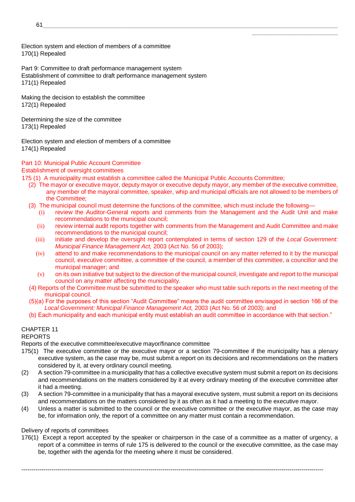Election system and election of members of a committee 170(1) Repealed

Part 9: Committee to draft performance management system Establishment of committee to draft performance management system 171(1) Repealed

Making the decision to establish the committee 172(1) Repealed

Determining the size of the committee 173(1) Repealed

Election system and election of members of a committee 174(1) Repealed

# Part 10: Municipal Public Account Committee

Establishment of oversight committees

- 175 (1) A municipality must establish a committee called the Municipal Public Accounts Committee;
	- (2) The mayor or executive mayor, deputy mayor or executive deputy mayor, any member of the executive committee, any member of the mayoral committee, speaker, whip and municipal officials are not allowed to be members of the Committee;

\_\_\_\_\_\_\_\_\_\_\_\_\_\_\_\_\_\_\_\_\_\_\_\_\_\_

- (3) The municipal council must determine the functions of the committee, which must include the following—
	- (i) review the Auditor-General reports and comments from the Management and the Audit Unit and make recommendations to the municipal council;
	- (ii) review internal audit reports together with comments from the Management and Audit Committee and make recommendations to the municipal council;
	- (iii) initiate and develop the oversight report contemplated in terms of section 129 of the *Local Government: Municipal Finance Management Act,* 2003 (Act No. 56 of 2003);
	- (iv) attend to and make recommendations to the municipal council on any matter referred to it by the municipal council, executive committee, a committee of the council, a member of this committee, a councillor and the municipal manager; and
	- (v) on its own initiative but subject to the direction of the municipal council, investigate and report to the municipal council on any matter affecting the municipality.
- (4) Reports of the Committee must be submitted to the speaker who must table such reports in the next meeting of the municipal council.
- (5)(a) For the purposes of this section "Audit Committee" means the audit committee envisaged in section 166 of the *Local Government: Municipal Finance Management Act,* 2003 (Act No. 56 of 2003); and
- (b) Each municipality and each municipal entity must establish an audit committee in accordance with that section."

# CHAPTER 11

# REPORTS

Reports of the executive committee/executive mayor/finance committee

- 175(1) The executive committee or the executive mayor or a section 79-committee if the municipality has a plenary executive system, as the case may be, must submit a report on its decisions and recommendations on the matters considered by it, at every ordinary council meeting.
- (2) A section 79-committee in a municipality that has a collective executive system must submit a report on its decisions and recommendations on the matters considered by it at every ordinary meeting of the executive committee after it had a meeting.
- (3) A section 79-committee in a municipality that has a mayoral executive system, must submit a report on its decisions and recommendations on the matters considered by it as often as it had a meeting to the executive mayor.
- (4) Unless a matter is submitted to the council or the executive committee or the executive mayor, as the case may be, for information only, the report of a committee on any matter must contain a recommendation.

# Delivery of reports of committees

176(1) Except a report accepted by the speaker or chairperson in the case of a committee as a matter of urgency, a report of a committee in terms of rule 175 is delivered to the council or the executive committee, as the case may be, together with the agenda for the meeting where it must be considered.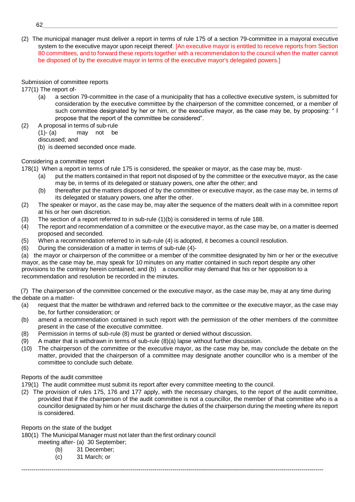(2) The municipal manager must deliver a report in terms of rule 175 of a section 79-committee in a mayoral executive system to the executive mayor upon receipt thereof. [An executive mayor is entitled to receive reports from Section 80 committees, and to forward these reports together with a recommendation to the council when the matter cannot be disposed of by the executive mayor in terms of the executive mayor's delegated powers.]

\_\_\_\_\_\_\_\_\_\_\_\_\_\_\_\_\_\_\_\_\_\_\_\_\_\_

# Submission of committee reports

177(1) The report of-

- (a) a section 79-committee in the case of a municipality that has a collective executive system, is submitted for consideration by the executive committee by the chairperson of the committee concerned, or a member of such committee designated by her or him, or the executive mayor, as the case may be, by proposing: " I propose that the report of the committee be considered".
- (2) A proposal in terms of sub-rule  $(1)$ - $(a)$  may not be discussed; and (b) is deemed seconded once made.

# Considering a committee report

178(1) When a report in terms of rule 175 is considered, the speaker or mayor, as the case may be, must-

- (a) put the matters contained in that report not disposed of by the committee or the executive mayor, as the case may be, in terms of its delegated or statuary powers, one after the other; and
- (b) thereafter put the matters disposed of by the committee or executive mayor, as the case may be, in terms of its delegated or statuary powers, one after the other.
- (2) The speaker or mayor, as the case may be, may alter the sequence of the matters dealt with in a committee report at his or her own discretion.
- (3) The section of a report referred to in sub-rule (1)(b) is considered in terms of rule 188.
- (4) The report and recommendation of a committee or the executive mayor, as the case may be, on a matter is deemed proposed and seconded.
- (5) When a recommendation referred to in sub-rule (4) is adopted, it becomes a council resolution.
- (6) During the consideration of a matter in terms of sub-rule (4)-

(a) the mayor or chairperson of the committee or a member of the committee designated by him or her or the executive mayor, as the case may be, may speak for 10 minutes on any matter contained in such report despite any other provisions to the contrary herein contained; and (b) a councillor may demand that his or her opposition to a recommendation and resolution be recorded in the minutes.

(7) The chairperson of the committee concerned or the executive mayor, as the case may be, may at any time during the debate on a matter-

- (a) request that the matter be withdrawn and referred back to the committee or the executive mayor, as the case may be, for further consideration; or
- (b) amend a recommendation contained in such report with the permission of the other members of the committee present in the case of the executive committee.
- (8) Permission in terms of sub-rule (8) must be granted or denied without discussion.
- (9) A matter that is withdrawn in terms of sub-rule (8)(a) lapse without further discussion.
- (10) The chairperson of the committee or the executive mayor, as the case may be, may conclude the debate on the matter, provided that the chairperson of a committee may designate another councillor who is a member of the committee to conclude such debate.

# Reports of the audit committee

179(1) The audit committee must submit its report after every committee meeting to the council.

(2) The provision of rules 175, 176 and 177 apply, with the necessary changes, to the report of the audit committee, provided that if the chairperson of the audit committee is not a councillor, the member of that committee who is a councillor designated by him or her must discharge the duties of the chairperson during the meeting where its report is considered.

--------------------------------------------------------------------------------------------------------------------------------------------------------

Reports on the state of the budget

180(1) The Municipal Manager must not later than the first ordinary council

meeting after- (a) 30 September;

- (b) 31 December;
- (c) 31 March; or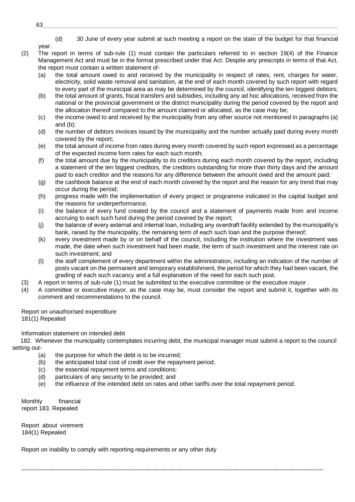\_\_\_\_\_\_\_\_\_\_\_\_\_\_\_\_\_\_\_\_\_\_\_\_\_\_ (d) 30 June of every year submit at such meeting a report on the state of the budget for that financial

year.

- (2) The report in terms of sub-rule (1) must contain the particulars referred to in section 19(4) of the Finance Management Act and must be in the format prescribed under that Act. Despite any prescripts in terms of that Act, the report must contain a written statement of-
	- (a) the total amount owed to and received by the municipality in respect of rates, rent, charges for water, electricity, solid waste removal and sanitation, at the end of each month covered by such report with regard to every part of the municipal area as may be determined by the council, identifying the ten biggest debtors;
	- (b) the total amount of grants, fiscal transfers and subsidies, including any ad hoc allocations, received from the national or the provincial government or the district municipality during the period covered by the report and the allocation thereof compared to the amount claimed or allocated, as the case may be;
	- (c) the income owed to and received by the municipality from any other source not mentioned in paragraphs (a) and (b);
	- (d) the number of debtors invoices issued by the municipality and the number actually paid during every month covered by the report;
	- (e) the total amount of income from rates during every month covered by such report expressed as a percentage of the expected income form rates for each such month;
	- (f) the total amount due by the municipality to its creditors during each month covered by the report, including a statement of the ten biggest creditors, the creditors outstanding for more than thirty days and the amount paid to each creditor and the reasons for any difference between the amount owed and the amount paid;
	- (g) the cashbook balance at the end of each month covered by the report and the reason for any trend that may occur during the period;
	- (h) progress made with the implementation of every project or programme indicated in the capital budget and the reasons for underperformance;
	- (i) the balance of every fund created by the council and a statement of payments made from and income accruing to each such fund during the period covered by the report;
	- (j) the balance of every external and internal loan, including any overdraft facility extended by the municipality's bank, raised by the municipality, the remaining term of each such loan and the purpose thereof;
	- (k) every investment made by or on behalf of the council, including the institution where the investment was made, the date when such investment had been made, the term of such investment and the interest rate on such investment; and
	- (l) the staff complement of every department within the administration, including an indication of the number of posts vacant on the permanent and temporary establishment, the period for which they had been vacant, the grading of each such vacancy and a full explanation of the need for each such post.
- (3) A report in terms of sub-rule (1) must be submitted to the executive committee or the executive mayor .
- (4) A committee or executive mayor, as the case may be, must consider the report and submit it, together with its comment and recommendations to the council.

Report on unauthorised expenditure 181(1) Repealed

Information statement on intended debt

182. Whenever the municipality contemplates incurring debt, the municipal manager must submit a report to the council setting out-

- (a) the purpose for which the debt is to be incurred;
- (b) the anticipated total cost of credit over the repayment period;
- (c) the essential repayment terms and conditions;
- (d) particulars of any security to be provided; and
- (e) the influence of the intended debt on rates and other tariffs over the total repayment period.

--------------------------------------------------------------------------------------------------------------------------------------------------------

Monthly financial report 183. Repealed

Report about virement 184(1) Repealed

Report on inability to comply with reporting requirements or any other duty

63\_\_\_\_\_\_\_\_\_\_\_\_\_\_\_\_\_\_\_\_\_\_\_\_\_\_\_\_\_\_\_\_\_\_\_\_\_\_\_\_\_\_\_\_\_\_\_\_\_\_\_\_\_\_\_\_\_\_\_\_\_\_\_\_\_\_\_\_\_\_\_\_\_\_\_\_\_\_\_\_\_\_\_\_\_\_\_\_\_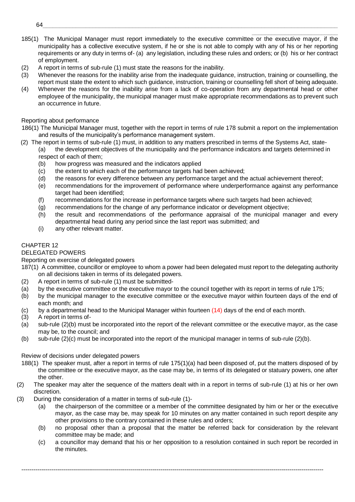185(1) The Municipal Manager must report immediately to the executive committee or the executive mayor, if the municipality has a collective executive system, if he or she is not able to comply with any of his or her reporting requirements or any duty in terms of- (a) any legislation, including these rules and orders; or (b) his or her contract of employment.

\_\_\_\_\_\_\_\_\_\_\_\_\_\_\_\_\_\_\_\_\_\_\_\_\_\_

- (2) A report in terms of sub-rule (1) must state the reasons for the inability.
- (3) Whenever the reasons for the inability arise from the inadequate guidance, instruction, training or counselling, the report must state the extent to which such guidance, instruction, training or counselling fell short of being adequate.
- (4) Whenever the reasons for the inability arise from a lack of co-operation from any departmental head or other employee of the municipality, the municipal manager must make appropriate recommendations as to prevent such an occurrence in future.

# Reporting about performance

- 186(1) The Municipal Manager must, together with the report in terms of rule 178 submit a report on the implementation and results of the municipality's performance management system.
- (2) The report in terms of sub-rule (1) must, in addition to any matters prescribed in terms of the Systems Act, state- (a) the development objectives of the municipality and the performance indicators and targets determined in respect of each of them;
	- (b) how progress was measured and the indicators applied
	- (c) the extent to which each of the performance targets had been achieved;
	- (d) the reasons for every difference between any performance target and the actual achievement thereof;
	- (e) recommendations for the improvement of performance where underperformance against any performance target had been identified;
	- (f) recommendations for the increase in performance targets where such targets had been achieved;
	- (g) recommendations for the change of any performance indicator or development objective;
	- (h) the result and recommendations of the performance appraisal of the municipal manager and every departmental head during any period since the last report was submitted; and
	- (i) any other relevant matter.

# CHAPTER 12

# DELEGATED POWERS

Reporting on exercise of delegated powers

- 187(1) A committee, councillor or employee to whom a power had been delegated must report to the delegating authority on all decisions taken in terms of its delegated powers.
- (2) A report in terms of sub-rule (1) must be submitted-
- (a) by the executive committee or the executive mayor to the council together with its report in terms of rule 175;
- (b) by the municipal manager to the executive committee or the executive mayor within fourteen days of the end of each month; and
- (c) by a departmental head to the Municipal Manager within fourteen (14) days of the end of each month.
- (3) A report in terms of-
- (a) sub-rule (2)(b) must be incorporated into the report of the relevant committee or the executive mayor, as the case may be, to the council; and
- (b) sub-rule (2)(c) must be incorporated into the report of the municipal manager in terms of sub-rule (2)(b).

# Review of decisions under delegated powers

- 188(1) The speaker must, after a report in terms of rule 175(1)(a) had been disposed of, put the matters disposed of by the committee or the executive mayor, as the case may be, in terms of its delegated or statuary powers, one after the other.
- (2) The speaker may alter the sequence of the matters dealt with in a report in terms of sub-rule (1) at his or her own discretion.
- (3) During the consideration of a matter in terms of sub-rule (1)-
	- (a) the chairperson of the committee or a member of the committee designated by him or her or the executive mayor, as the case may be, may speak for 10 minutes on any matter contained in such report despite any other provisions to the contrary contained in these rules and orders;
	- (b) no proposal other than a proposal that the matter be referred back for consideration by the relevant committee may be made; and
	- (c) a councillor may demand that his or her opposition to a resolution contained in such report be recorded in the minutes.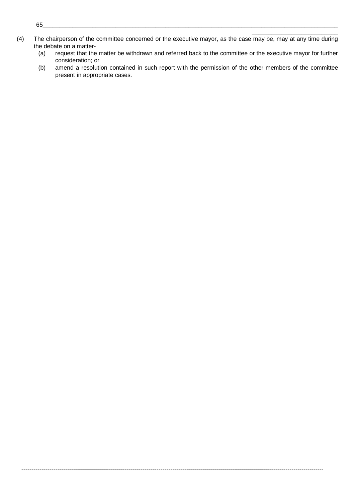(4) The chairperson of the committee concerned or the executive mayor, as the case may be, may at any time during the debate on a matter-

--------------------------------------------------------------------------------------------------------------------------------------------------------

(a) request that the matter be withdrawn and referred back to the committee or the executive mayor for further consideration; or

\_\_\_\_\_\_\_\_\_\_\_\_\_\_\_\_\_\_\_\_\_\_\_\_\_\_

(b) amend a resolution contained in such report with the permission of the other members of the committee present in appropriate cases.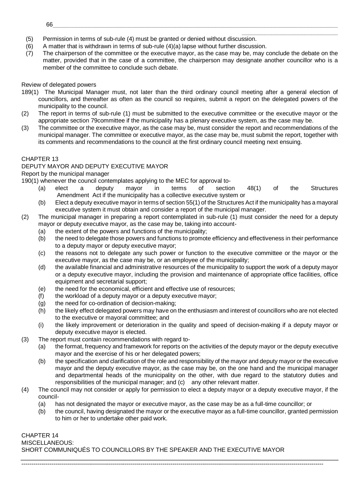- \_\_\_\_\_\_\_\_\_\_\_\_\_\_\_\_\_\_\_\_\_\_\_\_\_\_\_\_\_ (5) Permission in terms of sub-rule (4) must be granted or denied without discussion.
- (6) A matter that is withdrawn in terms of sub-rule (4)(a) lapse without further discussion.
- (7) The chairperson of the committee or the executive mayor, as the case may be, may conclude the debate on the matter, provided that in the case of a committee, the chairperson may designate another councillor who is a member of the committee to conclude such debate.

# Review of delegated powers

- 189(1) The Municipal Manager must, not later than the third ordinary council meeting after a general election of councillors, and thereafter as often as the council so requires, submit a report on the delegated powers of the municipality to the council.
- (2) The report in terms of sub-rule (1) must be submitted to the executive committee or the executive mayor or the appropriate section 79committee if the municipality has a plenary executive system, as the case may be.
- (3) The committee or the executive mayor, as the case may be, must consider the report and recommendations of the municipal manager. The committee or executive mayor, as the case may be, must submit the report, together with its comments and recommendations to the council at the first ordinary council meeting next ensuing.

# CHAPTER 13

# DEPUTY MAYOR AND DEPUTY EXECUTIVE MAYOR

# Report by the municipal manager

190(1) whenever the council contemplates applying to the MEC for approval to-

- (a) elect a deputy mayor in terms of section 48(1) of the Structures Amendment Act if the municipality has a collective executive system or
- (b) Elect a deputy executive mayor in terms of section 55(1) of the Structures Act if the municipality has a mayoral executive system it must obtain and consider a report of the municipal manager.
- (2) The municipal manager in preparing a report contemplated in sub-rule (1) must consider the need for a deputy mayor or deputy executive mayor, as the case may be, taking into account-
	- (a) the extent of the powers and functions of the municipality;
	- (b) the need to delegate those powers and functions to promote efficiency and effectiveness in their performance to a deputy mayor or deputy executive mayor;
	- (c) the reasons not to delegate any such power or function to the executive committee or the mayor or the executive mayor, as the case may be, or an employee of the municipality;
	- (d) the available financial and administrative resources of the municipality to support the work of a deputy mayor or a deputy executive mayor, including the provision and maintenance of appropriate office facilities, office equipment and secretarial support;
	- (e) the need for the economical, efficient and effective use of resources;
	- (f) the workload of a deputy mayor or a deputy executive mayor;
	- (g) the need for co-ordination of decision-making;
	- (h) the likely effect delegated powers may have on the enthusiasm and interest of councillors who are not elected to the executive or mayoral committee; and
	- (i) the likely improvement or deterioration in the quality and speed of decision-making if a deputy mayor or deputy executive mayor is elected.
- (3) The report must contain recommendations with regard to-
	- (a) the format, frequency and framework for reports on the activities of the deputy mayor or the deputy executive mayor and the exercise of his or her delegated powers;
	- (b) the specification and clarification of the role and responsibility of the mayor and deputy mayor or the executive mayor and the deputy executive mayor, as the case may be, on the one hand and the municipal manager and departmental heads of the municipality on the other, with due regard to the statutory duties and responsibilities of the municipal manager; and (c) any other relevant matter.
- (4) The council may not consider or apply for permission to elect a deputy mayor or a deputy executive mayor, if the council-
	- (a) has not designated the mayor or executive mayor, as the case may be as a full-time councillor; or

--------------------------------------------------------------------------------------------------------------------------------------------------------

(b) the council, having designated the mayor or the executive mayor as a full-time councillor, granted permission to him or her to undertake other paid work.

# CHAPTER 14 MISCELLANEOUS: SHORT COMMUNIQUÉS TO COUNCILLORS BY THE SPEAKER AND THE EXECUTIVE MAYOR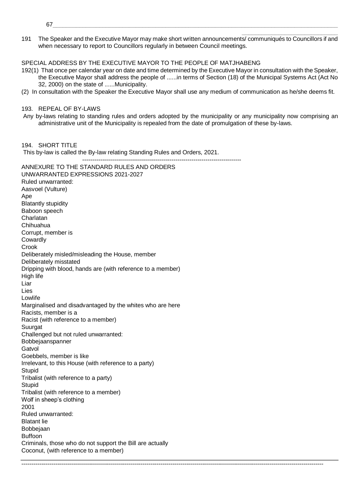- 67\_\_\_\_\_\_\_\_\_\_\_\_\_\_\_\_\_\_\_\_\_\_\_\_\_\_\_\_\_\_\_\_\_\_\_\_\_\_\_\_\_\_\_\_\_\_\_\_\_\_\_\_\_\_\_\_\_\_\_\_\_\_\_\_\_\_\_\_\_\_\_\_\_\_\_\_\_\_\_\_\_\_\_\_\_\_
- 191 The Speaker and the Executive Mayor may make short written announcements/ communiqués to Councillors if and when necessary to report to Councillors regularly in between Council meetings.

\_\_\_\_\_\_\_\_\_\_\_\_\_\_\_\_\_\_\_\_\_\_\_\_\_\_\_\_\_

SPECIAL ADDRESS BY THE EXECUTIVE MAYOR TO THE PEOPLE OF MATJHABENG

- 192(1) That once per calendar year on date and time determined by the Executive Mayor in consultation with the Speaker, the Executive Mayor shall address the people of ......in terms of Section (18) of the Municipal Systems Act (Act No 32, 2000) on the state of ......Municipality.
- (2) In consultation with the Speaker the Executive Mayor shall use any medium of communication as he/she deems fit.

193. REPEAL OF BY-LAWS

Any by-laws relating to standing rules and orders adopted by the municipality or any municipality now comprising an administrative unit of the Municipality is repealed from the date of promulgation of these by-laws.

--------------------------------------------------------------------------------------------------------------------------------------------------------

194. SHORT TITLE

This by-law is called the By-law relating Standing Rules and Orders, 2021.

--------------------------------------------------------------------------------

ANNEXURE TO THE STANDARD RULES AND ORDERS UNWARRANTED EXPRESSIONS 2021-2027 Ruled unwarranted: Aasvoel (Vulture) Ape Blatantly stupidity Baboon speech Charlatan Chihuahua Corrupt, member is Cowardly Crook Deliberately misled/misleading the House, member Deliberately misstated Dripping with blood, hands are (with reference to a member) High life Liar Lies Lowlife Marginalised and disadvantaged by the whites who are here Racists, member is a Racist (with reference to a member) **Suurgat** Challenged but not ruled unwarranted: Bobbejaanspanner Gatvol Goebbels, member is like Irrelevant, to this House (with reference to a party) Stupid Tribalist (with reference to a party) Stupid Tribalist (with reference to a member) Wolf in sheep's clothing 2001 Ruled unwarranted: Blatant lie Bobbejaan Buffoon Criminals, those who do not support the Bill are actually Coconut, (with reference to a member)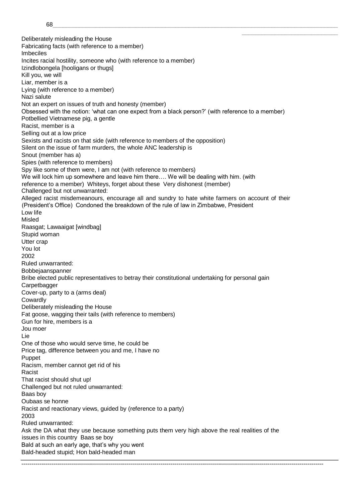\_\_\_\_\_\_\_\_\_\_\_\_\_\_\_\_\_\_\_\_\_\_\_\_\_\_\_\_\_ Deliberately misleading the House Fabricating facts (with reference to a member) Imbeciles Incites racial hostility, someone who (with reference to a member) Izindlobongela [hooligans or thugs] Kill you, we will Liar, member is a Lying (with reference to a member) Nazi salute Not an expert on issues of truth and honesty (member) Obsessed with the notion: 'what can one expect from a black person?' (with reference to a member) Potbellied Vietnamese pig, a gentle Racist, member is a Selling out at a low price Sexists and racists on that side (with reference to members of the opposition) Silent on the issue of farm murders, the whole ANC leadership is Snout (member has a) Spies (with reference to members) Spy like some of them were, I am not (with reference to members) We will lock him up somewhere and leave him there…. We will be dealing with him. (with reference to a member) Whiteys, forget about these Very dishonest (member) Challenged but not unwarranted: Alleged racist misdemeanours, encourage all and sundry to hate white farmers on account of their (President's Office) Condoned the breakdown of the rule of law in Zimbabwe, President Low life Misled Raasgat; Lawaaigat [windbag] Stupid woman Utter crap You lot 2002 Ruled unwarranted: Bobbejaanspanner Bribe elected public representatives to betray their constitutional undertaking for personal gain **Carpetbagger** Cover-up, party to a (arms deal) Cowardly Deliberately misleading the House Fat goose, wagging their tails (with reference to members) Gun for hire, members is a Jou moer Lie One of those who would serve time, he could be Price tag, difference between you and me, I have no Puppet Racism, member cannot get rid of his Racist That racist should shut up! Challenged but not ruled unwarranted: Baas boy Oubaas se honne Racist and reactionary views, guided by (reference to a party) 2003 Ruled unwarranted: Ask the DA what they use because something puts them very high above the real realities of the issues in this country Baas se boy Bald at such an early age, that's why you went Bald-headed stupid; Hon bald-headed man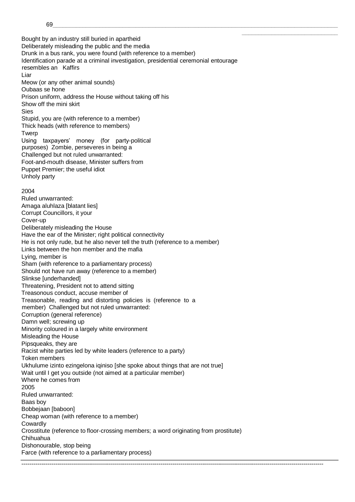Bought by an industry still buried in apartheid Deliberately misleading the public and the media Drunk in a bus rank, you were found (with reference to a member) Identification parade at a criminal investigation, presidential ceremonial entourage resembles an Kaffirs Liar Meow (or any other animal sounds) Oubaas se hone Prison uniform, address the House without taking off his Show off the mini skirt Sies Stupid, you are (with reference to a member) Thick heads (with reference to members) **Twerp** Using taxpayers' money (for party-political purposes) Zombie, perseveres in being a Challenged but not ruled unwarranted: Foot-and-mouth disease, Minister suffers from Puppet Premier; the useful idiot Unholy party 2004 Ruled unwarranted: Amaga aluhlaza [blatant lies] Corrupt Councillors, it your Cover-up Deliberately misleading the House Have the ear of the Minister; right political connectivity He is not only rude, but he also never tell the truth (reference to a member) Links between the hon member and the mafia Lying, member is Sham (with reference to a parliamentary process) Should not have run away (reference to a member) Slinkse [underhanded] Threatening, President not to attend sitting Treasonous conduct, accuse member of Treasonable, reading and distorting policies is (reference to a member) Challenged but not ruled unwarranted: Corruption (general reference) Damn well; screwing up Minority coloured in a largely white environment Misleading the House Pipsqueaks, they are Racist white parties led by white leaders (reference to a party) Token members Ukhulume izinto ezingelona iqiniso [she spoke about things that are not true] Wait until I get you outside (not aimed at a particular member) Where he comes from 2005 Ruled unwarranted: Baas boy Bobbejaan [baboon] Cheap woman (with reference to a member) Cowardly Crosstitute (reference to floor-crossing members; a word originating from prostitute) Chihuahua Dishonourable, stop being Farce (with reference to a parliamentary process)

--------------------------------------------------------------------------------------------------------------------------------------------------------

\_\_\_\_\_\_\_\_\_\_\_\_\_\_\_\_\_\_\_\_\_\_\_\_\_\_\_\_\_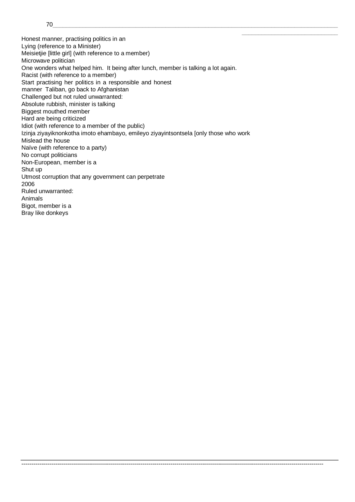70\_\_\_\_\_\_\_\_\_\_\_\_\_\_\_\_\_\_\_\_\_\_\_\_\_\_\_\_\_\_\_\_\_\_\_\_\_\_\_\_\_\_\_\_\_\_\_\_\_\_\_\_\_\_\_\_\_\_\_\_\_\_\_\_\_\_\_\_\_\_\_\_\_\_\_\_\_\_\_\_\_\_\_\_\_\_

Honest manner, practising politics in an Lying (reference to a Minister) Meisietjie [little girl] (with reference to a member) Microwave politician One wonders what helped him. It being after lunch, member is talking a lot again. Racist (with reference to a member) Start practising her politics in a responsible and honest manner Taliban, go back to Afghanistan Challenged but not ruled unwarranted: Absolute rubbish, minister is talking Biggest mouthed member Hard are being criticized Idiot (with reference to a member of the public) Izinja ziyayiknonkotha imoto ehambayo, emileyo ziyayintsontsela [only those who work Mislead the house Naïve (with reference to a party) No corrupt politicians Non-European, member is a Shut up Utmost corruption that any government can perpetrate 2006 Ruled unwarranted: Animals Bigot, member is a Bray like donkeys

--------------------------------------------------------------------------------------------------------------------------------------------------------

\_\_\_\_\_\_\_\_\_\_\_\_\_\_\_\_\_\_\_\_\_\_\_\_\_\_\_\_\_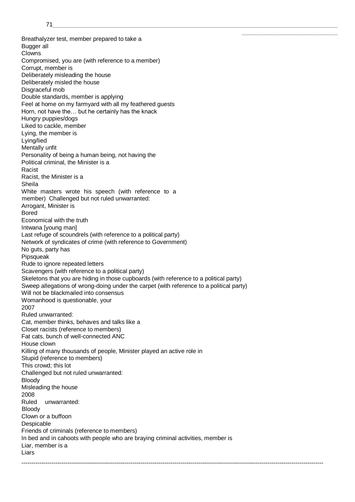Breathalyzer test, member prepared to take a Bugger all Clowns Compromised, you are (with reference to a member) Corrupt, member is Deliberately misleading the house Deliberately misled the house Disgraceful mob Double standards, member is applying Feel at home on my farmyard with all my feathered guests Horn, not have the… but he certainly has the knack Hungry puppies/dogs Liked to cackle, member Lying, the member is Lying/lied Mentally unfit Personality of being a human being, not having the Political criminal, the Minister is a Racist Racist, the Minister is a Sheila White masters wrote his speech (with reference to a member) Challenged but not ruled unwarranted: Arrogant, Minister is Bored Economical with the truth Intwana [young man] Last refuge of scoundrels (with reference to a political party) Network of syndicates of crime (with reference to Government) No guts, party has Pipsqueak Rude to ignore repeated letters Scavengers (with reference to a political party) Skeletons that you are hiding in those cupboards (with reference to a political party) Sweep allegations of wrong-doing under the carpet (with reference to a political party) Will not be blackmailed into consensus Womanhood is questionable, your 2007 Ruled unwarranted: Cat, member thinks, behaves and talks like a Closet racists (reference to members) Fat cats, bunch of well-connected ANC House clown Killing of many thousands of people, Minister played an active role in Stupid (reference to members) This crowd; this lot Challenged but not ruled unwarranted: Bloody Misleading the house 2008 Ruled unwarranted: Bloody Clown or a buffoon Despicable Friends of criminals (reference to members) In bed and in cahoots with people who are braying criminal activities, member is Liar, member is a Liars

--------------------------------------------------------------------------------------------------------------------------------------------------------

\_\_\_\_\_\_\_\_\_\_\_\_\_\_\_\_\_\_\_\_\_\_\_\_\_\_\_\_\_